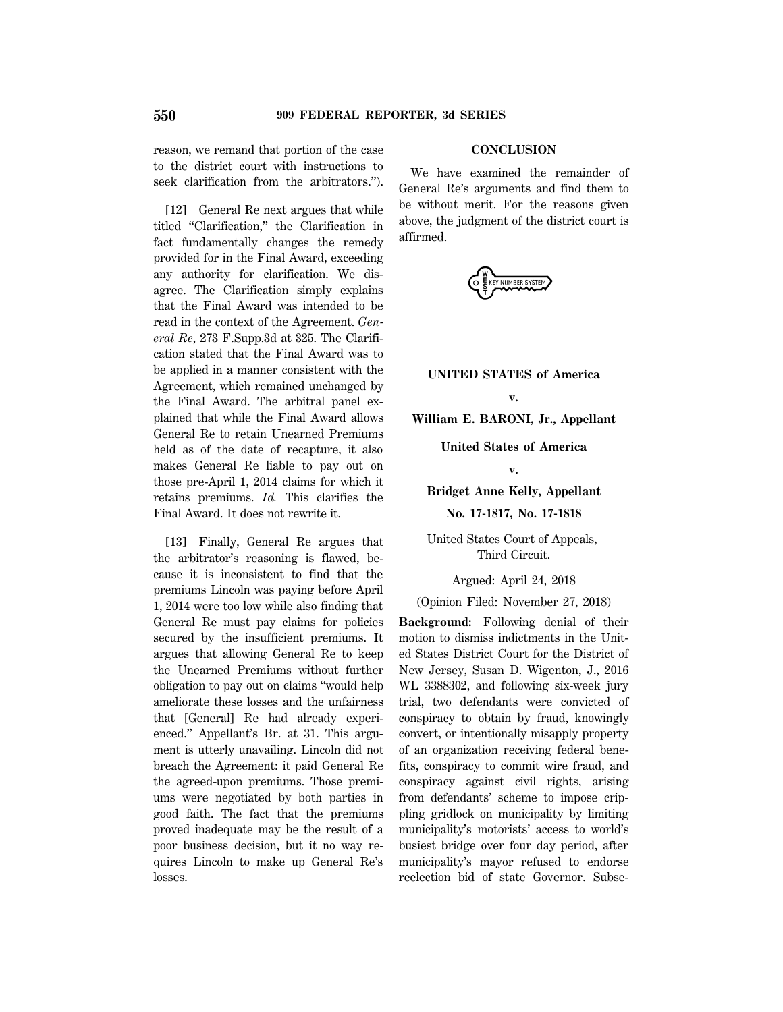reason, we remand that portion of the case to the district court with instructions to seek clarification from the arbitrators.'').

**[12]** General Re next argues that while titled ''Clarification,'' the Clarification in fact fundamentally changes the remedy provided for in the Final Award, exceeding any authority for clarification. We disagree. The Clarification simply explains that the Final Award was intended to be read in the context of the Agreement. *General Re*, 273 F.Supp.3d at 325. The Clarification stated that the Final Award was to be applied in a manner consistent with the Agreement, which remained unchanged by the Final Award. The arbitral panel explained that while the Final Award allows General Re to retain Unearned Premiums held as of the date of recapture, it also makes General Re liable to pay out on those pre-April 1, 2014 claims for which it retains premiums. *Id.* This clarifies the Final Award. It does not rewrite it.

**[13]** Finally, General Re argues that the arbitrator's reasoning is flawed, because it is inconsistent to find that the premiums Lincoln was paying before April 1, 2014 were too low while also finding that General Re must pay claims for policies secured by the insufficient premiums. It argues that allowing General Re to keep the Unearned Premiums without further obligation to pay out on claims ''would help ameliorate these losses and the unfairness that [General] Re had already experienced.'' Appellant's Br. at 31. This argument is utterly unavailing. Lincoln did not breach the Agreement: it paid General Re the agreed-upon premiums. Those premiums were negotiated by both parties in good faith. The fact that the premiums proved inadequate may be the result of a poor business decision, but it no way requires Lincoln to make up General Re's losses.

# **CONCLUSION**

We have examined the remainder of General Re's arguments and find them to be without merit. For the reasons given above, the judgment of the district court is affirmed.

EY NUMBER SYSTEI

#### **UNITED STATES of America**

**v. William E. BARONI, Jr., Appellant**

#### **United States of America**

**v.**

# **Bridget Anne Kelly, Appellant**

**No. 17-1817, No. 17-1818**

United States Court of Appeals, Third Circuit.

Argued: April 24, 2018

(Opinion Filed: November 27, 2018)

**Background:** Following denial of their motion to dismiss indictments in the United States District Court for the District of New Jersey, Susan D. Wigenton, J., 2016 WL 3388302, and following six-week jury trial, two defendants were convicted of conspiracy to obtain by fraud, knowingly convert, or intentionally misapply property of an organization receiving federal benefits, conspiracy to commit wire fraud, and conspiracy against civil rights, arising from defendants' scheme to impose crippling gridlock on municipality by limiting municipality's motorists' access to world's busiest bridge over four day period, after municipality's mayor refused to endorse reelection bid of state Governor. Subse-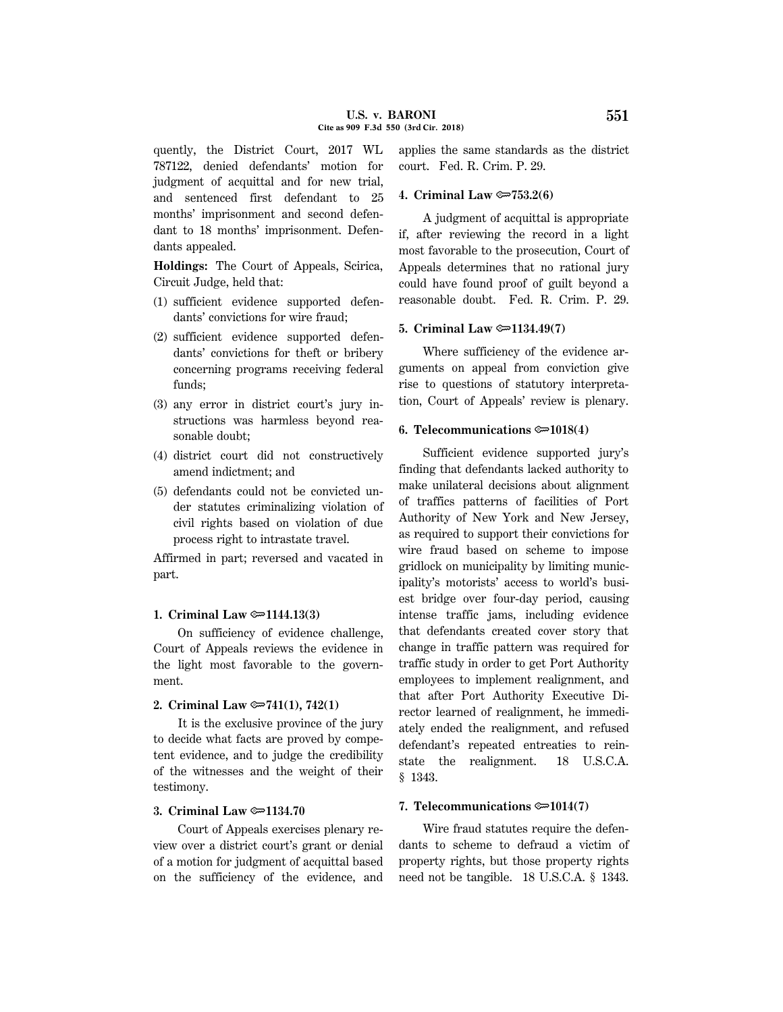quently, the District Court, 2017 WL 787122, denied defendants' motion for judgment of acquittal and for new trial, and sentenced first defendant to 25 months' imprisonment and second defendant to 18 months' imprisonment. Defendants appealed.

**Holdings:** The Court of Appeals, Scirica, Circuit Judge, held that:

- (1) sufficient evidence supported defendants' convictions for wire fraud;
- (2) sufficient evidence supported defendants' convictions for theft or bribery concerning programs receiving federal funds;
- (3) any error in district court's jury instructions was harmless beyond reasonable doubt;
- (4) district court did not constructively amend indictment; and
- (5) defendants could not be convicted under statutes criminalizing violation of civil rights based on violation of due process right to intrastate travel.

Affirmed in part; reversed and vacated in part.

# **1. Criminal Law**  $\approx 1144.13(3)$

On sufficiency of evidence challenge, Court of Appeals reviews the evidence in the light most favorable to the government.

## **2. Criminal Law** O**741(1), 742(1)**

It is the exclusive province of the jury to decide what facts are proved by competent evidence, and to judge the credibility of the witnesses and the weight of their testimony.

# **3. Criminal Law**  $\approx$  **1134.70**

Court of Appeals exercises plenary review over a district court's grant or denial of a motion for judgment of acquittal based on the sufficiency of the evidence, and applies the same standards as the district court. Fed. R. Crim. P. 29.

## **4. Criminal Law**  $\approx 753.2(6)$

A judgment of acquittal is appropriate if, after reviewing the record in a light most favorable to the prosecution, Court of Appeals determines that no rational jury could have found proof of guilt beyond a reasonable doubt. Fed. R. Crim. P. 29.

## **5. Criminal Law** O**1134.49(7)**

Where sufficiency of the evidence arguments on appeal from conviction give rise to questions of statutory interpretation, Court of Appeals' review is plenary.

### **6. Telecommunications**  $\approx 1018(4)$

Sufficient evidence supported jury's finding that defendants lacked authority to make unilateral decisions about alignment of traffics patterns of facilities of Port Authority of New York and New Jersey, as required to support their convictions for wire fraud based on scheme to impose gridlock on municipality by limiting municipality's motorists' access to world's busiest bridge over four-day period, causing intense traffic jams, including evidence that defendants created cover story that change in traffic pattern was required for traffic study in order to get Port Authority employees to implement realignment, and that after Port Authority Executive Director learned of realignment, he immediately ended the realignment, and refused defendant's repeated entreaties to reinstate the realignment. 18 U.S.C.A. § 1343.

# **7. Telecommunications**  $\approx 1014(7)$

Wire fraud statutes require the defendants to scheme to defraud a victim of property rights, but those property rights need not be tangible. 18 U.S.C.A. § 1343.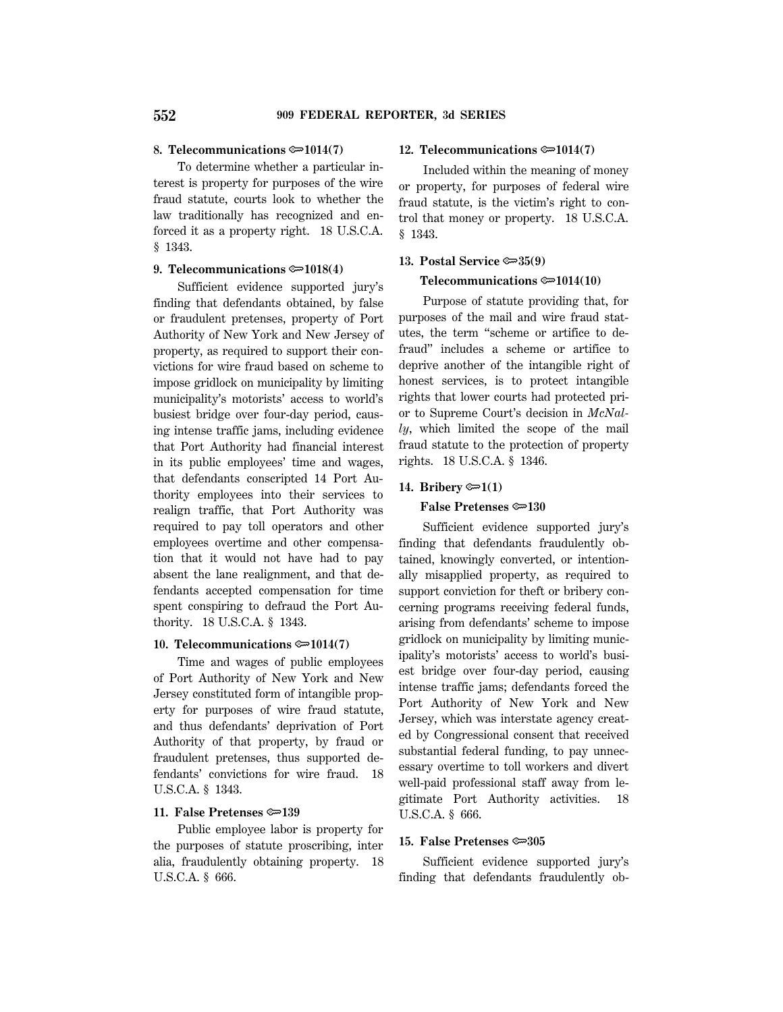# **8. Telecommunications**  $\approx 1014(7)$

To determine whether a particular interest is property for purposes of the wire fraud statute, courts look to whether the law traditionally has recognized and enforced it as a property right. 18 U.S.C.A. § 1343.

#### **9. Telecommunications**  $\approx 1018(4)$

Sufficient evidence supported jury's finding that defendants obtained, by false or fraudulent pretenses, property of Port Authority of New York and New Jersey of property, as required to support their convictions for wire fraud based on scheme to impose gridlock on municipality by limiting municipality's motorists' access to world's busiest bridge over four-day period, causing intense traffic jams, including evidence that Port Authority had financial interest in its public employees' time and wages, that defendants conscripted 14 Port Authority employees into their services to realign traffic, that Port Authority was required to pay toll operators and other employees overtime and other compensation that it would not have had to pay absent the lane realignment, and that defendants accepted compensation for time spent conspiring to defraud the Port Authority. 18 U.S.C.A. § 1343.

### **10. Telecommunications**  $\approx 1014(7)$

Time and wages of public employees of Port Authority of New York and New Jersey constituted form of intangible property for purposes of wire fraud statute, and thus defendants' deprivation of Port Authority of that property, by fraud or fraudulent pretenses, thus supported defendants' convictions for wire fraud. 18 U.S.C.A. § 1343.

#### **11. False Pretenses** O**139**

Public employee labor is property for the purposes of statute proscribing, inter alia, fraudulently obtaining property. 18 U.S.C.A. § 666.

## **12. Telecommunications**  $\approx 1014(7)$

Included within the meaning of money or property, for purposes of federal wire fraud statute, is the victim's right to control that money or property. 18 U.S.C.A. § 1343.

#### **13. Postal Service**  $\infty$ **35(9)**

# **Telecommunications**  $\approx 1014(10)$

Purpose of statute providing that, for purposes of the mail and wire fraud statutes, the term ''scheme or artifice to defraud'' includes a scheme or artifice to deprive another of the intangible right of honest services, is to protect intangible rights that lower courts had protected prior to Supreme Court's decision in *McNally*, which limited the scope of the mail fraud statute to the protection of property rights. 18 U.S.C.A. § 1346.

#### **14. Bribery ©** $1(1)$

### **False Pretenses**  $\approx 130$

Sufficient evidence supported jury's finding that defendants fraudulently obtained, knowingly converted, or intentionally misapplied property, as required to support conviction for theft or bribery concerning programs receiving federal funds, arising from defendants' scheme to impose gridlock on municipality by limiting municipality's motorists' access to world's busiest bridge over four-day period, causing intense traffic jams; defendants forced the Port Authority of New York and New Jersey, which was interstate agency created by Congressional consent that received substantial federal funding, to pay unnecessary overtime to toll workers and divert well-paid professional staff away from legitimate Port Authority activities. 18 U.S.C.A. § 666.

#### **15. False Pretenses**  $\approx 305$

Sufficient evidence supported jury's finding that defendants fraudulently ob-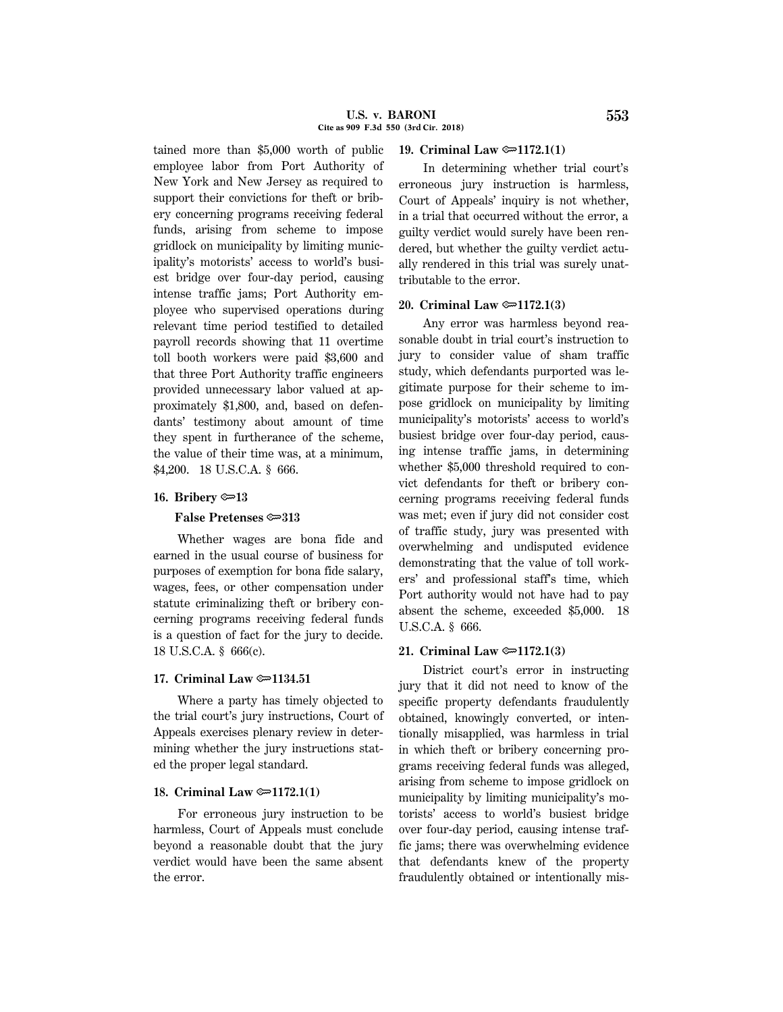tained more than \$5,000 worth of public employee labor from Port Authority of New York and New Jersey as required to support their convictions for theft or bribery concerning programs receiving federal funds, arising from scheme to impose gridlock on municipality by limiting municipality's motorists' access to world's busiest bridge over four-day period, causing intense traffic jams; Port Authority employee who supervised operations during relevant time period testified to detailed payroll records showing that 11 overtime toll booth workers were paid \$3,600 and that three Port Authority traffic engineers provided unnecessary labor valued at approximately \$1,800, and, based on defendants' testimony about amount of time they spent in furtherance of the scheme, the value of their time was, at a minimum, \$4,200. 18 U.S.C.A. § 666.

## **16. Bribery ©**13

## **False Pretenses**  $\approx 313$

Whether wages are bona fide and earned in the usual course of business for purposes of exemption for bona fide salary, wages, fees, or other compensation under statute criminalizing theft or bribery concerning programs receiving federal funds is a question of fact for the jury to decide. 18 U.S.C.A. § 666(c).

# **17. Criminal Law**  $\approx 1134.51$

Where a party has timely objected to the trial court's jury instructions, Court of Appeals exercises plenary review in determining whether the jury instructions stated the proper legal standard.

# **18. Criminal Law** O**1172.1(1)**

For erroneous jury instruction to be harmless, Court of Appeals must conclude beyond a reasonable doubt that the jury verdict would have been the same absent the error.

# **19. Criminal Law** O**1172.1(1)**

In determining whether trial court's erroneous jury instruction is harmless, Court of Appeals' inquiry is not whether, in a trial that occurred without the error, a guilty verdict would surely have been rendered, but whether the guilty verdict actually rendered in this trial was surely unattributable to the error.

#### **20. Criminal Law**  $\approx$  **1172.1(3)**

Any error was harmless beyond reasonable doubt in trial court's instruction to jury to consider value of sham traffic study, which defendants purported was legitimate purpose for their scheme to impose gridlock on municipality by limiting municipality's motorists' access to world's busiest bridge over four-day period, causing intense traffic jams, in determining whether \$5,000 threshold required to convict defendants for theft or bribery concerning programs receiving federal funds was met; even if jury did not consider cost of traffic study, jury was presented with overwhelming and undisputed evidence demonstrating that the value of toll workers' and professional staff's time, which Port authority would not have had to pay absent the scheme, exceeded \$5,000. 18 U.S.C.A. § 666.

# **21. Criminal Law** O**1172.1(3)**

District court's error in instructing jury that it did not need to know of the specific property defendants fraudulently obtained, knowingly converted, or intentionally misapplied, was harmless in trial in which theft or bribery concerning programs receiving federal funds was alleged, arising from scheme to impose gridlock on municipality by limiting municipality's motorists' access to world's busiest bridge over four-day period, causing intense traffic jams; there was overwhelming evidence that defendants knew of the property fraudulently obtained or intentionally mis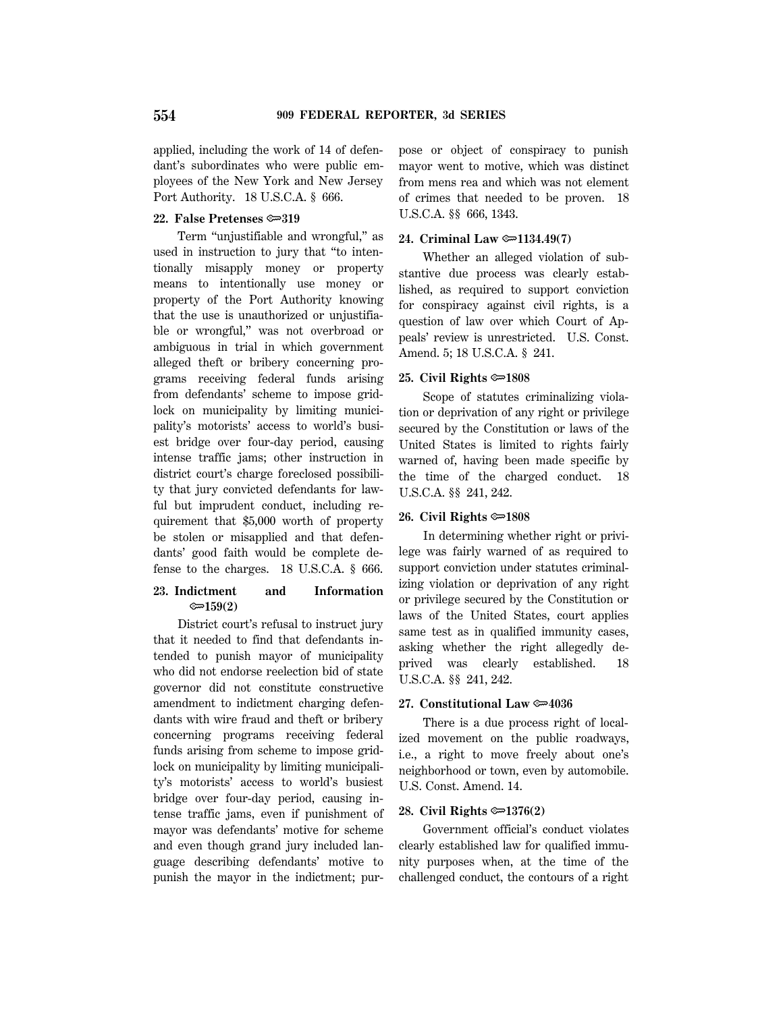applied, including the work of 14 of defendant's subordinates who were public employees of the New York and New Jersey Port Authority. 18 U.S.C.A. § 666.

# **22. False Pretenses** O**319**

Term "unjustifiable and wrongful," as used in instruction to jury that ''to intentionally misapply money or property means to intentionally use money or property of the Port Authority knowing that the use is unauthorized or unjustifiable or wrongful,'' was not overbroad or ambiguous in trial in which government alleged theft or bribery concerning programs receiving federal funds arising from defendants' scheme to impose gridlock on municipality by limiting municipality's motorists' access to world's busiest bridge over four-day period, causing intense traffic jams; other instruction in district court's charge foreclosed possibility that jury convicted defendants for lawful but imprudent conduct, including requirement that \$5,000 worth of property be stolen or misapplied and that defendants' good faith would be complete defense to the charges. 18 U.S.C.A. § 666.

# **23. Indictment and Information** O**159(2)**

District court's refusal to instruct jury that it needed to find that defendants intended to punish mayor of municipality who did not endorse reelection bid of state governor did not constitute constructive amendment to indictment charging defendants with wire fraud and theft or bribery concerning programs receiving federal funds arising from scheme to impose gridlock on municipality by limiting municipality's motorists' access to world's busiest bridge over four-day period, causing intense traffic jams, even if punishment of mayor was defendants' motive for scheme and even though grand jury included language describing defendants' motive to punish the mayor in the indictment; purpose or object of conspiracy to punish mayor went to motive, which was distinct from mens rea and which was not element of crimes that needed to be proven. 18 U.S.C.A. §§ 666, 1343.

# **24. Criminal Law** O**1134.49(7)**

Whether an alleged violation of substantive due process was clearly established, as required to support conviction for conspiracy against civil rights, is a question of law over which Court of Appeals' review is unrestricted. U.S. Const. Amend. 5; 18 U.S.C.A. § 241.

# **25. Civil Rights**  $\approx 1808$

Scope of statutes criminalizing violation or deprivation of any right or privilege secured by the Constitution or laws of the United States is limited to rights fairly warned of, having been made specific by the time of the charged conduct. 18 U.S.C.A. §§ 241, 242.

### **26. Civil Rights** O**1808**

In determining whether right or privilege was fairly warned of as required to support conviction under statutes criminalizing violation or deprivation of any right or privilege secured by the Constitution or laws of the United States, court applies same test as in qualified immunity cases, asking whether the right allegedly deprived was clearly established. 18 U.S.C.A. §§ 241, 242.

## **27. Constitutional Law**  $\approx 4036$

There is a due process right of localized movement on the public roadways, i.e., a right to move freely about one's neighborhood or town, even by automobile. U.S. Const. Amend. 14.

#### **28. Civil Rights** O**1376(2)**

Government official's conduct violates clearly established law for qualified immunity purposes when, at the time of the challenged conduct, the contours of a right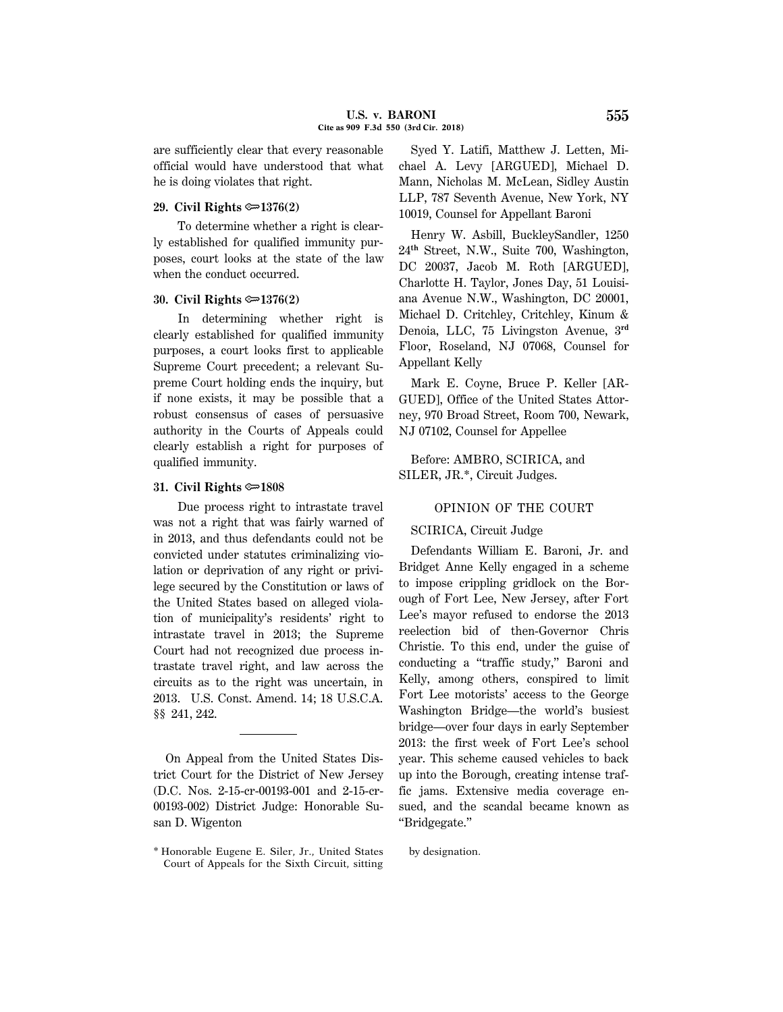are sufficiently clear that every reasonable official would have understood that what he is doing violates that right.

# **29. Civil Rights** O**1376(2)**

To determine whether a right is clearly established for qualified immunity purposes, court looks at the state of the law when the conduct occurred.

#### **30. Civil Rights**  $\approx 1376(2)$

In determining whether right is clearly established for qualified immunity purposes, a court looks first to applicable Supreme Court precedent; a relevant Supreme Court holding ends the inquiry, but if none exists, it may be possible that a robust consensus of cases of persuasive authority in the Courts of Appeals could clearly establish a right for purposes of qualified immunity.

### **31. Civil Rights**  $\approx 1808$

Due process right to intrastate travel was not a right that was fairly warned of in 2013, and thus defendants could not be convicted under statutes criminalizing violation or deprivation of any right or privilege secured by the Constitution or laws of the United States based on alleged violation of municipality's residents' right to intrastate travel in 2013; the Supreme Court had not recognized due process intrastate travel right, and law across the circuits as to the right was uncertain, in 2013. U.S. Const. Amend. 14; 18 U.S.C.A. §§ 241, 242.

On Appeal from the United States District Court for the District of New Jersey (D.C. Nos. 2-15-cr-00193-001 and 2-15-cr-00193-002) District Judge: Honorable Susan D. Wigenton

\* Honorable Eugene E. Siler, Jr., United States Court of Appeals for the Sixth Circuit, sitting

Syed Y. Latifi, Matthew J. Letten, Michael A. Levy [ARGUED], Michael D. Mann, Nicholas M. McLean, Sidley Austin LLP, 787 Seventh Avenue, New York, NY 10019, Counsel for Appellant Baroni

Henry W. Asbill, BuckleySandler, 1250 24**th** Street, N.W., Suite 700, Washington, DC 20037, Jacob M. Roth [ARGUED], Charlotte H. Taylor, Jones Day, 51 Louisiana Avenue N.W., Washington, DC 20001, Michael D. Critchley, Critchley, Kinum & Denoia, LLC, 75 Livingston Avenue, 3**rd** Floor, Roseland, NJ 07068, Counsel for Appellant Kelly

Mark E. Coyne, Bruce P. Keller [AR-GUED], Office of the United States Attorney, 970 Broad Street, Room 700, Newark, NJ 07102, Counsel for Appellee

Before: AMBRO, SCIRICA, and SILER, JR.\*, Circuit Judges.

### OPINION OF THE COURT

# SCIRICA, Circuit Judge

Defendants William E. Baroni, Jr. and Bridget Anne Kelly engaged in a scheme to impose crippling gridlock on the Borough of Fort Lee, New Jersey, after Fort Lee's mayor refused to endorse the 2013 reelection bid of then-Governor Chris Christie. To this end, under the guise of conducting a ''traffic study,'' Baroni and Kelly, among others, conspired to limit Fort Lee motorists' access to the George Washington Bridge—the world's busiest bridge—over four days in early September 2013: the first week of Fort Lee's school year. This scheme caused vehicles to back up into the Borough, creating intense traffic jams. Extensive media coverage ensued, and the scandal became known as ''Bridgegate.''

by designation.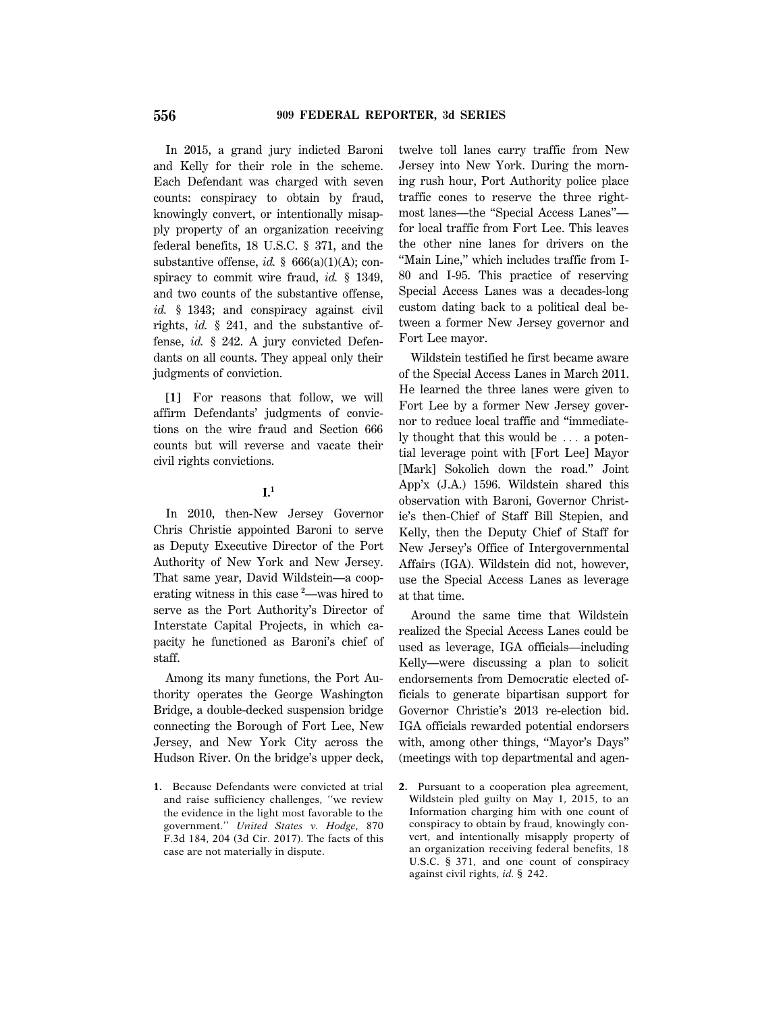In 2015, a grand jury indicted Baroni and Kelly for their role in the scheme. Each Defendant was charged with seven counts: conspiracy to obtain by fraud, knowingly convert, or intentionally misapply property of an organization receiving federal benefits, 18 U.S.C. § 371, and the substantive offense, *id.* §  $666(a)(1)(A)$ ; conspiracy to commit wire fraud, *id.* § 1349, and two counts of the substantive offense, id. § 1343; and conspiracy against civil rights, *id.* § 241, and the substantive offense, *id.* § 242. A jury convicted Defendants on all counts. They appeal only their judgments of conviction.

**[1]** For reasons that follow, we will affirm Defendants' judgments of convictions on the wire fraud and Section 666 counts but will reverse and vacate their civil rights convictions.

## **I.1**

In 2010, then-New Jersey Governor Chris Christie appointed Baroni to serve as Deputy Executive Director of the Port Authority of New York and New Jersey. That same year, David Wildstein—a cooperating witness in this case **<sup>2</sup>** —was hired to serve as the Port Authority's Director of Interstate Capital Projects, in which capacity he functioned as Baroni's chief of staff.

Among its many functions, the Port Authority operates the George Washington Bridge, a double-decked suspension bridge connecting the Borough of Fort Lee, New Jersey, and New York City across the Hudson River. On the bridge's upper deck, twelve toll lanes carry traffic from New Jersey into New York. During the morning rush hour, Port Authority police place traffic cones to reserve the three rightmost lanes—the ''Special Access Lanes'' for local traffic from Fort Lee. This leaves the other nine lanes for drivers on the ''Main Line,'' which includes traffic from I-80 and I-95. This practice of reserving Special Access Lanes was a decades-long custom dating back to a political deal between a former New Jersey governor and Fort Lee mayor.

Wildstein testified he first became aware of the Special Access Lanes in March 2011. He learned the three lanes were given to Fort Lee by a former New Jersey governor to reduce local traffic and ''immediately thought that this would be  $\ldots$  a potential leverage point with [Fort Lee] Mayor [Mark] Sokolich down the road.'' Joint App'x (J.A.) 1596. Wildstein shared this observation with Baroni, Governor Christie's then-Chief of Staff Bill Stepien, and Kelly, then the Deputy Chief of Staff for New Jersey's Office of Intergovernmental Affairs (IGA). Wildstein did not, however, use the Special Access Lanes as leverage at that time.

Around the same time that Wildstein realized the Special Access Lanes could be used as leverage, IGA officials—including Kelly—were discussing a plan to solicit endorsements from Democratic elected officials to generate bipartisan support for Governor Christie's 2013 re-election bid. IGA officials rewarded potential endorsers with, among other things, "Mayor's Days" (meetings with top departmental and agen-

**<sup>1.</sup>** Because Defendants were convicted at trial and raise sufficiency challenges, ''we review the evidence in the light most favorable to the government.'' *United States v. Hodge*, 870 F.3d 184, 204 (3d Cir. 2017). The facts of this case are not materially in dispute.

**<sup>2.</sup>** Pursuant to a cooperation plea agreement, Wildstein pled guilty on May 1, 2015, to an Information charging him with one count of conspiracy to obtain by fraud, knowingly convert, and intentionally misapply property of an organization receiving federal benefits, 18 U.S.C. § 371, and one count of conspiracy against civil rights, *id.* § 242.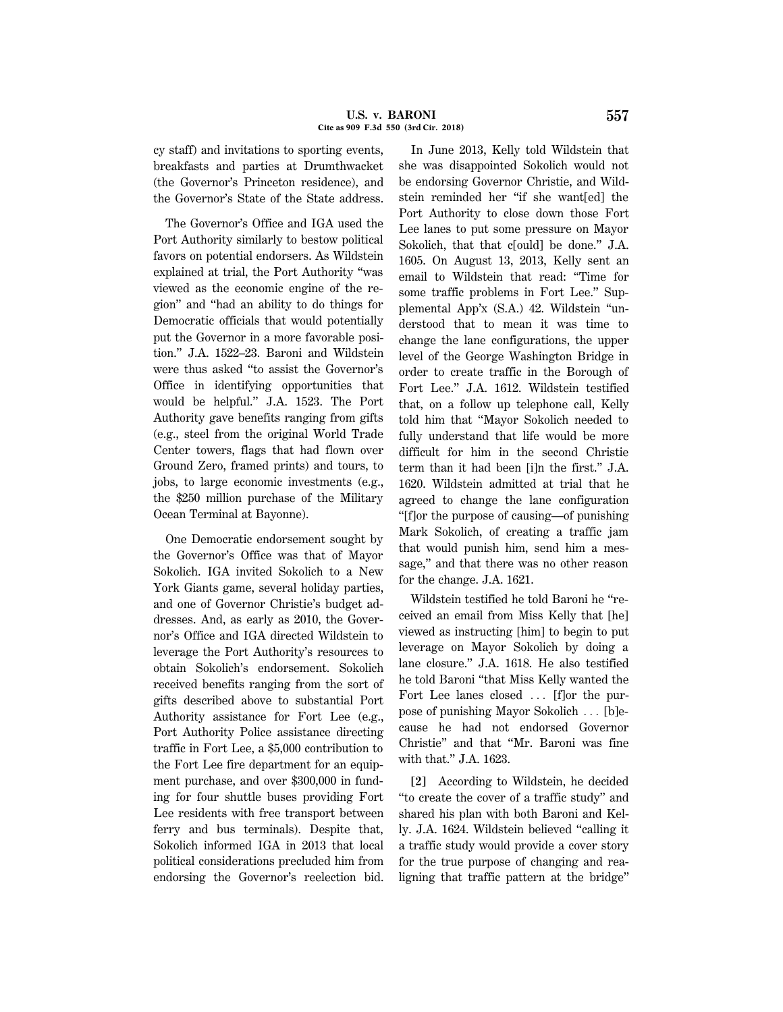cy staff) and invitations to sporting events, breakfasts and parties at Drumthwacket (the Governor's Princeton residence), and the Governor's State of the State address.

The Governor's Office and IGA used the Port Authority similarly to bestow political favors on potential endorsers. As Wildstein explained at trial, the Port Authority ''was viewed as the economic engine of the region'' and ''had an ability to do things for Democratic officials that would potentially put the Governor in a more favorable position.'' J.A. 1522–23. Baroni and Wildstein were thus asked ''to assist the Governor's Office in identifying opportunities that would be helpful.'' J.A. 1523. The Port Authority gave benefits ranging from gifts (e.g., steel from the original World Trade Center towers, flags that had flown over Ground Zero, framed prints) and tours, to jobs, to large economic investments (e.g., the \$250 million purchase of the Military Ocean Terminal at Bayonne).

One Democratic endorsement sought by the Governor's Office was that of Mayor Sokolich. IGA invited Sokolich to a New York Giants game, several holiday parties, and one of Governor Christie's budget addresses. And, as early as 2010, the Governor's Office and IGA directed Wildstein to leverage the Port Authority's resources to obtain Sokolich's endorsement. Sokolich received benefits ranging from the sort of gifts described above to substantial Port Authority assistance for Fort Lee (e.g., Port Authority Police assistance directing traffic in Fort Lee, a \$5,000 contribution to the Fort Lee fire department for an equipment purchase, and over \$300,000 in funding for four shuttle buses providing Fort Lee residents with free transport between ferry and bus terminals). Despite that, Sokolich informed IGA in 2013 that local political considerations precluded him from endorsing the Governor's reelection bid.

In June 2013, Kelly told Wildstein that she was disappointed Sokolich would not be endorsing Governor Christie, and Wildstein reminded her ''if she want[ed] the Port Authority to close down those Fort Lee lanes to put some pressure on Mayor Sokolich, that that c[ould] be done.'' J.A. 1605. On August 13, 2013, Kelly sent an email to Wildstein that read: ''Time for some traffic problems in Fort Lee.'' Supplemental App'x (S.A.) 42. Wildstein ''understood that to mean it was time to change the lane configurations, the upper level of the George Washington Bridge in order to create traffic in the Borough of Fort Lee.'' J.A. 1612. Wildstein testified that, on a follow up telephone call, Kelly told him that ''Mayor Sokolich needed to fully understand that life would be more difficult for him in the second Christie term than it had been [i]n the first.'' J.A. 1620. Wildstein admitted at trial that he agreed to change the lane configuration ''[f]or the purpose of causing—of punishing Mark Sokolich, of creating a traffic jam that would punish him, send him a message,'' and that there was no other reason for the change. J.A. 1621.

Wildstein testified he told Baroni he ''received an email from Miss Kelly that [he] viewed as instructing [him] to begin to put leverage on Mayor Sokolich by doing a lane closure.'' J.A. 1618. He also testified he told Baroni ''that Miss Kelly wanted the Fort Lee lanes closed  $\ldots$  [f]or the purpose of punishing Mayor Sokolich ... [b]ecause he had not endorsed Governor Christie'' and that ''Mr. Baroni was fine with that.'' J.A. 1623.

**[2]** According to Wildstein, he decided ''to create the cover of a traffic study'' and shared his plan with both Baroni and Kelly. J.A. 1624. Wildstein believed ''calling it a traffic study would provide a cover story for the true purpose of changing and realigning that traffic pattern at the bridge''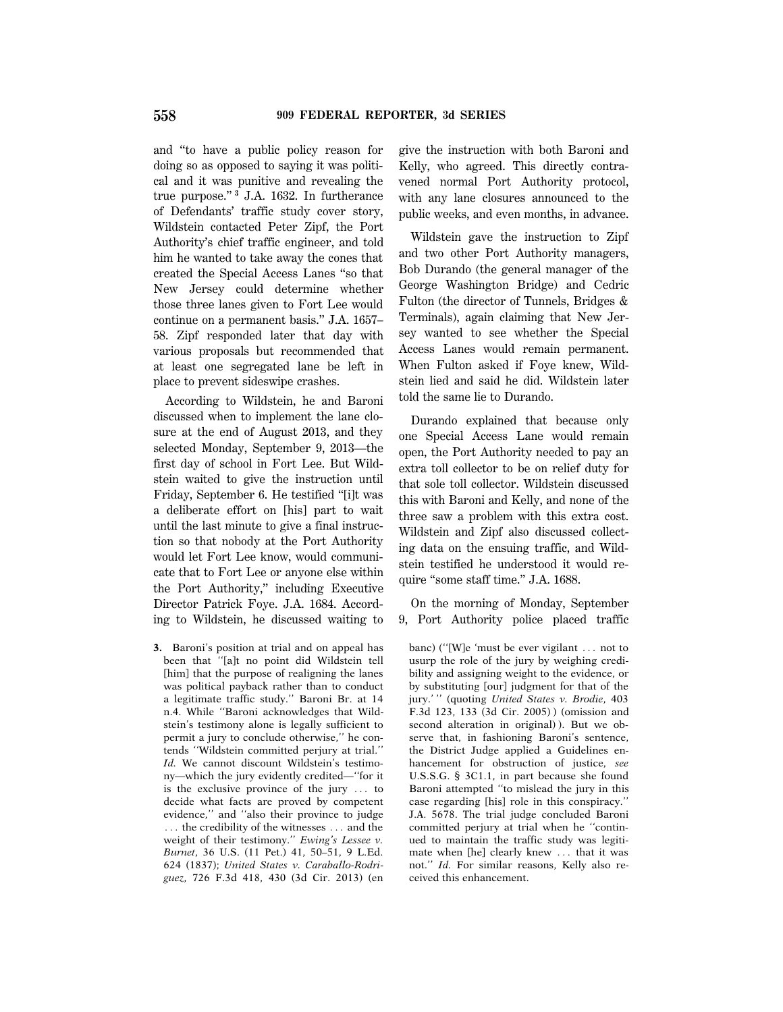and ''to have a public policy reason for doing so as opposed to saying it was political and it was punitive and revealing the true purpose.'' **<sup>3</sup>** J.A. 1632. In furtherance of Defendants' traffic study cover story, Wildstein contacted Peter Zipf, the Port Authority's chief traffic engineer, and told him he wanted to take away the cones that created the Special Access Lanes ''so that New Jersey could determine whether those three lanes given to Fort Lee would continue on a permanent basis.'' J.A. 1657– 58. Zipf responded later that day with various proposals but recommended that at least one segregated lane be left in place to prevent sideswipe crashes.

According to Wildstein, he and Baroni discussed when to implement the lane closure at the end of August 2013, and they selected Monday, September 9, 2013—the first day of school in Fort Lee. But Wildstein waited to give the instruction until Friday, September 6. He testified ''[i]t was a deliberate effort on [his] part to wait until the last minute to give a final instruction so that nobody at the Port Authority would let Fort Lee know, would communicate that to Fort Lee or anyone else within the Port Authority,'' including Executive Director Patrick Foye. J.A. 1684. According to Wildstein, he discussed waiting to

**3.** Baroni's position at trial and on appeal has been that ''[a]t no point did Wildstein tell [him] that the purpose of realigning the lanes was political payback rather than to conduct a legitimate traffic study.'' Baroni Br. at 14 n.4. While ''Baroni acknowledges that Wildstein's testimony alone is legally sufficient to permit a jury to conclude otherwise,'' he contends ''Wildstein committed perjury at trial.'' *Id.* We cannot discount Wildstein's testimony—which the jury evidently credited—''for it is the exclusive province of the jury  $\ldots$  to decide what facts are proved by competent evidence,'' and ''also their province to judge ... the credibility of the witnesses ... and the weight of their testimony.'' *Ewing's Lessee v. Burnet*, 36 U.S. (11 Pet.) 41, 50–51, 9 L.Ed. 624 (1837); *United States v. Caraballo-Rodriguez*, 726 F.3d 418, 430 (3d Cir. 2013) (en

give the instruction with both Baroni and Kelly, who agreed. This directly contravened normal Port Authority protocol, with any lane closures announced to the public weeks, and even months, in advance.

Wildstein gave the instruction to Zipf and two other Port Authority managers, Bob Durando (the general manager of the George Washington Bridge) and Cedric Fulton (the director of Tunnels, Bridges & Terminals), again claiming that New Jersey wanted to see whether the Special Access Lanes would remain permanent. When Fulton asked if Foye knew, Wildstein lied and said he did. Wildstein later told the same lie to Durando.

Durando explained that because only one Special Access Lane would remain open, the Port Authority needed to pay an extra toll collector to be on relief duty for that sole toll collector. Wildstein discussed this with Baroni and Kelly, and none of the three saw a problem with this extra cost. Wildstein and Zipf also discussed collecting data on the ensuing traffic, and Wildstein testified he understood it would require "some staff time." J.A. 1688.

On the morning of Monday, September 9, Port Authority police placed traffic

banc) ("[W]e 'must be ever vigilant  $\ldots$  not to usurp the role of the jury by weighing credibility and assigning weight to the evidence, or by substituting [our] judgment for that of the jury.' '' (quoting *United States v. Brodie*, 403 F.3d 123, 133 (3d Cir. 2005) ) (omission and second alteration in original) ). But we observe that, in fashioning Baroni's sentence, the District Judge applied a Guidelines enhancement for obstruction of justice, *see* U.S.S.G. § 3C1.1, in part because she found Baroni attempted ''to mislead the jury in this case regarding [his] role in this conspiracy.'' J.A. 5678. The trial judge concluded Baroni committed perjury at trial when he ''continued to maintain the traffic study was legitimate when [he] clearly knew ... that it was not.'' *Id.* For similar reasons, Kelly also received this enhancement.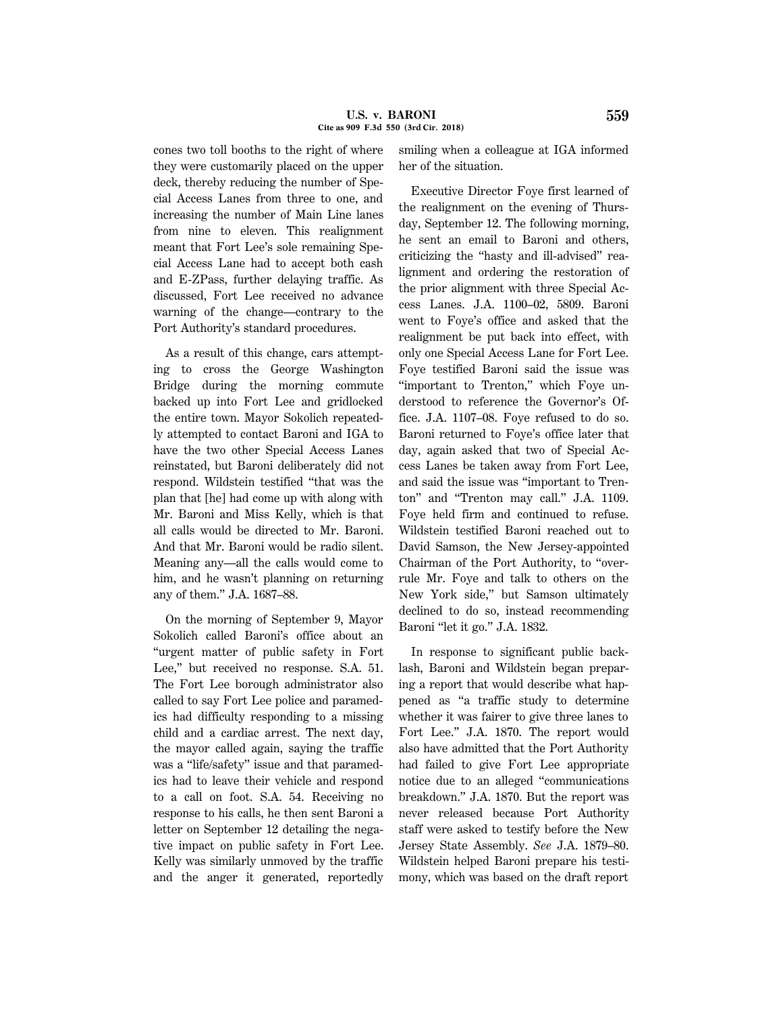cones two toll booths to the right of where they were customarily placed on the upper deck, thereby reducing the number of Special Access Lanes from three to one, and increasing the number of Main Line lanes from nine to eleven. This realignment meant that Fort Lee's sole remaining Special Access Lane had to accept both cash and E-ZPass, further delaying traffic. As discussed, Fort Lee received no advance warning of the change—contrary to the Port Authority's standard procedures.

As a result of this change, cars attempting to cross the George Washington Bridge during the morning commute backed up into Fort Lee and gridlocked the entire town. Mayor Sokolich repeatedly attempted to contact Baroni and IGA to have the two other Special Access Lanes reinstated, but Baroni deliberately did not respond. Wildstein testified ''that was the plan that [he] had come up with along with Mr. Baroni and Miss Kelly, which is that all calls would be directed to Mr. Baroni. And that Mr. Baroni would be radio silent. Meaning any—all the calls would come to him, and he wasn't planning on returning any of them.'' J.A. 1687–88.

On the morning of September 9, Mayor Sokolich called Baroni's office about an ''urgent matter of public safety in Fort Lee,'' but received no response. S.A. 51. The Fort Lee borough administrator also called to say Fort Lee police and paramedics had difficulty responding to a missing child and a cardiac arrest. The next day, the mayor called again, saying the traffic was a ''life/safety'' issue and that paramedics had to leave their vehicle and respond to a call on foot. S.A. 54. Receiving no response to his calls, he then sent Baroni a letter on September 12 detailing the negative impact on public safety in Fort Lee. Kelly was similarly unmoved by the traffic and the anger it generated, reportedly smiling when a colleague at IGA informed her of the situation.

Executive Director Foye first learned of the realignment on the evening of Thursday, September 12. The following morning, he sent an email to Baroni and others, criticizing the ''hasty and ill-advised'' realignment and ordering the restoration of the prior alignment with three Special Access Lanes. J.A. 1100–02, 5809. Baroni went to Foye's office and asked that the realignment be put back into effect, with only one Special Access Lane for Fort Lee. Foye testified Baroni said the issue was "important to Trenton," which Foye understood to reference the Governor's Office. J.A. 1107–08. Foye refused to do so. Baroni returned to Foye's office later that day, again asked that two of Special Access Lanes be taken away from Fort Lee, and said the issue was ''important to Trenton'' and ''Trenton may call.'' J.A. 1109. Foye held firm and continued to refuse. Wildstein testified Baroni reached out to David Samson, the New Jersey-appointed Chairman of the Port Authority, to ''overrule Mr. Foye and talk to others on the New York side,'' but Samson ultimately declined to do so, instead recommending Baroni "let it go." J.A. 1832.

In response to significant public backlash, Baroni and Wildstein began preparing a report that would describe what happened as ''a traffic study to determine whether it was fairer to give three lanes to Fort Lee.'' J.A. 1870. The report would also have admitted that the Port Authority had failed to give Fort Lee appropriate notice due to an alleged ''communications breakdown.'' J.A. 1870. But the report was never released because Port Authority staff were asked to testify before the New Jersey State Assembly. *See* J.A. 1879–80. Wildstein helped Baroni prepare his testimony, which was based on the draft report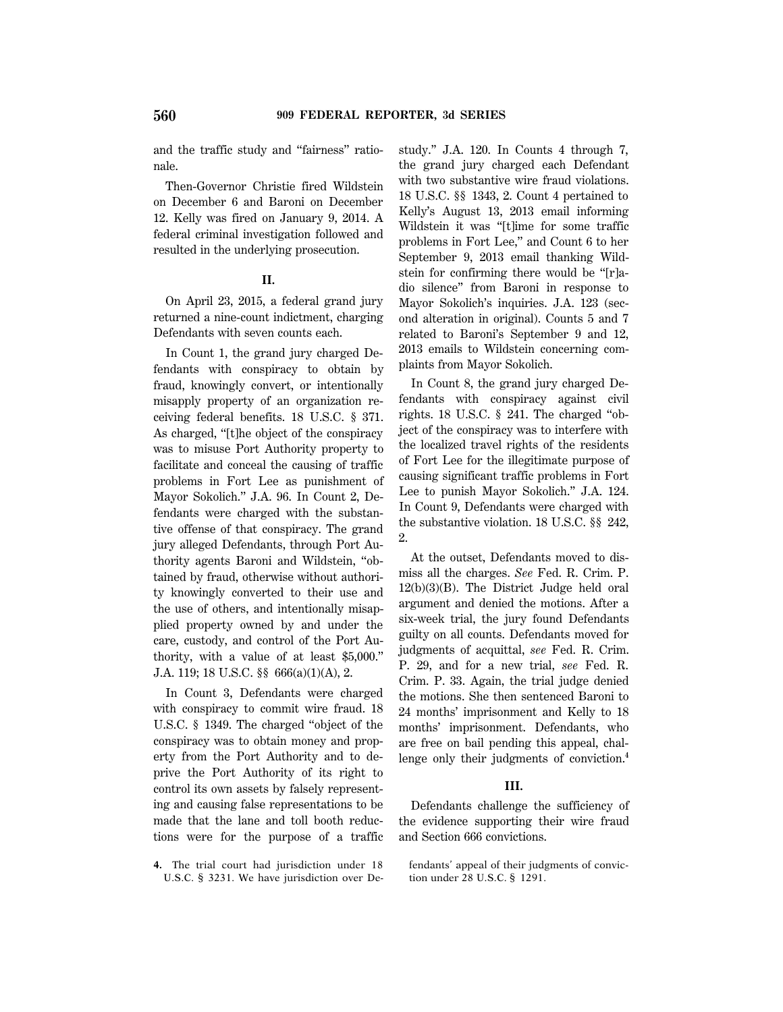and the traffic study and ''fairness'' rationale.

Then-Governor Christie fired Wildstein on December 6 and Baroni on December 12. Kelly was fired on January 9, 2014. A federal criminal investigation followed and resulted in the underlying prosecution.

### **II.**

On April 23, 2015, a federal grand jury returned a nine-count indictment, charging Defendants with seven counts each.

In Count 1, the grand jury charged Defendants with conspiracy to obtain by fraud, knowingly convert, or intentionally misapply property of an organization receiving federal benefits. 18 U.S.C. § 371. As charged, ''[t]he object of the conspiracy was to misuse Port Authority property to facilitate and conceal the causing of traffic problems in Fort Lee as punishment of Mayor Sokolich.'' J.A. 96. In Count 2, Defendants were charged with the substantive offense of that conspiracy. The grand jury alleged Defendants, through Port Authority agents Baroni and Wildstein, ''obtained by fraud, otherwise without authority knowingly converted to their use and the use of others, and intentionally misapplied property owned by and under the care, custody, and control of the Port Authority, with a value of at least \$5,000.'' J.A. 119; 18 U.S.C. §§ 666(a)(1)(A), 2.

In Count 3, Defendants were charged with conspiracy to commit wire fraud. 18 U.S.C. § 1349. The charged ''object of the conspiracy was to obtain money and property from the Port Authority and to deprive the Port Authority of its right to control its own assets by falsely representing and causing false representations to be made that the lane and toll booth reductions were for the purpose of a traffic study.'' J.A. 120. In Counts 4 through 7, the grand jury charged each Defendant with two substantive wire fraud violations. 18 U.S.C. §§ 1343, 2. Count 4 pertained to Kelly's August 13, 2013 email informing Wildstein it was ''[t]ime for some traffic problems in Fort Lee,'' and Count 6 to her September 9, 2013 email thanking Wildstein for confirming there would be "[r]adio silence'' from Baroni in response to Mayor Sokolich's inquiries. J.A. 123 (second alteration in original). Counts 5 and 7 related to Baroni's September 9 and 12, 2013 emails to Wildstein concerning complaints from Mayor Sokolich.

In Count 8, the grand jury charged Defendants with conspiracy against civil rights. 18 U.S.C. § 241. The charged ''object of the conspiracy was to interfere with the localized travel rights of the residents of Fort Lee for the illegitimate purpose of causing significant traffic problems in Fort Lee to punish Mayor Sokolich.'' J.A. 124. In Count 9, Defendants were charged with the substantive violation. 18 U.S.C. §§ 242, 2.

At the outset, Defendants moved to dismiss all the charges. *See* Fed. R. Crim. P. 12(b)(3)(B). The District Judge held oral argument and denied the motions. After a six-week trial, the jury found Defendants guilty on all counts. Defendants moved for judgments of acquittal, *see* Fed. R. Crim. P. 29, and for a new trial, *see* Fed. R. Crim. P. 33. Again, the trial judge denied the motions. She then sentenced Baroni to 24 months' imprisonment and Kelly to 18 months' imprisonment. Defendants, who are free on bail pending this appeal, challenge only their judgments of conviction.**<sup>4</sup>**

### **III.**

Defendants challenge the sufficiency of the evidence supporting their wire fraud and Section 666 convictions.

**<sup>4.</sup>** The trial court had jurisdiction under 18 U.S.C. § 3231. We have jurisdiction over De-

fendants' appeal of their judgments of conviction under 28 U.S.C. § 1291.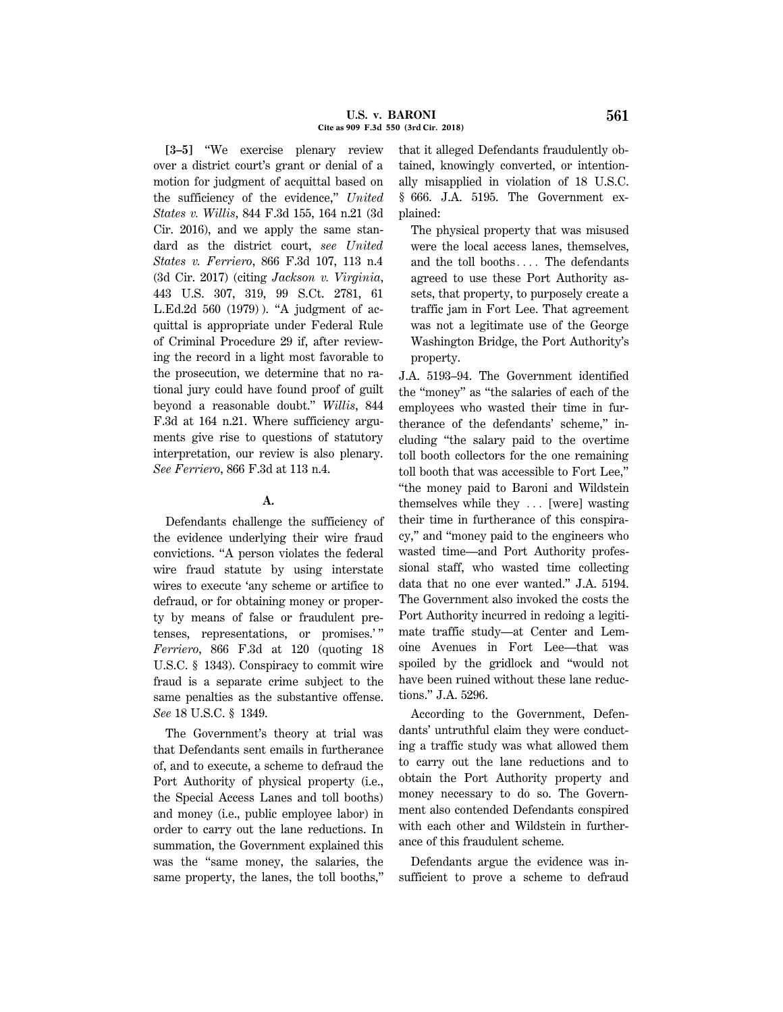[3–5] "We exercise plenary review over a district court's grant or denial of a motion for judgment of acquittal based on the sufficiency of the evidence,'' *United States v. Willis*, 844 F.3d 155, 164 n.21 (3d Cir. 2016), and we apply the same standard as the district court, *see United States v. Ferriero*, 866 F.3d 107, 113 n.4 (3d Cir. 2017) (citing *Jackson v. Virginia*, 443 U.S. 307, 319, 99 S.Ct. 2781, 61 L.Ed.2d 560 (1979)). "A judgment of acquittal is appropriate under Federal Rule of Criminal Procedure 29 if, after reviewing the record in a light most favorable to the prosecution, we determine that no rational jury could have found proof of guilt beyond a reasonable doubt.'' *Willis*, 844 F.3d at 164 n.21. Where sufficiency arguments give rise to questions of statutory interpretation, our review is also plenary. *See Ferriero*, 866 F.3d at 113 n.4.

# **A.**

Defendants challenge the sufficiency of the evidence underlying their wire fraud convictions. ''A person violates the federal wire fraud statute by using interstate wires to execute 'any scheme or artifice to defraud, or for obtaining money or property by means of false or fraudulent pretenses, representations, or promises.' '' *Ferriero*, 866 F.3d at 120 (quoting 18 U.S.C. § 1343). Conspiracy to commit wire fraud is a separate crime subject to the same penalties as the substantive offense. *See* 18 U.S.C. § 1349.

The Government's theory at trial was that Defendants sent emails in furtherance of, and to execute, a scheme to defraud the Port Authority of physical property (i.e., the Special Access Lanes and toll booths) and money (i.e., public employee labor) in order to carry out the lane reductions. In summation, the Government explained this was the "same money, the salaries, the same property, the lanes, the toll booths,''

that it alleged Defendants fraudulently obtained, knowingly converted, or intentionally misapplied in violation of 18 U.S.C. § 666. J.A. 5195. The Government explained:

The physical property that was misused were the local access lanes, themselves, and the toll booths.... The defendants agreed to use these Port Authority assets, that property, to purposely create a traffic jam in Fort Lee. That agreement was not a legitimate use of the George Washington Bridge, the Port Authority's property.

J.A. 5193–94. The Government identified the ''money'' as ''the salaries of each of the employees who wasted their time in furtherance of the defendants' scheme,'' including ''the salary paid to the overtime toll booth collectors for the one remaining toll booth that was accessible to Fort Lee,'' ''the money paid to Baroni and Wildstein themselves while they  $\ldots$  [were] wasting their time in furtherance of this conspiracy,'' and ''money paid to the engineers who wasted time—and Port Authority professional staff, who wasted time collecting data that no one ever wanted.'' J.A. 5194. The Government also invoked the costs the Port Authority incurred in redoing a legitimate traffic study—at Center and Lemoine Avenues in Fort Lee—that was spoiled by the gridlock and ''would not have been ruined without these lane reductions.'' J.A. 5296.

According to the Government, Defendants' untruthful claim they were conducting a traffic study was what allowed them to carry out the lane reductions and to obtain the Port Authority property and money necessary to do so. The Government also contended Defendants conspired with each other and Wildstein in furtherance of this fraudulent scheme.

Defendants argue the evidence was insufficient to prove a scheme to defraud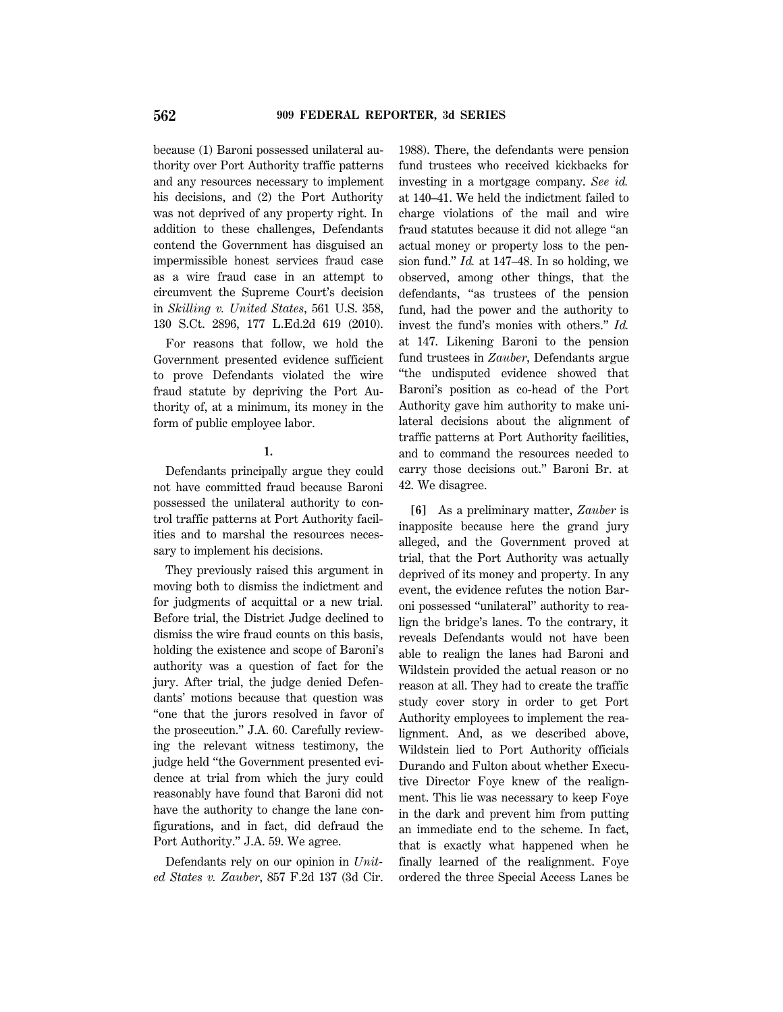because (1) Baroni possessed unilateral authority over Port Authority traffic patterns and any resources necessary to implement his decisions, and (2) the Port Authority was not deprived of any property right. In addition to these challenges, Defendants contend the Government has disguised an impermissible honest services fraud case as a wire fraud case in an attempt to circumvent the Supreme Court's decision in *Skilling v. United States*, 561 U.S. 358, 130 S.Ct. 2896, 177 L.Ed.2d 619 (2010).

For reasons that follow, we hold the Government presented evidence sufficient to prove Defendants violated the wire fraud statute by depriving the Port Authority of, at a minimum, its money in the form of public employee labor.

## **1.**

Defendants principally argue they could not have committed fraud because Baroni possessed the unilateral authority to control traffic patterns at Port Authority facilities and to marshal the resources necessary to implement his decisions.

They previously raised this argument in moving both to dismiss the indictment and for judgments of acquittal or a new trial. Before trial, the District Judge declined to dismiss the wire fraud counts on this basis, holding the existence and scope of Baroni's authority was a question of fact for the jury. After trial, the judge denied Defendants' motions because that question was ''one that the jurors resolved in favor of the prosecution.'' J.A. 60. Carefully reviewing the relevant witness testimony, the judge held ''the Government presented evidence at trial from which the jury could reasonably have found that Baroni did not have the authority to change the lane configurations, and in fact, did defraud the Port Authority.'' J.A. 59. We agree.

Defendants rely on our opinion in *United States v. Zauber*, 857 F.2d 137 (3d Cir. 1988). There, the defendants were pension fund trustees who received kickbacks for investing in a mortgage company. *See id.* at 140–41. We held the indictment failed to charge violations of the mail and wire fraud statutes because it did not allege ''an actual money or property loss to the pension fund.'' *Id.* at 147–48. In so holding, we observed, among other things, that the defendants, ''as trustees of the pension fund, had the power and the authority to invest the fund's monies with others.'' *Id.* at 147. Likening Baroni to the pension fund trustees in *Zauber*, Defendants argue ''the undisputed evidence showed that Baroni's position as co-head of the Port Authority gave him authority to make unilateral decisions about the alignment of traffic patterns at Port Authority facilities, and to command the resources needed to carry those decisions out.'' Baroni Br. at 42. We disagree.

**[6]** As a preliminary matter, *Zauber* is inapposite because here the grand jury alleged, and the Government proved at trial, that the Port Authority was actually deprived of its money and property. In any event, the evidence refutes the notion Baroni possessed ''unilateral'' authority to realign the bridge's lanes. To the contrary, it reveals Defendants would not have been able to realign the lanes had Baroni and Wildstein provided the actual reason or no reason at all. They had to create the traffic study cover story in order to get Port Authority employees to implement the realignment. And, as we described above, Wildstein lied to Port Authority officials Durando and Fulton about whether Executive Director Foye knew of the realignment. This lie was necessary to keep Foye in the dark and prevent him from putting an immediate end to the scheme. In fact, that is exactly what happened when he finally learned of the realignment. Foye ordered the three Special Access Lanes be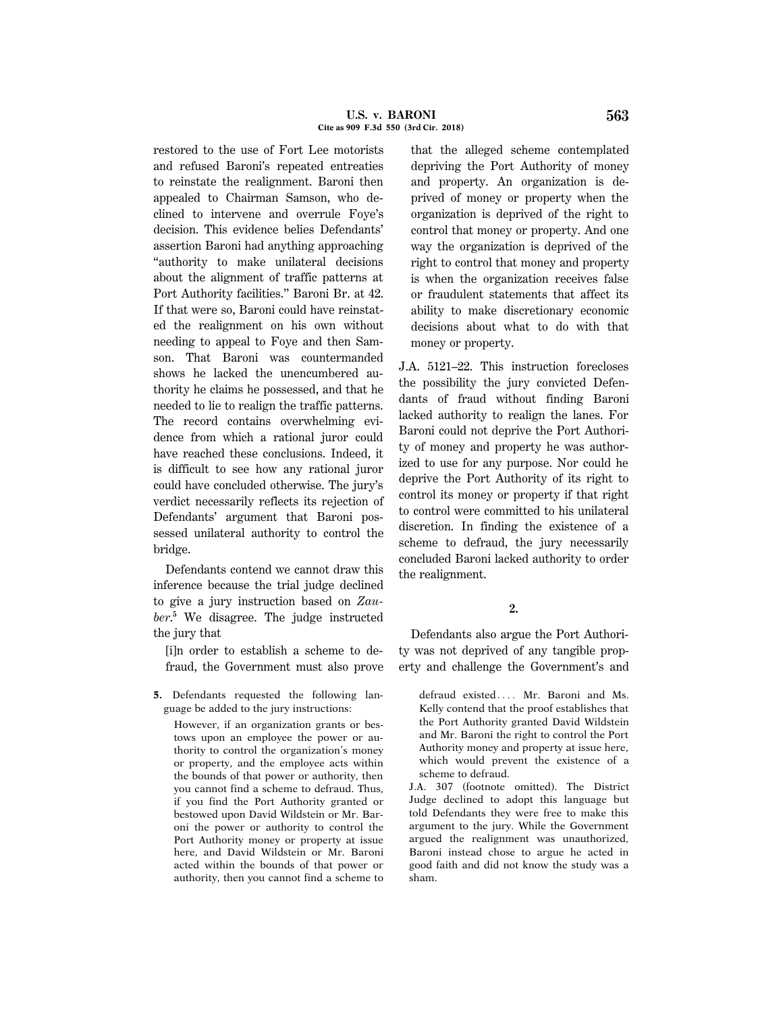restored to the use of Fort Lee motorists and refused Baroni's repeated entreaties to reinstate the realignment. Baroni then appealed to Chairman Samson, who declined to intervene and overrule Foye's decision. This evidence belies Defendants' assertion Baroni had anything approaching ''authority to make unilateral decisions about the alignment of traffic patterns at Port Authority facilities.'' Baroni Br. at 42. If that were so, Baroni could have reinstated the realignment on his own without needing to appeal to Foye and then Samson. That Baroni was countermanded shows he lacked the unencumbered authority he claims he possessed, and that he needed to lie to realign the traffic patterns. The record contains overwhelming evidence from which a rational juror could have reached these conclusions. Indeed, it is difficult to see how any rational juror could have concluded otherwise. The jury's verdict necessarily reflects its rejection of Defendants' argument that Baroni possessed unilateral authority to control the bridge.

Defendants contend we cannot draw this inference because the trial judge declined to give a jury instruction based on *Zauber*. **5** We disagree. The judge instructed the jury that

[i]n order to establish a scheme to defraud, the Government must also prove

**5.** Defendants requested the following language be added to the jury instructions:

However, if an organization grants or bestows upon an employee the power or authority to control the organization's money or property, and the employee acts within the bounds of that power or authority, then you cannot find a scheme to defraud. Thus, if you find the Port Authority granted or bestowed upon David Wildstein or Mr. Baroni the power or authority to control the Port Authority money or property at issue here, and David Wildstein or Mr. Baroni acted within the bounds of that power or authority, then you cannot find a scheme to

that the alleged scheme contemplated depriving the Port Authority of money and property. An organization is deprived of money or property when the organization is deprived of the right to control that money or property. And one way the organization is deprived of the right to control that money and property is when the organization receives false or fraudulent statements that affect its ability to make discretionary economic decisions about what to do with that money or property.

J.A. 5121–22. This instruction forecloses the possibility the jury convicted Defendants of fraud without finding Baroni lacked authority to realign the lanes. For Baroni could not deprive the Port Authority of money and property he was authorized to use for any purpose. Nor could he deprive the Port Authority of its right to control its money or property if that right to control were committed to his unilateral discretion. In finding the existence of a scheme to defraud, the jury necessarily concluded Baroni lacked authority to order the realignment.

# **2.**

Defendants also argue the Port Authority was not deprived of any tangible property and challenge the Government's and

defraud existed.... Mr. Baroni and Ms. Kelly contend that the proof establishes that the Port Authority granted David Wildstein and Mr. Baroni the right to control the Port Authority money and property at issue here, which would prevent the existence of a scheme to defraud.

J.A. 307 (footnote omitted). The District Judge declined to adopt this language but told Defendants they were free to make this argument to the jury. While the Government argued the realignment was unauthorized, Baroni instead chose to argue he acted in good faith and did not know the study was a sham.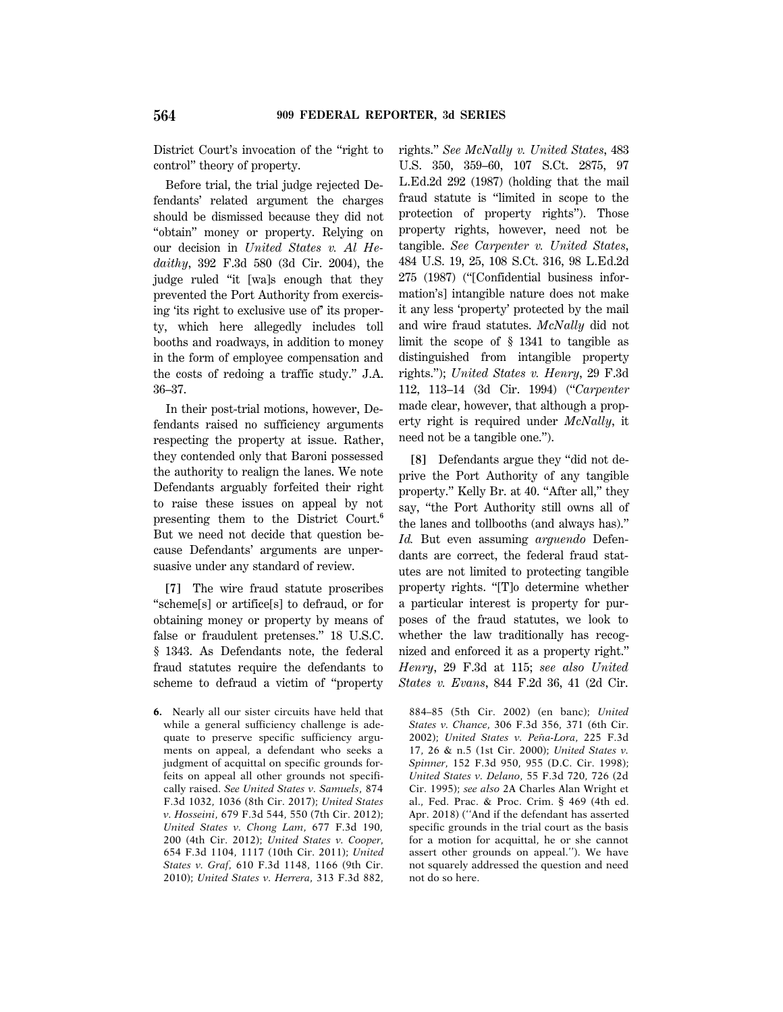District Court's invocation of the "right to control'' theory of property.

Before trial, the trial judge rejected Defendants' related argument the charges should be dismissed because they did not ''obtain'' money or property. Relying on our decision in *United States v. Al Hedaithy*, 392 F.3d 580 (3d Cir. 2004), the judge ruled ''it [wa]s enough that they prevented the Port Authority from exercising 'its right to exclusive use of' its property, which here allegedly includes toll booths and roadways, in addition to money in the form of employee compensation and the costs of redoing a traffic study.'' J.A. 36–37.

In their post-trial motions, however, Defendants raised no sufficiency arguments respecting the property at issue. Rather, they contended only that Baroni possessed the authority to realign the lanes. We note Defendants arguably forfeited their right to raise these issues on appeal by not presenting them to the District Court.**<sup>6</sup>** But we need not decide that question because Defendants' arguments are unpersuasive under any standard of review.

**[7]** The wire fraud statute proscribes ''scheme[s] or artifice[s] to defraud, or for obtaining money or property by means of false or fraudulent pretenses.'' 18 U.S.C. § 1343. As Defendants note, the federal fraud statutes require the defendants to scheme to defraud a victim of ''property

**6.** Nearly all our sister circuits have held that while a general sufficiency challenge is adequate to preserve specific sufficiency arguments on appeal, a defendant who seeks a judgment of acquittal on specific grounds forfeits on appeal all other grounds not specifically raised. *See United States v. Samuels*, 874 F.3d 1032, 1036 (8th Cir. 2017); *United States v. Hosseini*, 679 F.3d 544, 550 (7th Cir. 2012); *United States v. Chong Lam*, 677 F.3d 190, 200 (4th Cir. 2012); *United States v. Cooper*, 654 F.3d 1104, 1117 (10th Cir. 2011); *United States v. Graf*, 610 F.3d 1148, 1166 (9th Cir. 2010); *United States v. Herrera*, 313 F.3d 882, rights.'' *See McNally v. United States*, 483 U.S. 350, 359–60, 107 S.Ct. 2875, 97 L.Ed.2d 292 (1987) (holding that the mail fraud statute is ''limited in scope to the protection of property rights''). Those property rights, however, need not be tangible. *See Carpenter v. United States*, 484 U.S. 19, 25, 108 S.Ct. 316, 98 L.Ed.2d 275 (1987) (''[Confidential business information's] intangible nature does not make it any less 'property' protected by the mail and wire fraud statutes. *McNally* did not limit the scope of § 1341 to tangible as distinguished from intangible property rights.''); *United States v. Henry*, 29 F.3d 112, 113–14 (3d Cir. 1994) (''*Carpenter* made clear, however, that although a property right is required under *McNally*, it need not be a tangible one.'').

**[8]** Defendants argue they ''did not deprive the Port Authority of any tangible property." Kelly Br. at 40. "After all," they say, ''the Port Authority still owns all of the lanes and tollbooths (and always has).'' *Id.* But even assuming *arguendo* Defendants are correct, the federal fraud statutes are not limited to protecting tangible property rights. ''[T]o determine whether a particular interest is property for purposes of the fraud statutes, we look to whether the law traditionally has recognized and enforced it as a property right.'' *Henry*, 29 F.3d at 115; *see also United States v. Evans*, 844 F.2d 36, 41 (2d Cir.

884–85 (5th Cir. 2002) (en banc); *United States v. Chance*, 306 F.3d 356, 371 (6th Cir. 2002); *United States v. Peña-Lora*, 225 F.3d 17, 26 & n.5 (1st Cir. 2000); *United States v. Spinner*, 152 F.3d 950, 955 (D.C. Cir. 1998); *United States v. Delano*, 55 F.3d 720, 726 (2d Cir. 1995); *see also* 2A Charles Alan Wright et al., Fed. Prac. & Proc. Crim. § 469 (4th ed. Apr. 2018) (''And if the defendant has asserted specific grounds in the trial court as the basis for a motion for acquittal, he or she cannot assert other grounds on appeal.''). We have not squarely addressed the question and need not do so here.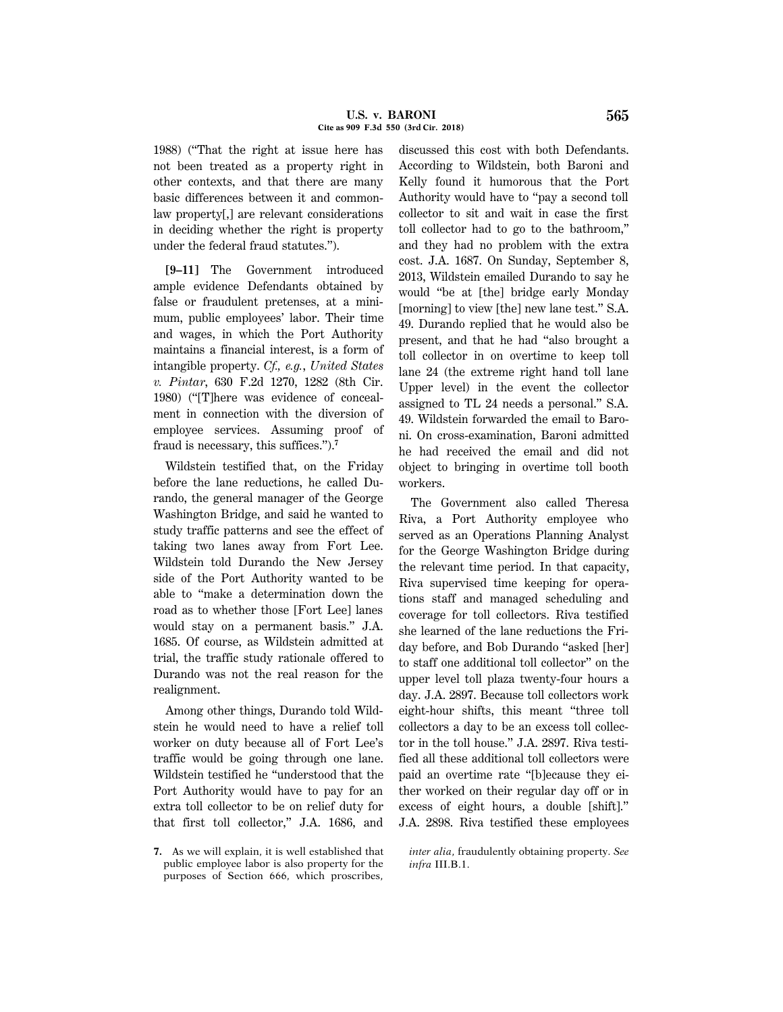1988) (''That the right at issue here has not been treated as a property right in other contexts, and that there are many basic differences between it and commonlaw property[,] are relevant considerations in deciding whether the right is property under the federal fraud statutes.'').

**[9–11]** The Government introduced ample evidence Defendants obtained by false or fraudulent pretenses, at a minimum, public employees' labor. Their time and wages, in which the Port Authority maintains a financial interest, is a form of intangible property. *Cf., e.g.*, *United States v. Pintar*, 630 F.2d 1270, 1282 (8th Cir. 1980) (''[T]here was evidence of concealment in connection with the diversion of employee services. Assuming proof of fraud is necessary, this suffices.'').**<sup>7</sup>**

Wildstein testified that, on the Friday before the lane reductions, he called Durando, the general manager of the George Washington Bridge, and said he wanted to study traffic patterns and see the effect of taking two lanes away from Fort Lee. Wildstein told Durando the New Jersey side of the Port Authority wanted to be able to ''make a determination down the road as to whether those [Fort Lee] lanes would stay on a permanent basis.'' J.A. 1685. Of course, as Wildstein admitted at trial, the traffic study rationale offered to Durando was not the real reason for the realignment.

Among other things, Durando told Wildstein he would need to have a relief toll worker on duty because all of Fort Lee's traffic would be going through one lane. Wildstein testified he ''understood that the Port Authority would have to pay for an extra toll collector to be on relief duty for that first toll collector,'' J.A. 1686, and

**7.** As we will explain, it is well established that public employee labor is also property for the purposes of Section 666, which proscribes,

discussed this cost with both Defendants. According to Wildstein, both Baroni and Kelly found it humorous that the Port Authority would have to ''pay a second toll collector to sit and wait in case the first toll collector had to go to the bathroom,'' and they had no problem with the extra cost. J.A. 1687. On Sunday, September 8, 2013, Wildstein emailed Durando to say he would ''be at [the] bridge early Monday [morning] to view [the] new lane test.'' S.A. 49. Durando replied that he would also be present, and that he had ''also brought a toll collector in on overtime to keep toll lane 24 (the extreme right hand toll lane Upper level) in the event the collector assigned to TL 24 needs a personal.'' S.A. 49. Wildstein forwarded the email to Baroni. On cross-examination, Baroni admitted he had received the email and did not object to bringing in overtime toll booth workers.

The Government also called Theresa Riva, a Port Authority employee who served as an Operations Planning Analyst for the George Washington Bridge during the relevant time period. In that capacity, Riva supervised time keeping for operations staff and managed scheduling and coverage for toll collectors. Riva testified she learned of the lane reductions the Friday before, and Bob Durando "asked [her] to staff one additional toll collector'' on the upper level toll plaza twenty-four hours a day. J.A. 2897. Because toll collectors work eight-hour shifts, this meant ''three toll collectors a day to be an excess toll collector in the toll house.'' J.A. 2897. Riva testified all these additional toll collectors were paid an overtime rate ''[b]ecause they either worked on their regular day off or in excess of eight hours, a double [shift].'' J.A. 2898. Riva testified these employees

*inter alia*, fraudulently obtaining property. *See infra* III.B.1.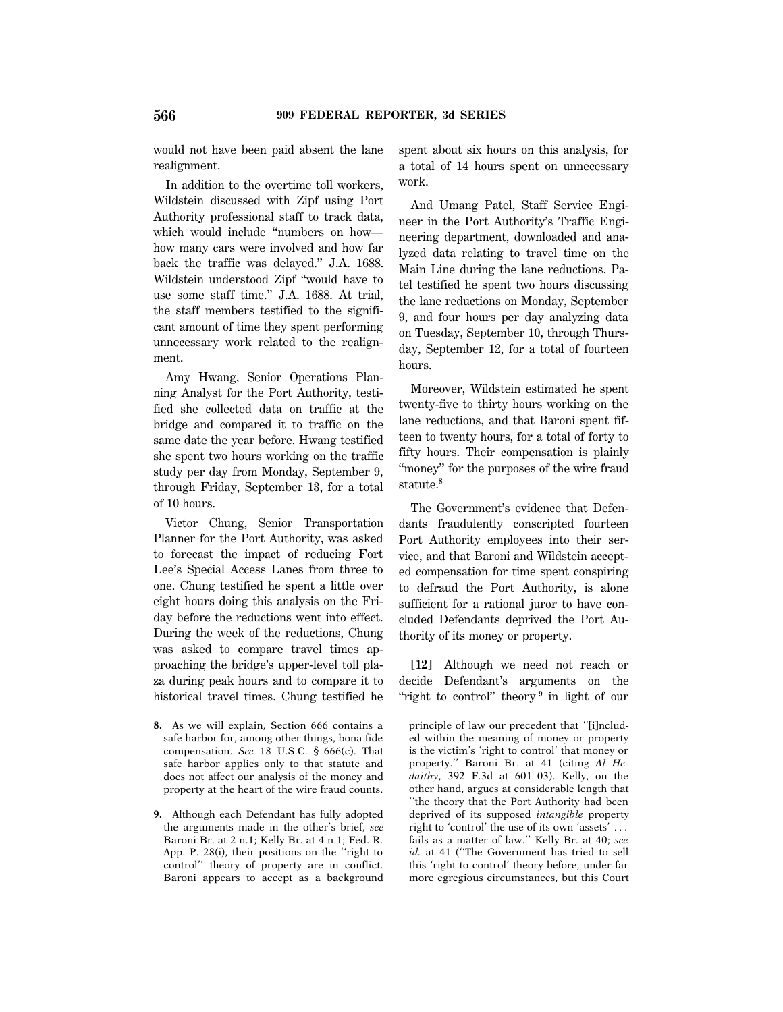would not have been paid absent the lane realignment.

In addition to the overtime toll workers, Wildstein discussed with Zipf using Port Authority professional staff to track data, which would include ''numbers on how how many cars were involved and how far back the traffic was delayed.'' J.A. 1688. Wildstein understood Zipf ''would have to use some staff time.'' J.A. 1688. At trial, the staff members testified to the significant amount of time they spent performing unnecessary work related to the realignment.

Amy Hwang, Senior Operations Planning Analyst for the Port Authority, testified she collected data on traffic at the bridge and compared it to traffic on the same date the year before. Hwang testified she spent two hours working on the traffic study per day from Monday, September 9, through Friday, September 13, for a total of 10 hours.

Victor Chung, Senior Transportation Planner for the Port Authority, was asked to forecast the impact of reducing Fort Lee's Special Access Lanes from three to one. Chung testified he spent a little over eight hours doing this analysis on the Friday before the reductions went into effect. During the week of the reductions, Chung was asked to compare travel times approaching the bridge's upper-level toll plaza during peak hours and to compare it to historical travel times. Chung testified he

- **8.** As we will explain, Section 666 contains a safe harbor for, among other things, bona fide compensation. *See* 18 U.S.C. § 666(c). That safe harbor applies only to that statute and does not affect our analysis of the money and property at the heart of the wire fraud counts.
- **9.** Although each Defendant has fully adopted the arguments made in the other's brief, *see* Baroni Br. at 2 n.1; Kelly Br. at 4 n.1; Fed. R. App. P. 28(i), their positions on the ''right to control'' theory of property are in conflict. Baroni appears to accept as a background

spent about six hours on this analysis, for a total of 14 hours spent on unnecessary work.

And Umang Patel, Staff Service Engineer in the Port Authority's Traffic Engineering department, downloaded and analyzed data relating to travel time on the Main Line during the lane reductions. Patel testified he spent two hours discussing the lane reductions on Monday, September 9, and four hours per day analyzing data on Tuesday, September 10, through Thursday, September 12, for a total of fourteen hours.

Moreover, Wildstein estimated he spent twenty-five to thirty hours working on the lane reductions, and that Baroni spent fifteen to twenty hours, for a total of forty to fifty hours. Their compensation is plainly ''money'' for the purposes of the wire fraud statute.**<sup>8</sup>**

The Government's evidence that Defendants fraudulently conscripted fourteen Port Authority employees into their service, and that Baroni and Wildstein accepted compensation for time spent conspiring to defraud the Port Authority, is alone sufficient for a rational juror to have concluded Defendants deprived the Port Authority of its money or property.

**[12]** Although we need not reach or decide Defendant's arguments on the "right to control" theory <sup>9</sup> in light of our

principle of law our precedent that ''[i]ncluded within the meaning of money or property is the victim's 'right to control' that money or property.'' Baroni Br. at 41 (citing *Al Hedaithy*, 392 F.3d at 601–03). Kelly, on the other hand, argues at considerable length that ''the theory that the Port Authority had been deprived of its supposed *intangible* property right to 'control' the use of its own 'assets'  $\dots$ fails as a matter of law.'' Kelly Br. at 40; *see id.* at 41 (''The Government has tried to sell this 'right to control' theory before, under far more egregious circumstances, but this Court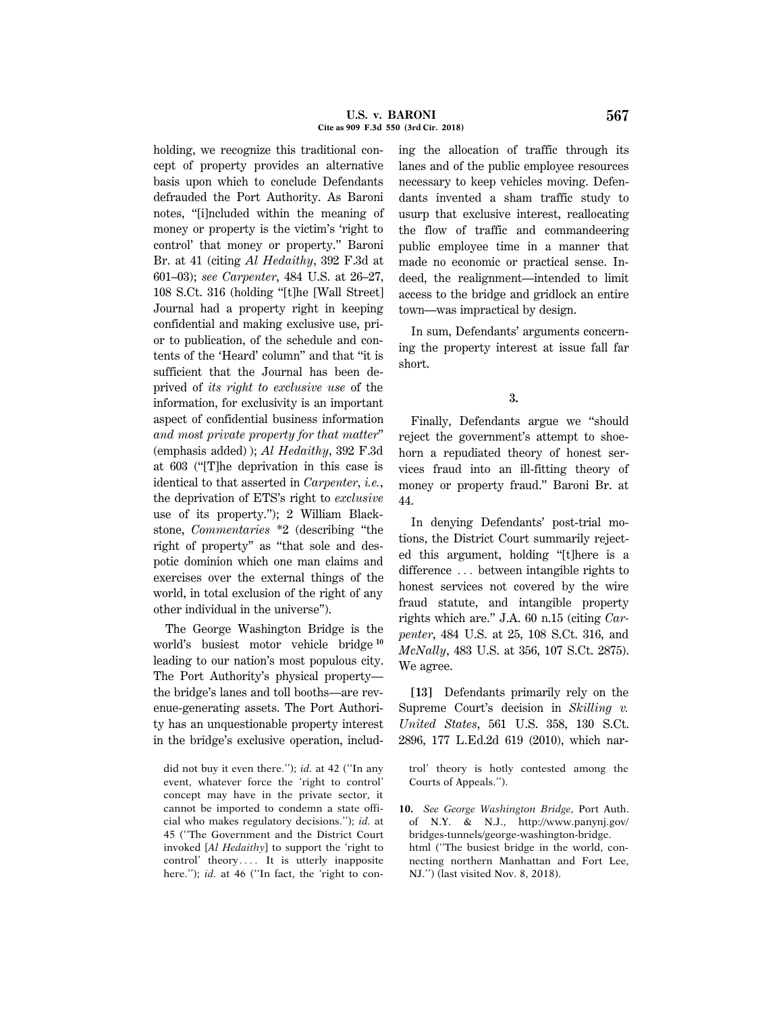holding, we recognize this traditional concept of property provides an alternative basis upon which to conclude Defendants defrauded the Port Authority. As Baroni notes, ''[i]ncluded within the meaning of money or property is the victim's 'right to control' that money or property.'' Baroni Br. at 41 (citing *Al Hedaithy*, 392 F.3d at 601–03); *see Carpenter*, 484 U.S. at 26–27, 108 S.Ct. 316 (holding ''[t]he [Wall Street] Journal had a property right in keeping confidential and making exclusive use, prior to publication, of the schedule and contents of the 'Heard' column'' and that ''it is sufficient that the Journal has been deprived of *its right to exclusive use* of the information, for exclusivity is an important aspect of confidential business information *and most private property for that matter*'' (emphasis added) ); *Al Hedaithy*, 392 F.3d at 603 (''[T]he deprivation in this case is identical to that asserted in *Carpenter*, *i.e.*, the deprivation of ETS's right to *exclusive* use of its property.''); 2 William Blackstone, *Commentaries* \*2 (describing ''the right of property'' as ''that sole and despotic dominion which one man claims and exercises over the external things of the world, in total exclusion of the right of any other individual in the universe'').

The George Washington Bridge is the world's busiest motor vehicle bridge **<sup>10</sup>** leading to our nation's most populous city. The Port Authority's physical property the bridge's lanes and toll booths—are revenue-generating assets. The Port Authority has an unquestionable property interest in the bridge's exclusive operation, including the allocation of traffic through its lanes and of the public employee resources necessary to keep vehicles moving. Defendants invented a sham traffic study to usurp that exclusive interest, reallocating the flow of traffic and commandeering public employee time in a manner that made no economic or practical sense. Indeed, the realignment—intended to limit access to the bridge and gridlock an entire town—was impractical by design.

In sum, Defendants' arguments concerning the property interest at issue fall far short.

## **3.**

Finally, Defendants argue we ''should reject the government's attempt to shoehorn a repudiated theory of honest services fraud into an ill-fitting theory of money or property fraud.'' Baroni Br. at 44.

In denying Defendants' post-trial motions, the District Court summarily rejected this argument, holding ''[t]here is a difference  $\ldots$  between intangible rights to honest services not covered by the wire fraud statute, and intangible property rights which are.'' J.A. 60 n.15 (citing *Carpenter*, 484 U.S. at 25, 108 S.Ct. 316, and *McNally*, 483 U.S. at 356, 107 S.Ct. 2875). We agree.

**[13]** Defendants primarily rely on the Supreme Court's decision in *Skilling v. United States*, 561 U.S. 358, 130 S.Ct. 2896, 177 L.Ed.2d 619 (2010), which nar-

did not buy it even there.''); *id.* at 42 (''In any event, whatever force the 'right to control' concept may have in the private sector, it cannot be imported to condemn a state official who makes regulatory decisions.''); *id.* at 45 (''The Government and the District Court invoked [*Al Hedaithy*] to support the 'right to control' theory.... It is utterly inapposite here."); *id.* at 46 ("In fact, the 'right to con-

trol' theory is hotly contested among the Courts of Appeals.'').

**<sup>10.</sup>** *See George Washington Bridge*, Port Auth. of N.Y. & N.J., http://www.panynj.gov/ bridges-tunnels/george-washington-bridge. html (''The busiest bridge in the world, connecting northern Manhattan and Fort Lee, NJ.'') (last visited Nov. 8, 2018).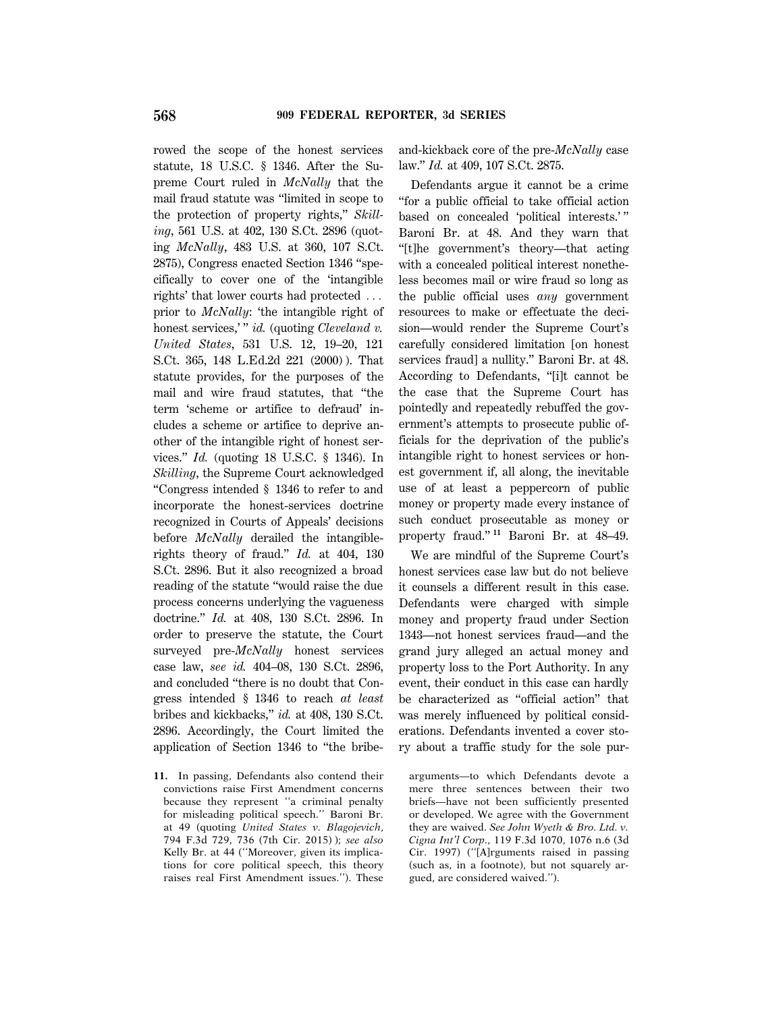rowed the scope of the honest services statute, 18 U.S.C. § 1346. After the Supreme Court ruled in *McNally* that the mail fraud statute was ''limited in scope to the protection of property rights,'' *Skilling*, 561 U.S. at 402, 130 S.Ct. 2896 (quoting *McNally*, 483 U.S. at 360, 107 S.Ct. 2875), Congress enacted Section 1346 ''specifically to cover one of the 'intangible rights' that lower courts had protected  $\ldots$ prior to *McNally*: 'the intangible right of honest services," *id.* (quoting *Cleveland v. United States*, 531 U.S. 12, 19–20, 121 S.Ct. 365, 148 L.Ed.2d 221 (2000) ). That statute provides, for the purposes of the mail and wire fraud statutes, that ''the term 'scheme or artifice to defraud' includes a scheme or artifice to deprive another of the intangible right of honest services.'' *Id.* (quoting 18 U.S.C. § 1346). In *Skilling*, the Supreme Court acknowledged ''Congress intended § 1346 to refer to and incorporate the honest-services doctrine recognized in Courts of Appeals' decisions before *McNally* derailed the intangiblerights theory of fraud.'' *Id.* at 404, 130 S.Ct. 2896. But it also recognized a broad reading of the statute ''would raise the due process concerns underlying the vagueness doctrine.'' *Id.* at 408, 130 S.Ct. 2896. In order to preserve the statute, the Court surveyed pre-*McNally* honest services case law, *see id.* 404–08, 130 S.Ct. 2896, and concluded ''there is no doubt that Congress intended § 1346 to reach *at least* bribes and kickbacks,'' *id.* at 408, 130 S.Ct. 2896. Accordingly, the Court limited the application of Section 1346 to ''the bribe-

**11.** In passing, Defendants also contend their convictions raise First Amendment concerns because they represent ''a criminal penalty for misleading political speech.'' Baroni Br. at 49 (quoting *United States v. Blagojevich*, 794 F.3d 729, 736 (7th Cir. 2015) ); *see also* Kelly Br. at 44 (''Moreover, given its implications for core political speech, this theory raises real First Amendment issues.''). These

and-kickback core of the pre-*McNally* case law.'' *Id.* at 409, 107 S.Ct. 2875.

Defendants argue it cannot be a crime ''for a public official to take official action based on concealed 'political interests.' '' Baroni Br. at 48. And they warn that ''[t]he government's theory—that acting with a concealed political interest nonetheless becomes mail or wire fraud so long as the public official uses *any* government resources to make or effectuate the decision—would render the Supreme Court's carefully considered limitation [on honest services fraud] a nullity.'' Baroni Br. at 48. According to Defendants, ''[i]t cannot be the case that the Supreme Court has pointedly and repeatedly rebuffed the government's attempts to prosecute public officials for the deprivation of the public's intangible right to honest services or honest government if, all along, the inevitable use of at least a peppercorn of public money or property made every instance of such conduct prosecutable as money or property fraud.'' **<sup>11</sup>** Baroni Br. at 48–49.

We are mindful of the Supreme Court's honest services case law but do not believe it counsels a different result in this case. Defendants were charged with simple money and property fraud under Section 1343—not honest services fraud—and the grand jury alleged an actual money and property loss to the Port Authority. In any event, their conduct in this case can hardly be characterized as ''official action'' that was merely influenced by political considerations. Defendants invented a cover story about a traffic study for the sole pur-

arguments—to which Defendants devote a mere three sentences between their two briefs—have not been sufficiently presented or developed. We agree with the Government they are waived. *See John Wyeth & Bro. Ltd. v. Cigna Int'l Corp.*, 119 F.3d 1070, 1076 n.6 (3d Cir. 1997) (''[A]rguments raised in passing (such as, in a footnote), but not squarely argued, are considered waived.'').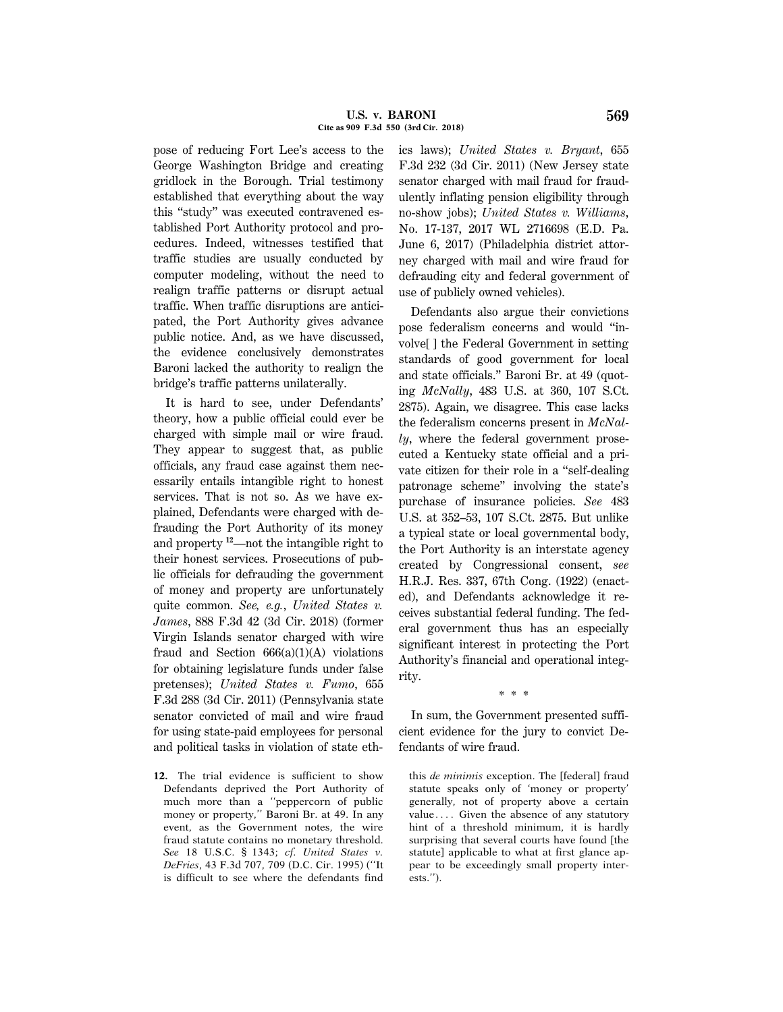pose of reducing Fort Lee's access to the George Washington Bridge and creating gridlock in the Borough. Trial testimony established that everything about the way this ''study'' was executed contravened established Port Authority protocol and procedures. Indeed, witnesses testified that traffic studies are usually conducted by computer modeling, without the need to realign traffic patterns or disrupt actual traffic. When traffic disruptions are anticipated, the Port Authority gives advance public notice. And, as we have discussed, the evidence conclusively demonstrates Baroni lacked the authority to realign the bridge's traffic patterns unilaterally.

It is hard to see, under Defendants' theory, how a public official could ever be charged with simple mail or wire fraud. They appear to suggest that, as public officials, any fraud case against them necessarily entails intangible right to honest services. That is not so. As we have explained, Defendants were charged with defrauding the Port Authority of its money and property **<sup>12</sup>**—not the intangible right to their honest services. Prosecutions of public officials for defrauding the government of money and property are unfortunately quite common. *See, e.g.*, *United States v. James*, 888 F.3d 42 (3d Cir. 2018) (former Virgin Islands senator charged with wire fraud and Section  $666(a)(1)(A)$  violations for obtaining legislature funds under false pretenses); *United States v. Fumo*, 655 F.3d 288 (3d Cir. 2011) (Pennsylvania state senator convicted of mail and wire fraud for using state-paid employees for personal and political tasks in violation of state eth-

**12.** The trial evidence is sufficient to show Defendants deprived the Port Authority of much more than a ''peppercorn of public money or property,'' Baroni Br. at 49. In any event, as the Government notes, the wire fraud statute contains no monetary threshold. *See* 18 U.S.C. § 1343; *cf. United States v. DeFries*, 43 F.3d 707, 709 (D.C. Cir. 1995) (''It is difficult to see where the defendants find ics laws); *United States v. Bryant*, 655 F.3d 232 (3d Cir. 2011) (New Jersey state senator charged with mail fraud for fraudulently inflating pension eligibility through no-show jobs); *United States v. Williams*, No. 17-137, 2017 WL 2716698 (E.D. Pa. June 6, 2017) (Philadelphia district attorney charged with mail and wire fraud for defrauding city and federal government of use of publicly owned vehicles).

Defendants also argue their convictions pose federalism concerns and would ''involve[ ] the Federal Government in setting standards of good government for local and state officials.'' Baroni Br. at 49 (quoting *McNally*, 483 U.S. at 360, 107 S.Ct. 2875). Again, we disagree. This case lacks the federalism concerns present in *McNally*, where the federal government prosecuted a Kentucky state official and a private citizen for their role in a ''self-dealing patronage scheme'' involving the state's purchase of insurance policies. *See* 483 U.S. at 352–53, 107 S.Ct. 2875. But unlike a typical state or local governmental body, the Port Authority is an interstate agency created by Congressional consent, *see* H.R.J. Res. 337, 67th Cong. (1922) (enacted), and Defendants acknowledge it receives substantial federal funding. The federal government thus has an especially significant interest in protecting the Port Authority's financial and operational integrity.

\* \* \*

In sum, the Government presented sufficient evidence for the jury to convict Defendants of wire fraud.

this *de minimis* exception. The [federal] fraud statute speaks only of 'money or property' generally, not of property above a certain value.... Given the absence of any statutory hint of a threshold minimum, it is hardly surprising that several courts have found [the statute] applicable to what at first glance appear to be exceedingly small property interests.'').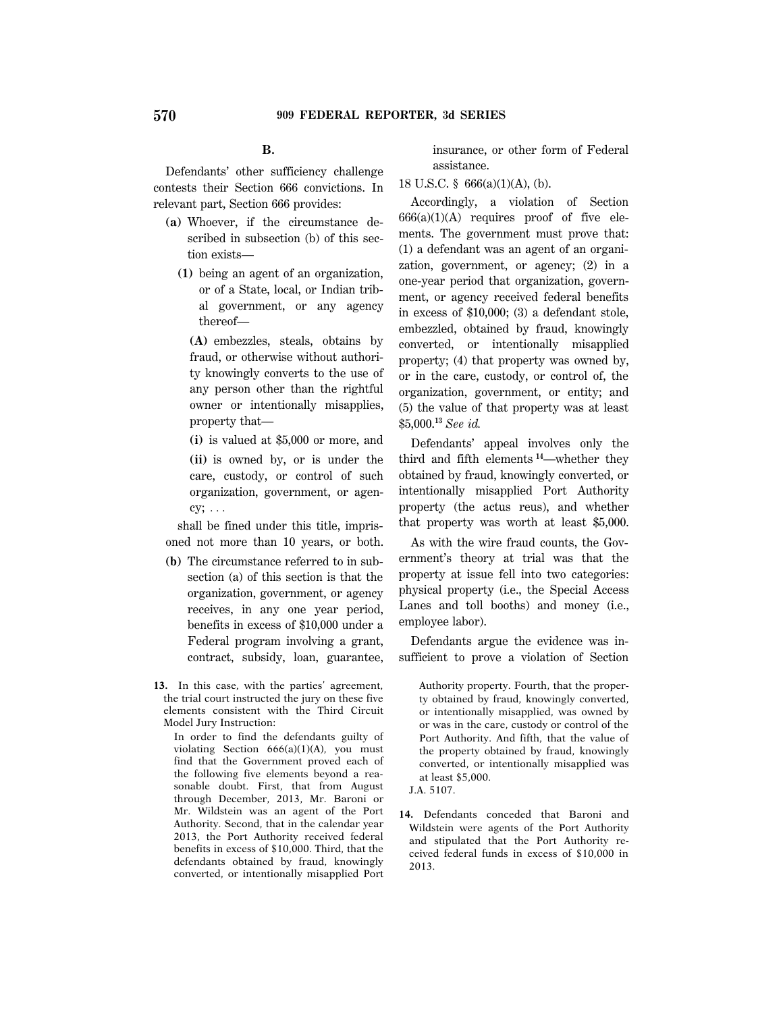Defendants' other sufficiency challenge contests their Section 666 convictions. In relevant part, Section 666 provides:

- **(a)** Whoever, if the circumstance described in subsection (b) of this section exists—
	- **(1)** being an agent of an organization, or of a State, local, or Indian tribal government, or any agency thereof—

**(A)** embezzles, steals, obtains by fraud, or otherwise without authority knowingly converts to the use of any person other than the rightful owner or intentionally misapplies, property that—

**(i)** is valued at \$5,000 or more, and **(ii)** is owned by, or is under the care, custody, or control of such organization, government, or agen $cy; \ldots$ 

shall be fined under this title, imprisoned not more than 10 years, or both.

- **(b)** The circumstance referred to in subsection (a) of this section is that the organization, government, or agency receives, in any one year period, benefits in excess of \$10,000 under a Federal program involving a grant, contract, subsidy, loan, guarantee,
- **13.** In this case, with the parties' agreement, the trial court instructed the jury on these five elements consistent with the Third Circuit Model Jury Instruction:

In order to find the defendants guilty of violating Section 666(a)(1)(A), you must find that the Government proved each of the following five elements beyond a reasonable doubt. First, that from August through December, 2013, Mr. Baroni or Mr. Wildstein was an agent of the Port Authority. Second, that in the calendar year 2013, the Port Authority received federal benefits in excess of \$10,000. Third, that the defendants obtained by fraud, knowingly converted, or intentionally misapplied Port insurance, or other form of Federal assistance.

18 U.S.C. § 666(a)(1)(A), (b).

Accordingly, a violation of Section  $666(a)(1)(A)$  requires proof of five elements. The government must prove that: (1) a defendant was an agent of an organization, government, or agency; (2) in a one-year period that organization, government, or agency received federal benefits in excess of \$10,000; (3) a defendant stole, embezzled, obtained by fraud, knowingly converted, or intentionally misapplied property; (4) that property was owned by, or in the care, custody, or control of, the organization, government, or entity; and (5) the value of that property was at least \$5,000.**<sup>13</sup>** *See id.*

Defendants' appeal involves only the third and fifth elements **<sup>14</sup>**—whether they obtained by fraud, knowingly converted, or intentionally misapplied Port Authority property (the actus reus), and whether that property was worth at least \$5,000.

As with the wire fraud counts, the Government's theory at trial was that the property at issue fell into two categories: physical property (i.e., the Special Access Lanes and toll booths) and money (i.e., employee labor).

Defendants argue the evidence was insufficient to prove a violation of Section

Authority property. Fourth, that the property obtained by fraud, knowingly converted, or intentionally misapplied, was owned by or was in the care, custody or control of the Port Authority. And fifth, that the value of the property obtained by fraud, knowingly converted, or intentionally misapplied was at least \$5,000. J.A. 5107.

**14.** Defendants conceded that Baroni and Wildstein were agents of the Port Authority and stipulated that the Port Authority received federal funds in excess of \$10,000 in 2013.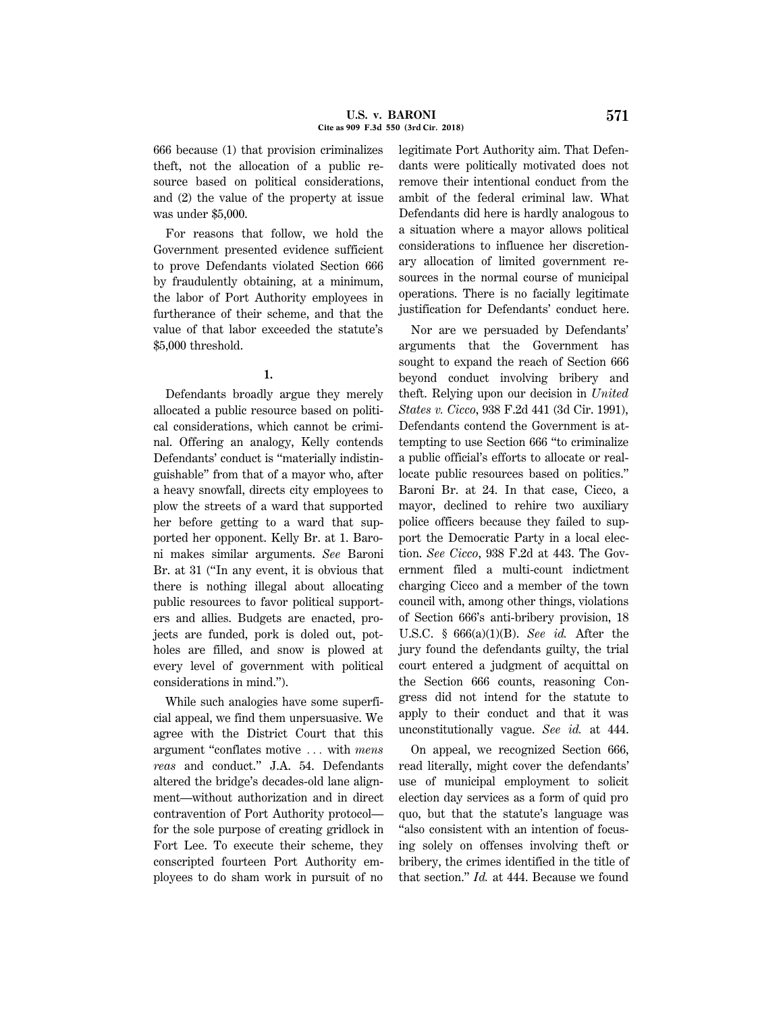666 because (1) that provision criminalizes theft, not the allocation of a public resource based on political considerations, and (2) the value of the property at issue was under \$5,000.

For reasons that follow, we hold the Government presented evidence sufficient to prove Defendants violated Section 666 by fraudulently obtaining, at a minimum, the labor of Port Authority employees in furtherance of their scheme, and that the value of that labor exceeded the statute's \$5,000 threshold.

## **1.**

Defendants broadly argue they merely allocated a public resource based on political considerations, which cannot be criminal. Offering an analogy, Kelly contends Defendants' conduct is ''materially indistinguishable'' from that of a mayor who, after a heavy snowfall, directs city employees to plow the streets of a ward that supported her before getting to a ward that supported her opponent. Kelly Br. at 1. Baroni makes similar arguments. *See* Baroni Br. at 31 ("In any event, it is obvious that there is nothing illegal about allocating public resources to favor political supporters and allies. Budgets are enacted, projects are funded, pork is doled out, potholes are filled, and snow is plowed at every level of government with political considerations in mind.'').

While such analogies have some superficial appeal, we find them unpersuasive. We agree with the District Court that this argument "conflates motive ... with *mens reas* and conduct.'' J.A. 54. Defendants altered the bridge's decades-old lane alignment—without authorization and in direct contravention of Port Authority protocol for the sole purpose of creating gridlock in Fort Lee. To execute their scheme, they conscripted fourteen Port Authority employees to do sham work in pursuit of no legitimate Port Authority aim. That Defendants were politically motivated does not remove their intentional conduct from the ambit of the federal criminal law. What Defendants did here is hardly analogous to a situation where a mayor allows political considerations to influence her discretionary allocation of limited government resources in the normal course of municipal operations. There is no facially legitimate justification for Defendants' conduct here.

Nor are we persuaded by Defendants' arguments that the Government has sought to expand the reach of Section 666 beyond conduct involving bribery and theft. Relying upon our decision in *United States v. Cicco*, 938 F.2d 441 (3d Cir. 1991), Defendants contend the Government is attempting to use Section 666 ''to criminalize a public official's efforts to allocate or reallocate public resources based on politics.'' Baroni Br. at 24. In that case, Cicco, a mayor, declined to rehire two auxiliary police officers because they failed to support the Democratic Party in a local election. *See Cicco*, 938 F.2d at 443. The Government filed a multi-count indictment charging Cicco and a member of the town council with, among other things, violations of Section 666's anti-bribery provision, 18 U.S.C. § 666(a)(1)(B). *See id.* After the jury found the defendants guilty, the trial court entered a judgment of acquittal on the Section 666 counts, reasoning Congress did not intend for the statute to apply to their conduct and that it was unconstitutionally vague. *See id.* at 444.

On appeal, we recognized Section 666, read literally, might cover the defendants' use of municipal employment to solicit election day services as a form of quid pro quo, but that the statute's language was ''also consistent with an intention of focusing solely on offenses involving theft or bribery, the crimes identified in the title of that section.'' *Id.* at 444. Because we found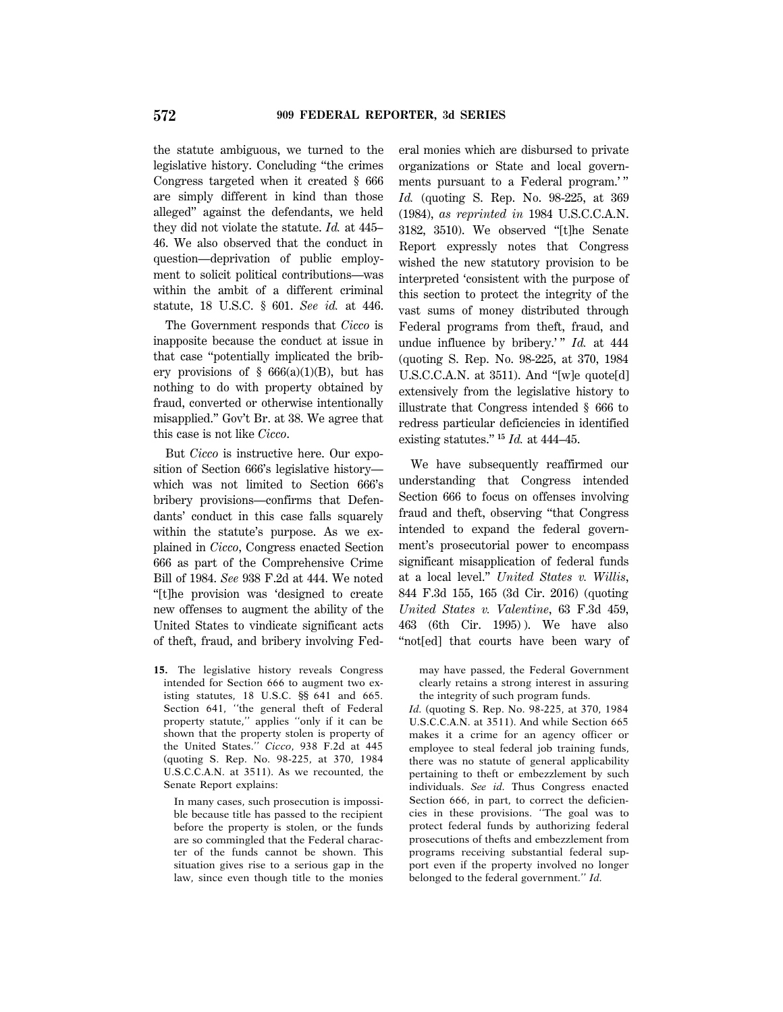the statute ambiguous, we turned to the legislative history. Concluding ''the crimes Congress targeted when it created § 666 are simply different in kind than those alleged'' against the defendants, we held they did not violate the statute. *Id.* at 445– 46. We also observed that the conduct in question—deprivation of public employment to solicit political contributions—was within the ambit of a different criminal statute, 18 U.S.C. § 601. *See id.* at 446.

The Government responds that *Cicco* is inapposite because the conduct at issue in that case ''potentially implicated the bribery provisions of  $\S$  666(a)(1)(B), but has nothing to do with property obtained by fraud, converted or otherwise intentionally misapplied.'' Gov't Br. at 38. We agree that this case is not like *Cicco*.

But *Cicco* is instructive here. Our exposition of Section 666's legislative history which was not limited to Section 666's bribery provisions—confirms that Defendants' conduct in this case falls squarely within the statute's purpose. As we explained in *Cicco*, Congress enacted Section 666 as part of the Comprehensive Crime Bill of 1984. *See* 938 F.2d at 444. We noted ''[t]he provision was 'designed to create new offenses to augment the ability of the United States to vindicate significant acts of theft, fraud, and bribery involving Fed-

**15.** The legislative history reveals Congress intended for Section 666 to augment two existing statutes, 18 U.S.C. §§ 641 and 665. Section 641, ''the general theft of Federal property statute,'' applies ''only if it can be shown that the property stolen is property of the United States.'' *Cicco*, 938 F.2d at 445 (quoting S. Rep. No. 98-225, at 370, 1984 U.S.C.C.A.N. at 3511). As we recounted, the Senate Report explains:

In many cases, such prosecution is impossible because title has passed to the recipient before the property is stolen, or the funds are so commingled that the Federal character of the funds cannot be shown. This situation gives rise to a serious gap in the law, since even though title to the monies eral monies which are disbursed to private organizations or State and local governments pursuant to a Federal program.' '' *Id.* (quoting S. Rep. No. 98-225, at 369 (1984), *as reprinted in* 1984 U.S.C.C.A.N. 3182, 3510). We observed ''[t]he Senate Report expressly notes that Congress wished the new statutory provision to be interpreted 'consistent with the purpose of this section to protect the integrity of the vast sums of money distributed through Federal programs from theft, fraud, and undue influence by bribery.'" *Id.* at 444 (quoting S. Rep. No. 98-225, at 370, 1984 U.S.C.C.A.N. at 3511). And "[w]e quote[d] extensively from the legislative history to illustrate that Congress intended § 666 to redress particular deficiencies in identified existing statutes.'' **<sup>15</sup>** *Id.* at 444–45.

We have subsequently reaffirmed our understanding that Congress intended Section 666 to focus on offenses involving fraud and theft, observing ''that Congress intended to expand the federal government's prosecutorial power to encompass significant misapplication of federal funds at a local level.'' *United States v. Willis*, 844 F.3d 155, 165 (3d Cir. 2016) (quoting *United States v. Valentine*, 63 F.3d 459, 463 (6th Cir. 1995) ). We have also ''not[ed] that courts have been wary of

may have passed, the Federal Government clearly retains a strong interest in assuring the integrity of such program funds.

*Id.* (quoting S. Rep. No. 98-225, at 370, 1984 U.S.C.C.A.N. at 3511). And while Section 665 makes it a crime for an agency officer or employee to steal federal job training funds, there was no statute of general applicability pertaining to theft or embezzlement by such individuals. *See id.* Thus Congress enacted Section 666, in part, to correct the deficiencies in these provisions. ''The goal was to protect federal funds by authorizing federal prosecutions of thefts and embezzlement from programs receiving substantial federal support even if the property involved no longer belonged to the federal government.'' *Id.*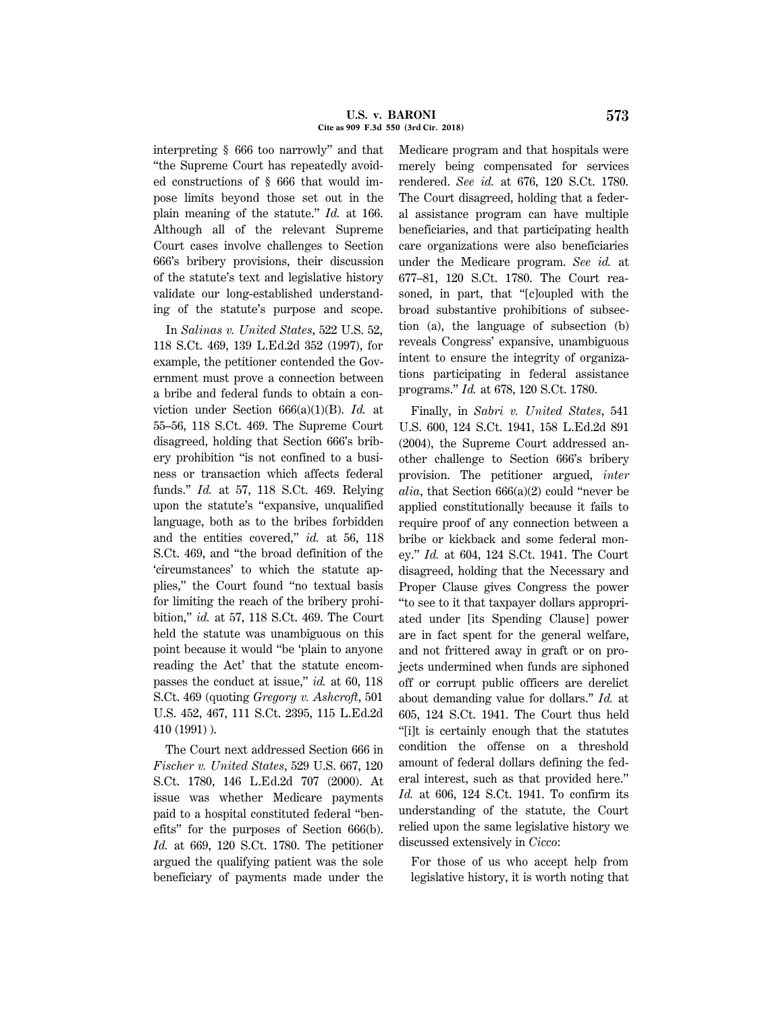interpreting § 666 too narrowly'' and that ''the Supreme Court has repeatedly avoided constructions of § 666 that would impose limits beyond those set out in the plain meaning of the statute.'' *Id.* at 166. Although all of the relevant Supreme Court cases involve challenges to Section 666's bribery provisions, their discussion of the statute's text and legislative history validate our long-established understanding of the statute's purpose and scope.

In *Salinas v. United States*, 522 U.S. 52, 118 S.Ct. 469, 139 L.Ed.2d 352 (1997), for example, the petitioner contended the Government must prove a connection between a bribe and federal funds to obtain a conviction under Section 666(a)(1)(B). *Id.* at 55–56, 118 S.Ct. 469. The Supreme Court disagreed, holding that Section 666's bribery prohibition ''is not confined to a business or transaction which affects federal funds.'' *Id.* at 57, 118 S.Ct. 469. Relying upon the statute's ''expansive, unqualified language, both as to the bribes forbidden and the entities covered,'' *id.* at 56, 118 S.Ct. 469, and ''the broad definition of the 'circumstances' to which the statute applies,'' the Court found ''no textual basis for limiting the reach of the bribery prohibition,'' *id.* at 57, 118 S.Ct. 469. The Court held the statute was unambiguous on this point because it would ''be 'plain to anyone reading the Act' that the statute encompasses the conduct at issue," *id.* at 60, 118 S.Ct. 469 (quoting *Gregory v. Ashcroft*, 501 U.S. 452, 467, 111 S.Ct. 2395, 115 L.Ed.2d 410 (1991) ).

The Court next addressed Section 666 in *Fischer v. United States*, 529 U.S. 667, 120 S.Ct. 1780, 146 L.Ed.2d 707 (2000). At issue was whether Medicare payments paid to a hospital constituted federal ''benefits'' for the purposes of Section 666(b). *Id.* at 669, 120 S.Ct. 1780. The petitioner argued the qualifying patient was the sole beneficiary of payments made under the Medicare program and that hospitals were merely being compensated for services rendered. *See id.* at 676, 120 S.Ct. 1780. The Court disagreed, holding that a federal assistance program can have multiple beneficiaries, and that participating health care organizations were also beneficiaries under the Medicare program. *See id.* at 677–81, 120 S.Ct. 1780. The Court reasoned, in part, that ''[c]oupled with the broad substantive prohibitions of subsection (a), the language of subsection (b) reveals Congress' expansive, unambiguous intent to ensure the integrity of organizations participating in federal assistance programs.'' *Id.* at 678, 120 S.Ct. 1780.

Finally, in *Sabri v. United States*, 541 U.S. 600, 124 S.Ct. 1941, 158 L.Ed.2d 891 (2004), the Supreme Court addressed another challenge to Section 666's bribery provision. The petitioner argued, *inter alia*, that Section 666(a)(2) could ''never be applied constitutionally because it fails to require proof of any connection between a bribe or kickback and some federal money.'' *Id.* at 604, 124 S.Ct. 1941. The Court disagreed, holding that the Necessary and Proper Clause gives Congress the power ''to see to it that taxpayer dollars appropriated under [its Spending Clause] power are in fact spent for the general welfare, and not frittered away in graft or on projects undermined when funds are siphoned off or corrupt public officers are derelict about demanding value for dollars.'' *Id.* at 605, 124 S.Ct. 1941. The Court thus held ''[i]t is certainly enough that the statutes condition the offense on a threshold amount of federal dollars defining the federal interest, such as that provided here.'' *Id.* at 606, 124 S.Ct. 1941. To confirm its understanding of the statute, the Court relied upon the same legislative history we discussed extensively in *Cicco*:

For those of us who accept help from legislative history, it is worth noting that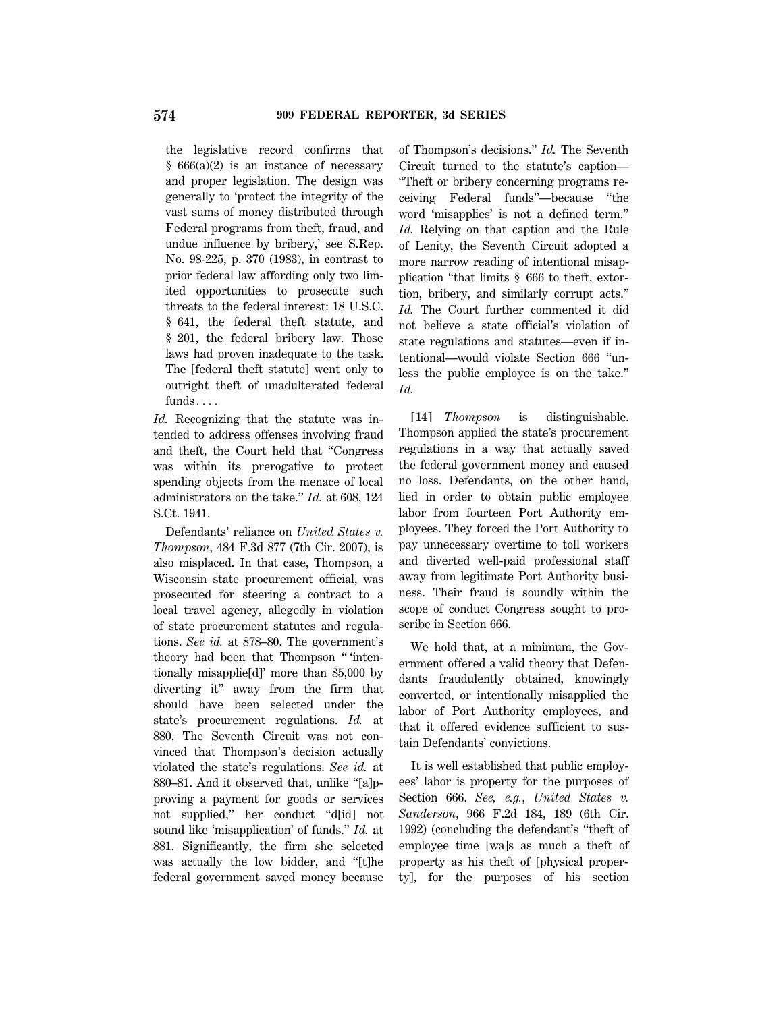the legislative record confirms that  $§ 666(a)(2)$  is an instance of necessary and proper legislation. The design was generally to 'protect the integrity of the vast sums of money distributed through Federal programs from theft, fraud, and undue influence by bribery,' see S.Rep. No. 98-225, p. 370 (1983), in contrast to prior federal law affording only two limited opportunities to prosecute such threats to the federal interest: 18 U.S.C. § 641, the federal theft statute, and § 201, the federal bribery law. Those laws had proven inadequate to the task. The [federal theft statute] went only to outright theft of unadulterated federal  $funds \ldots$ 

*Id.* Recognizing that the statute was intended to address offenses involving fraud and theft, the Court held that ''Congress was within its prerogative to protect spending objects from the menace of local administrators on the take.'' *Id.* at 608, 124 S.Ct. 1941.

Defendants' reliance on *United States v. Thompson*, 484 F.3d 877 (7th Cir. 2007), is also misplaced. In that case, Thompson, a Wisconsin state procurement official, was prosecuted for steering a contract to a local travel agency, allegedly in violation of state procurement statutes and regulations. *See id.* at 878–80. The government's theory had been that Thompson '' 'intentionally misapplie[d]' more than \$5,000 by diverting it'' away from the firm that should have been selected under the state's procurement regulations. *Id.* at 880. The Seventh Circuit was not convinced that Thompson's decision actually violated the state's regulations. *See id.* at 880–81. And it observed that, unlike "[a]pproving a payment for goods or services not supplied,'' her conduct ''d[id] not sound like 'misapplication' of funds.'' *Id.* at 881. Significantly, the firm she selected was actually the low bidder, and ''[t]he federal government saved money because

of Thompson's decisions.'' *Id.* The Seventh Circuit turned to the statute's caption— ''Theft or bribery concerning programs receiving Federal funds''—because ''the word 'misapplies' is not a defined term.'' *Id.* Relying on that caption and the Rule of Lenity, the Seventh Circuit adopted a more narrow reading of intentional misapplication ''that limits § 666 to theft, extortion, bribery, and similarly corrupt acts.'' *Id.* The Court further commented it did not believe a state official's violation of state regulations and statutes—even if intentional—would violate Section 666 ''unless the public employee is on the take.'' *Id.*

**[14]** *Thompson* is distinguishable. Thompson applied the state's procurement regulations in a way that actually saved the federal government money and caused no loss. Defendants, on the other hand, lied in order to obtain public employee labor from fourteen Port Authority employees. They forced the Port Authority to pay unnecessary overtime to toll workers and diverted well-paid professional staff away from legitimate Port Authority business. Their fraud is soundly within the scope of conduct Congress sought to proscribe in Section 666.

We hold that, at a minimum, the Government offered a valid theory that Defendants fraudulently obtained, knowingly converted, or intentionally misapplied the labor of Port Authority employees, and that it offered evidence sufficient to sustain Defendants' convictions.

It is well established that public employees' labor is property for the purposes of Section 666. *See, e.g.*, *United States v. Sanderson*, 966 F.2d 184, 189 (6th Cir. 1992) (concluding the defendant's ''theft of employee time [wa]s as much a theft of property as his theft of [physical property], for the purposes of his section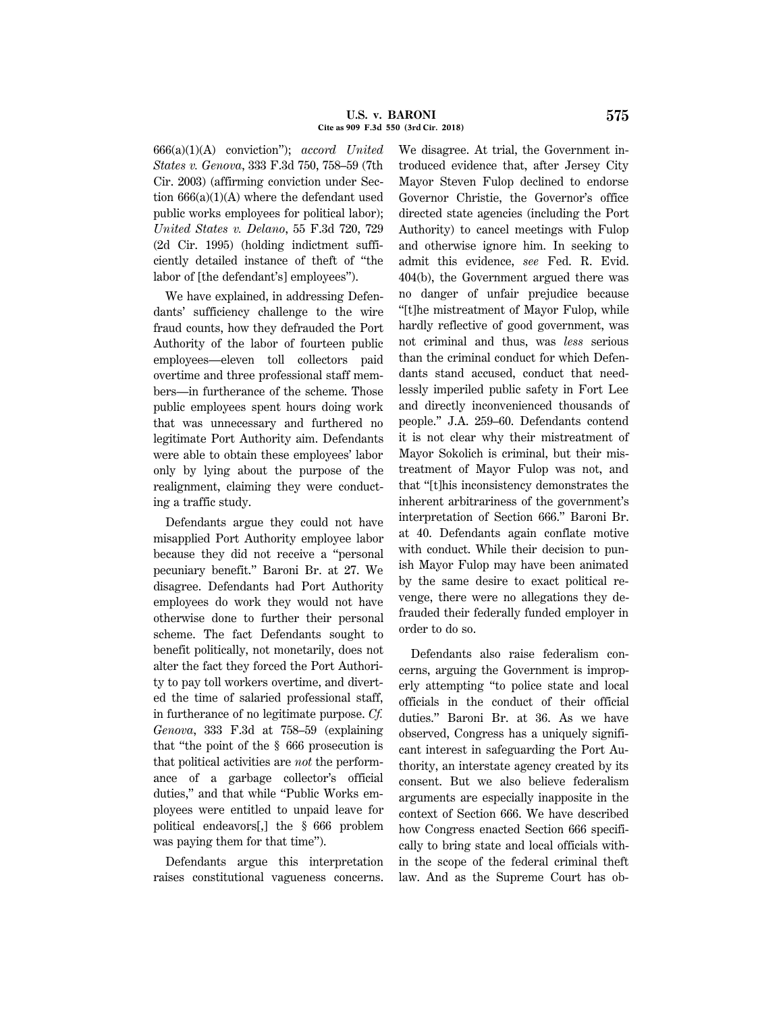666(a)(1)(A) conviction''); *accord United States v. Genova*, 333 F.3d 750, 758–59 (7th Cir. 2003) (affirming conviction under Section  $666(a)(1)(A)$  where the defendant used public works employees for political labor); *United States v. Delano*, 55 F.3d 720, 729 (2d Cir. 1995) (holding indictment sufficiently detailed instance of theft of ''the labor of [the defendant's] employees'').

We have explained, in addressing Defendants' sufficiency challenge to the wire fraud counts, how they defrauded the Port Authority of the labor of fourteen public employees—eleven toll collectors paid overtime and three professional staff members—in furtherance of the scheme. Those public employees spent hours doing work that was unnecessary and furthered no legitimate Port Authority aim. Defendants were able to obtain these employees' labor only by lying about the purpose of the realignment, claiming they were conducting a traffic study.

Defendants argue they could not have misapplied Port Authority employee labor because they did not receive a ''personal pecuniary benefit.'' Baroni Br. at 27. We disagree. Defendants had Port Authority employees do work they would not have otherwise done to further their personal scheme. The fact Defendants sought to benefit politically, not monetarily, does not alter the fact they forced the Port Authority to pay toll workers overtime, and diverted the time of salaried professional staff, in furtherance of no legitimate purpose. *Cf. Genova*, 333 F.3d at 758–59 (explaining that ''the point of the § 666 prosecution is that political activities are *not* the performance of a garbage collector's official duties," and that while "Public Works employees were entitled to unpaid leave for political endeavors[,] the § 666 problem was paying them for that time'').

Defendants argue this interpretation raises constitutional vagueness concerns. We disagree. At trial, the Government introduced evidence that, after Jersey City Mayor Steven Fulop declined to endorse Governor Christie, the Governor's office directed state agencies (including the Port Authority) to cancel meetings with Fulop and otherwise ignore him. In seeking to admit this evidence, *see* Fed. R. Evid. 404(b), the Government argued there was no danger of unfair prejudice because ''[t]he mistreatment of Mayor Fulop, while hardly reflective of good government, was not criminal and thus, was *less* serious than the criminal conduct for which Defendants stand accused, conduct that needlessly imperiled public safety in Fort Lee and directly inconvenienced thousands of people.'' J.A. 259–60. Defendants contend it is not clear why their mistreatment of Mayor Sokolich is criminal, but their mistreatment of Mayor Fulop was not, and that ''[t]his inconsistency demonstrates the inherent arbitrariness of the government's interpretation of Section 666.'' Baroni Br. at 40. Defendants again conflate motive with conduct. While their decision to punish Mayor Fulop may have been animated by the same desire to exact political revenge, there were no allegations they defrauded their federally funded employer in order to do so.

Defendants also raise federalism concerns, arguing the Government is improperly attempting ''to police state and local officials in the conduct of their official duties.'' Baroni Br. at 36. As we have observed, Congress has a uniquely significant interest in safeguarding the Port Authority, an interstate agency created by its consent. But we also believe federalism arguments are especially inapposite in the context of Section 666. We have described how Congress enacted Section 666 specifically to bring state and local officials within the scope of the federal criminal theft law. And as the Supreme Court has ob-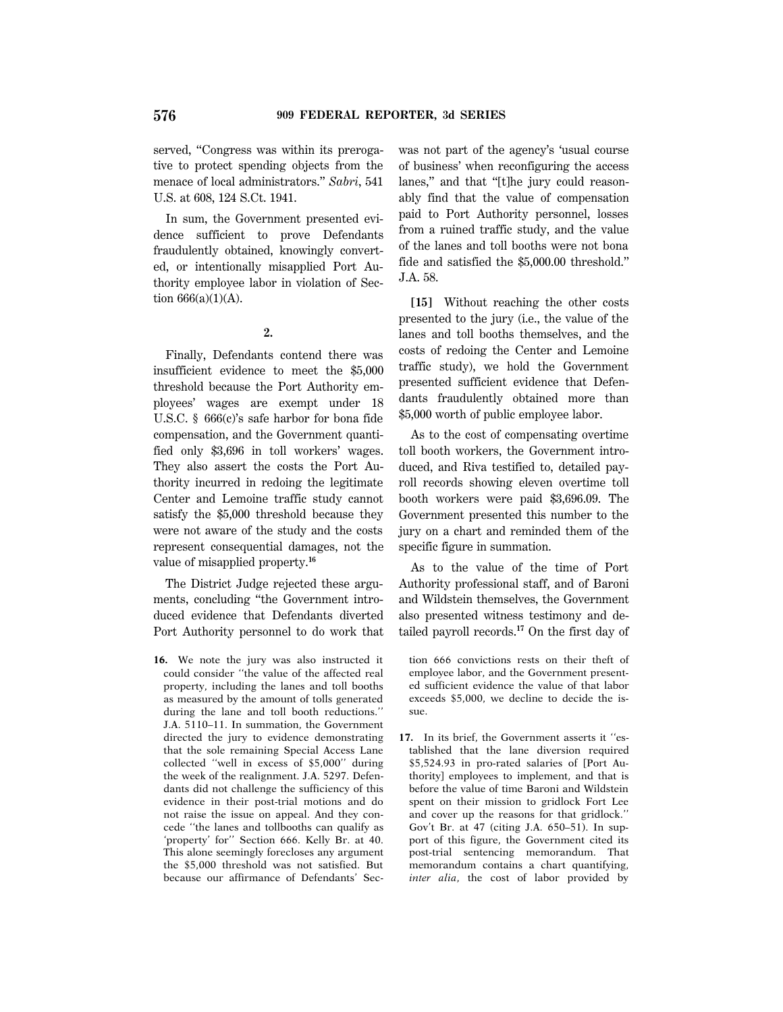served, "Congress was within its prerogative to protect spending objects from the menace of local administrators.'' *Sabri*, 541 U.S. at 608, 124 S.Ct. 1941.

In sum, the Government presented evidence sufficient to prove Defendants fraudulently obtained, knowingly converted, or intentionally misapplied Port Authority employee labor in violation of Section  $666(a)(1)(A)$ .

### **2.**

Finally, Defendants contend there was insufficient evidence to meet the \$5,000 threshold because the Port Authority employees' wages are exempt under 18 U.S.C. § 666(c)'s safe harbor for bona fide compensation, and the Government quantified only \$3,696 in toll workers' wages. They also assert the costs the Port Authority incurred in redoing the legitimate Center and Lemoine traffic study cannot satisfy the \$5,000 threshold because they were not aware of the study and the costs represent consequential damages, not the value of misapplied property.**<sup>16</sup>**

The District Judge rejected these arguments, concluding ''the Government introduced evidence that Defendants diverted Port Authority personnel to do work that

**16.** We note the jury was also instructed it could consider ''the value of the affected real property, including the lanes and toll booths as measured by the amount of tolls generated during the lane and toll booth reductions.'' J.A. 5110–11. In summation, the Government directed the jury to evidence demonstrating that the sole remaining Special Access Lane collected ''well in excess of \$5,000'' during the week of the realignment. J.A. 5297. Defendants did not challenge the sufficiency of this evidence in their post-trial motions and do not raise the issue on appeal. And they concede ''the lanes and tollbooths can qualify as 'property' for'' Section 666. Kelly Br. at 40. This alone seemingly forecloses any argument the \$5,000 threshold was not satisfied. But because our affirmance of Defendants' Secwas not part of the agency's 'usual course of business' when reconfiguring the access lanes," and that "[t]he jury could reasonably find that the value of compensation paid to Port Authority personnel, losses from a ruined traffic study, and the value of the lanes and toll booths were not bona fide and satisfied the \$5,000.00 threshold.'' J.A. 58.

**[15]** Without reaching the other costs presented to the jury (i.e., the value of the lanes and toll booths themselves, and the costs of redoing the Center and Lemoine traffic study), we hold the Government presented sufficient evidence that Defendants fraudulently obtained more than \$5,000 worth of public employee labor.

As to the cost of compensating overtime toll booth workers, the Government introduced, and Riva testified to, detailed payroll records showing eleven overtime toll booth workers were paid \$3,696.09. The Government presented this number to the jury on a chart and reminded them of the specific figure in summation.

As to the value of the time of Port Authority professional staff, and of Baroni and Wildstein themselves, the Government also presented witness testimony and detailed payroll records.**<sup>17</sup>** On the first day of

tion 666 convictions rests on their theft of employee labor, and the Government presented sufficient evidence the value of that labor exceeds \$5,000, we decline to decide the issue.

**17.** In its brief, the Government asserts it ''established that the lane diversion required \$5,524.93 in pro-rated salaries of [Port Authority] employees to implement, and that is before the value of time Baroni and Wildstein spent on their mission to gridlock Fort Lee and cover up the reasons for that gridlock.'' Gov't Br. at 47 (citing J.A. 650–51). In support of this figure, the Government cited its post-trial sentencing memorandum. That memorandum contains a chart quantifying, *inter alia*, the cost of labor provided by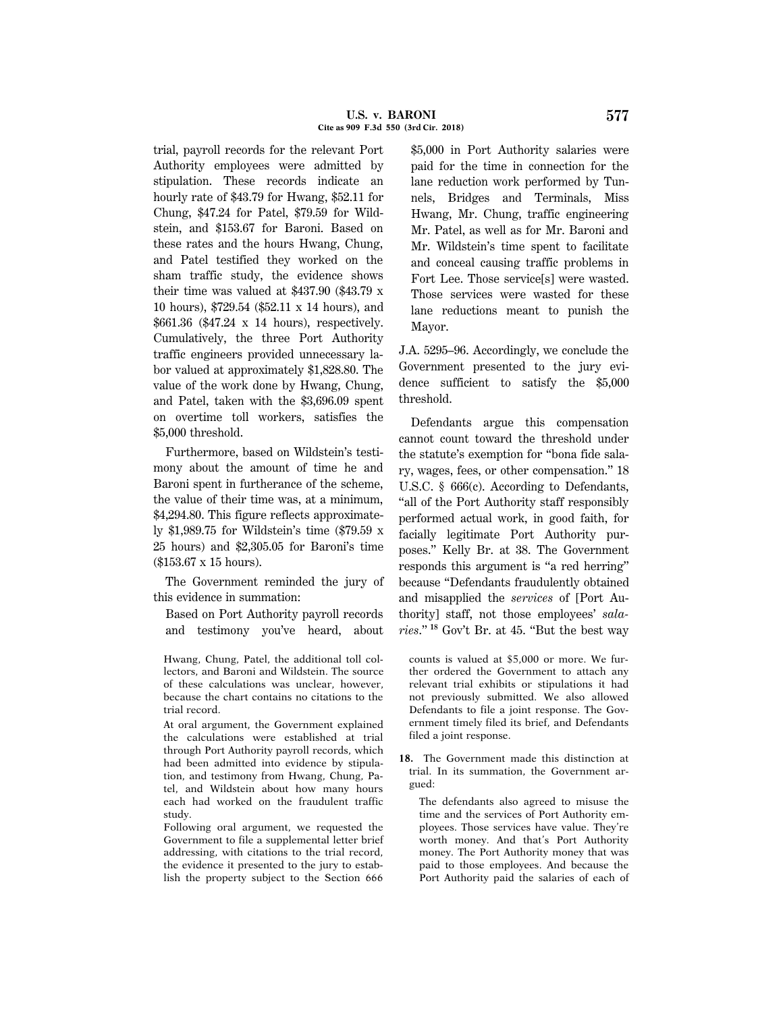#### **U.S. v. BARONI 577 Cite as 909 F.3d 550 (3rd Cir. 2018)**

trial, payroll records for the relevant Port Authority employees were admitted by stipulation. These records indicate an hourly rate of \$43.79 for Hwang, \$52.11 for Chung, \$47.24 for Patel, \$79.59 for Wildstein, and \$153.67 for Baroni. Based on these rates and the hours Hwang, Chung, and Patel testified they worked on the sham traffic study, the evidence shows their time was valued at \$437.90 (\$43.79 x 10 hours), \$729.54 (\$52.11 x 14 hours), and \$661.36 (\$47.24 x 14 hours), respectively. Cumulatively, the three Port Authority traffic engineers provided unnecessary labor valued at approximately \$1,828.80. The value of the work done by Hwang, Chung, and Patel, taken with the \$3,696.09 spent on overtime toll workers, satisfies the \$5,000 threshold.

Furthermore, based on Wildstein's testimony about the amount of time he and Baroni spent in furtherance of the scheme, the value of their time was, at a minimum, \$4,294.80. This figure reflects approximately \$1,989.75 for Wildstein's time (\$79.59 x 25 hours) and \$2,305.05 for Baroni's time (\$153.67 x 15 hours).

The Government reminded the jury of this evidence in summation:

Based on Port Authority payroll records and testimony you've heard, about

Hwang, Chung, Patel, the additional toll collectors, and Baroni and Wildstein. The source of these calculations was unclear, however, because the chart contains no citations to the trial record.

At oral argument, the Government explained the calculations were established at trial through Port Authority payroll records, which had been admitted into evidence by stipulation, and testimony from Hwang, Chung, Patel, and Wildstein about how many hours each had worked on the fraudulent traffic study.

Following oral argument, we requested the Government to file a supplemental letter brief addressing, with citations to the trial record, the evidence it presented to the jury to establish the property subject to the Section 666

\$5,000 in Port Authority salaries were paid for the time in connection for the lane reduction work performed by Tunnels, Bridges and Terminals, Miss Hwang, Mr. Chung, traffic engineering Mr. Patel, as well as for Mr. Baroni and Mr. Wildstein's time spent to facilitate and conceal causing traffic problems in Fort Lee. Those service[s] were wasted. Those services were wasted for these lane reductions meant to punish the Mayor.

J.A. 5295–96. Accordingly, we conclude the Government presented to the jury evidence sufficient to satisfy the \$5,000 threshold.

Defendants argue this compensation cannot count toward the threshold under the statute's exemption for ''bona fide salary, wages, fees, or other compensation.'' 18 U.S.C. § 666(c). According to Defendants, ''all of the Port Authority staff responsibly performed actual work, in good faith, for facially legitimate Port Authority purposes.'' Kelly Br. at 38. The Government responds this argument is ''a red herring'' because ''Defendants fraudulently obtained and misapplied the *services* of [Port Authority] staff, not those employees' *salaries*.'' **<sup>18</sup>** Gov't Br. at 45. ''But the best way

counts is valued at \$5,000 or more. We further ordered the Government to attach any relevant trial exhibits or stipulations it had not previously submitted. We also allowed Defendants to file a joint response. The Government timely filed its brief, and Defendants filed a joint response.

**18.** The Government made this distinction at trial. In its summation, the Government argued:

The defendants also agreed to misuse the time and the services of Port Authority employees. Those services have value. They're worth money. And that's Port Authority money. The Port Authority money that was paid to those employees. And because the Port Authority paid the salaries of each of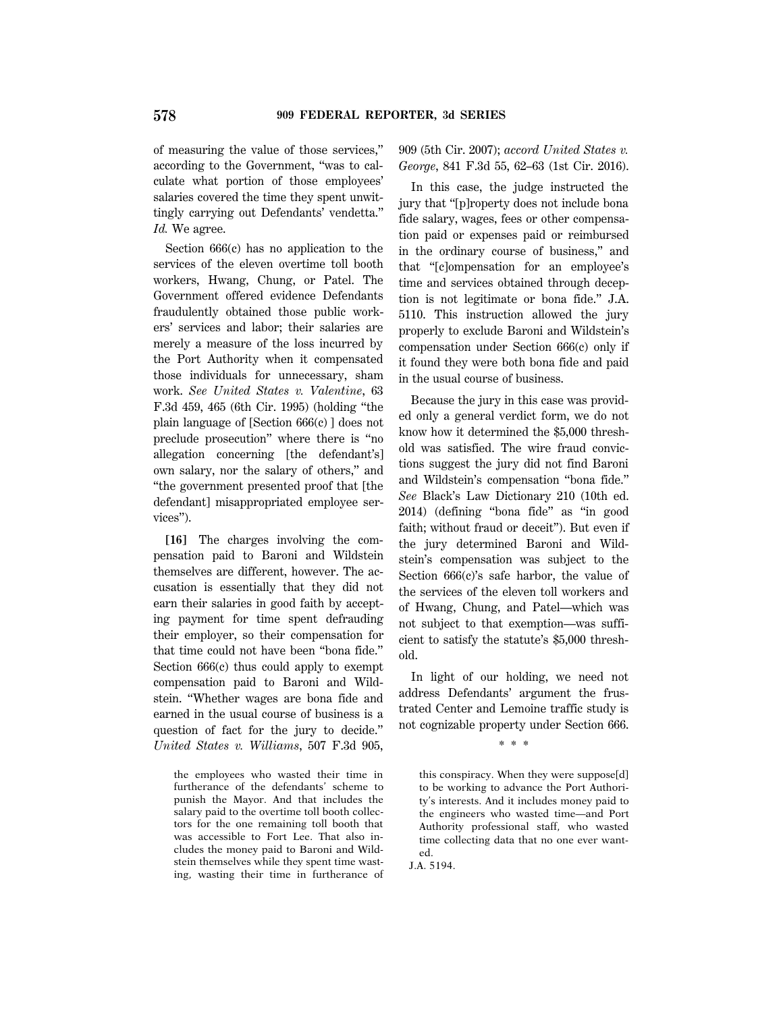of measuring the value of those services,'' according to the Government, ''was to calculate what portion of those employees' salaries covered the time they spent unwittingly carrying out Defendants' vendetta.'' *Id.* We agree.

Section 666(c) has no application to the services of the eleven overtime toll booth workers, Hwang, Chung, or Patel. The Government offered evidence Defendants fraudulently obtained those public workers' services and labor; their salaries are merely a measure of the loss incurred by the Port Authority when it compensated those individuals for unnecessary, sham work. *See United States v. Valentine*, 63 F.3d 459, 465 (6th Cir. 1995) (holding ''the plain language of [Section 666(c) ] does not preclude prosecution'' where there is ''no allegation concerning [the defendant's] own salary, nor the salary of others,'' and ''the government presented proof that [the defendant] misappropriated employee services'').

**[16]** The charges involving the compensation paid to Baroni and Wildstein themselves are different, however. The accusation is essentially that they did not earn their salaries in good faith by accepting payment for time spent defrauding their employer, so their compensation for that time could not have been ''bona fide.'' Section 666(c) thus could apply to exempt compensation paid to Baroni and Wildstein. ''Whether wages are bona fide and earned in the usual course of business is a question of fact for the jury to decide.'' *United States v. Williams*, 507 F.3d 905,

the employees who wasted their time in furtherance of the defendants' scheme to punish the Mayor. And that includes the salary paid to the overtime toll booth collectors for the one remaining toll booth that was accessible to Fort Lee. That also includes the money paid to Baroni and Wildstein themselves while they spent time wasting, wasting their time in furtherance of 909 (5th Cir. 2007); *accord United States v. George*, 841 F.3d 55, 62–63 (1st Cir. 2016).

In this case, the judge instructed the jury that ''[p]roperty does not include bona fide salary, wages, fees or other compensation paid or expenses paid or reimbursed in the ordinary course of business,'' and that ''[c]ompensation for an employee's time and services obtained through deception is not legitimate or bona fide.'' J.A. 5110. This instruction allowed the jury properly to exclude Baroni and Wildstein's compensation under Section 666(c) only if it found they were both bona fide and paid in the usual course of business.

Because the jury in this case was provided only a general verdict form, we do not know how it determined the \$5,000 threshold was satisfied. The wire fraud convictions suggest the jury did not find Baroni and Wildstein's compensation ''bona fide.'' *See* Black's Law Dictionary 210 (10th ed. 2014) (defining ''bona fide'' as ''in good faith; without fraud or deceit''). But even if the jury determined Baroni and Wildstein's compensation was subject to the Section 666(c)'s safe harbor, the value of the services of the eleven toll workers and of Hwang, Chung, and Patel—which was not subject to that exemption—was sufficient to satisfy the statute's \$5,000 threshold.

In light of our holding, we need not address Defendants' argument the frustrated Center and Lemoine traffic study is not cognizable property under Section 666.

\* \* \*

this conspiracy. When they were suppose[d] to be working to advance the Port Authority's interests. And it includes money paid to the engineers who wasted time—and Port Authority professional staff, who wasted time collecting data that no one ever wanted.

J.A. 5194.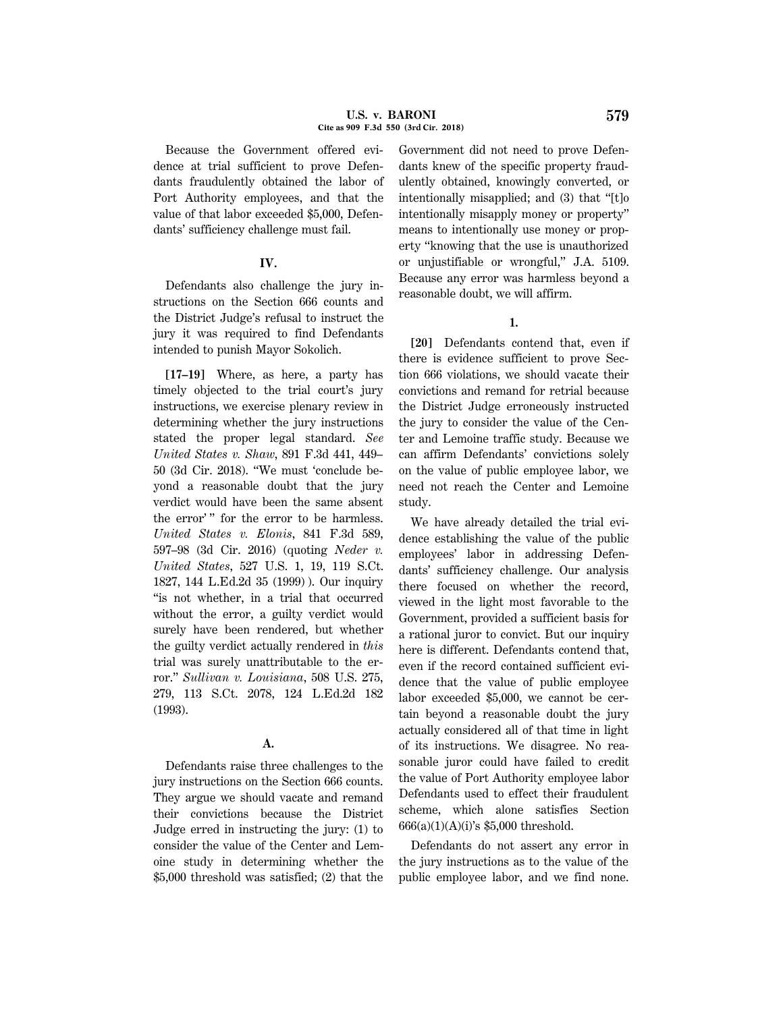Because the Government offered evidence at trial sufficient to prove Defendants fraudulently obtained the labor of Port Authority employees, and that the value of that labor exceeded \$5,000, Defendants' sufficiency challenge must fail.

# **IV.**

Defendants also challenge the jury instructions on the Section 666 counts and the District Judge's refusal to instruct the jury it was required to find Defendants intended to punish Mayor Sokolich.

**[17–19]** Where, as here, a party has timely objected to the trial court's jury instructions, we exercise plenary review in determining whether the jury instructions stated the proper legal standard. *See United States v. Shaw*, 891 F.3d 441, 449– 50 (3d Cir. 2018). ''We must 'conclude beyond a reasonable doubt that the jury verdict would have been the same absent the error'" for the error to be harmless. *United States v. Elonis*, 841 F.3d 589, 597–98 (3d Cir. 2016) (quoting *Neder v. United States*, 527 U.S. 1, 19, 119 S.Ct. 1827, 144 L.Ed.2d 35 (1999) ). Our inquiry ''is not whether, in a trial that occurred without the error, a guilty verdict would surely have been rendered, but whether the guilty verdict actually rendered in *this* trial was surely unattributable to the error.'' *Sullivan v. Louisiana*, 508 U.S. 275, 279, 113 S.Ct. 2078, 124 L.Ed.2d 182 (1993).

# **A.**

Defendants raise three challenges to the jury instructions on the Section 666 counts. They argue we should vacate and remand their convictions because the District Judge erred in instructing the jury: (1) to consider the value of the Center and Lemoine study in determining whether the \$5,000 threshold was satisfied; (2) that the Government did not need to prove Defendants knew of the specific property fraudulently obtained, knowingly converted, or intentionally misapplied; and (3) that ''[t]o intentionally misapply money or property'' means to intentionally use money or property ''knowing that the use is unauthorized or unjustifiable or wrongful,'' J.A. 5109. Because any error was harmless beyond a reasonable doubt, we will affirm.

# **1.**

**[20]** Defendants contend that, even if there is evidence sufficient to prove Section 666 violations, we should vacate their convictions and remand for retrial because the District Judge erroneously instructed the jury to consider the value of the Center and Lemoine traffic study. Because we can affirm Defendants' convictions solely on the value of public employee labor, we need not reach the Center and Lemoine study.

We have already detailed the trial evidence establishing the value of the public employees' labor in addressing Defendants' sufficiency challenge. Our analysis there focused on whether the record, viewed in the light most favorable to the Government, provided a sufficient basis for a rational juror to convict. But our inquiry here is different. Defendants contend that, even if the record contained sufficient evidence that the value of public employee labor exceeded \$5,000, we cannot be certain beyond a reasonable doubt the jury actually considered all of that time in light of its instructions. We disagree. No reasonable juror could have failed to credit the value of Port Authority employee labor Defendants used to effect their fraudulent scheme, which alone satisfies Section  $666(a)(1)(A)(i)$ 's \$5,000 threshold.

Defendants do not assert any error in the jury instructions as to the value of the public employee labor, and we find none.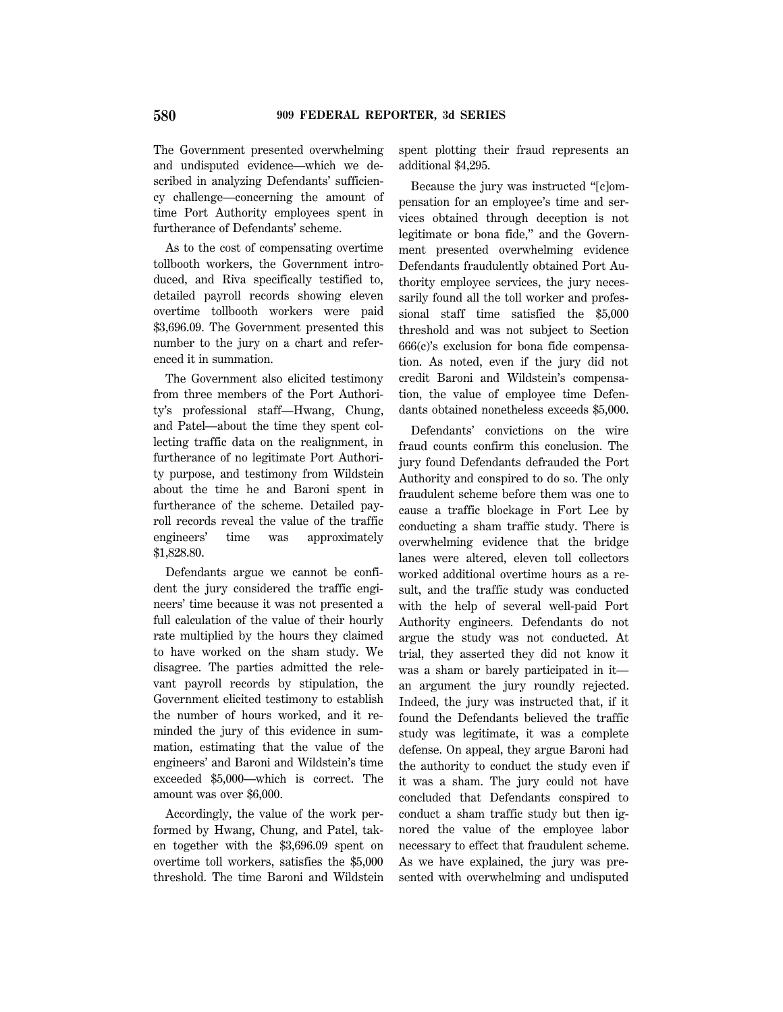The Government presented overwhelming and undisputed evidence—which we described in analyzing Defendants' sufficiency challenge—concerning the amount of time Port Authority employees spent in furtherance of Defendants' scheme.

As to the cost of compensating overtime tollbooth workers, the Government introduced, and Riva specifically testified to, detailed payroll records showing eleven overtime tollbooth workers were paid \$3,696.09. The Government presented this number to the jury on a chart and referenced it in summation.

The Government also elicited testimony from three members of the Port Authority's professional staff—Hwang, Chung, and Patel—about the time they spent collecting traffic data on the realignment, in furtherance of no legitimate Port Authority purpose, and testimony from Wildstein about the time he and Baroni spent in furtherance of the scheme. Detailed payroll records reveal the value of the traffic engineers' time was approximately \$1,828.80.

Defendants argue we cannot be confident the jury considered the traffic engineers' time because it was not presented a full calculation of the value of their hourly rate multiplied by the hours they claimed to have worked on the sham study. We disagree. The parties admitted the relevant payroll records by stipulation, the Government elicited testimony to establish the number of hours worked, and it reminded the jury of this evidence in summation, estimating that the value of the engineers' and Baroni and Wildstein's time exceeded \$5,000—which is correct. The amount was over \$6,000.

Accordingly, the value of the work performed by Hwang, Chung, and Patel, taken together with the \$3,696.09 spent on overtime toll workers, satisfies the \$5,000 threshold. The time Baroni and Wildstein spent plotting their fraud represents an additional \$4,295.

Because the jury was instructed ''[c]ompensation for an employee's time and services obtained through deception is not legitimate or bona fide,'' and the Government presented overwhelming evidence Defendants fraudulently obtained Port Authority employee services, the jury necessarily found all the toll worker and professional staff time satisfied the \$5,000 threshold and was not subject to Section 666(c)'s exclusion for bona fide compensation. As noted, even if the jury did not credit Baroni and Wildstein's compensation, the value of employee time Defendants obtained nonetheless exceeds \$5,000.

Defendants' convictions on the wire fraud counts confirm this conclusion. The jury found Defendants defrauded the Port Authority and conspired to do so. The only fraudulent scheme before them was one to cause a traffic blockage in Fort Lee by conducting a sham traffic study. There is overwhelming evidence that the bridge lanes were altered, eleven toll collectors worked additional overtime hours as a result, and the traffic study was conducted with the help of several well-paid Port Authority engineers. Defendants do not argue the study was not conducted. At trial, they asserted they did not know it was a sham or barely participated in it an argument the jury roundly rejected. Indeed, the jury was instructed that, if it found the Defendants believed the traffic study was legitimate, it was a complete defense. On appeal, they argue Baroni had the authority to conduct the study even if it was a sham. The jury could not have concluded that Defendants conspired to conduct a sham traffic study but then ignored the value of the employee labor necessary to effect that fraudulent scheme. As we have explained, the jury was presented with overwhelming and undisputed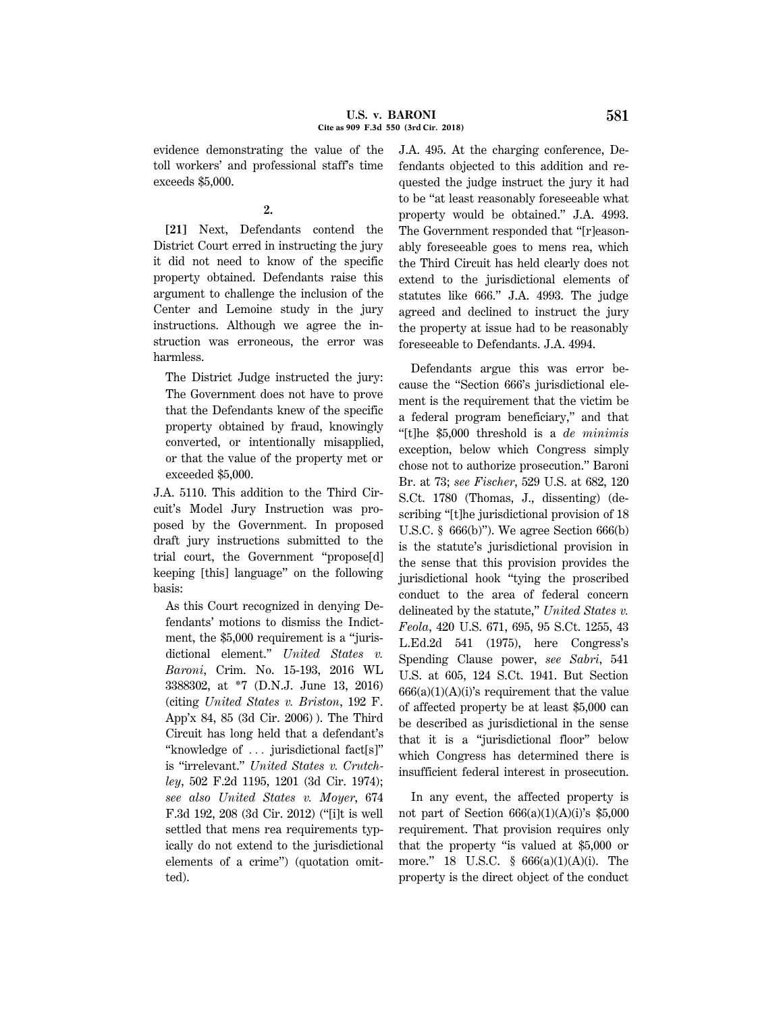evidence demonstrating the value of the toll workers' and professional staff's time exceeds \$5,000.

# **2.**

**[21]** Next, Defendants contend the District Court erred in instructing the jury it did not need to know of the specific property obtained. Defendants raise this argument to challenge the inclusion of the Center and Lemoine study in the jury instructions. Although we agree the instruction was erroneous, the error was harmless.

The District Judge instructed the jury: The Government does not have to prove that the Defendants knew of the specific property obtained by fraud, knowingly converted, or intentionally misapplied, or that the value of the property met or exceeded \$5,000.

J.A. 5110. This addition to the Third Circuit's Model Jury Instruction was proposed by the Government. In proposed draft jury instructions submitted to the trial court, the Government ''propose[d] keeping [this] language'' on the following basis:

As this Court recognized in denying Defendants' motions to dismiss the Indictment, the \$5,000 requirement is a "jurisdictional element.'' *United States v. Baroni*, Crim. No. 15-193, 2016 WL 3388302, at \*7 (D.N.J. June 13, 2016) (citing *United States v. Briston*, 192 F. App'x 84, 85 (3d Cir. 2006) ). The Third Circuit has long held that a defendant's "knowledge of ... jurisdictional fact[s]" is ''irrelevant.'' *United States v. Crutchley*, 502 F.2d 1195, 1201 (3d Cir. 1974); *see also United States v. Moyer*, 674 F.3d 192, 208 (3d Cir. 2012) (''[i]t is well settled that mens rea requirements typically do not extend to the jurisdictional elements of a crime'') (quotation omitted).

J.A. 495. At the charging conference, Defendants objected to this addition and requested the judge instruct the jury it had to be ''at least reasonably foreseeable what property would be obtained.'' J.A. 4993. The Government responded that "[r]easonably foreseeable goes to mens rea, which the Third Circuit has held clearly does not extend to the jurisdictional elements of statutes like 666.'' J.A. 4993. The judge agreed and declined to instruct the jury the property at issue had to be reasonably foreseeable to Defendants. J.A. 4994.

Defendants argue this was error because the ''Section 666's jurisdictional element is the requirement that the victim be a federal program beneficiary,'' and that ''[t]he \$5,000 threshold is a *de minimis* exception, below which Congress simply chose not to authorize prosecution.'' Baroni Br. at 73; *see Fischer*, 529 U.S. at 682, 120 S.Ct. 1780 (Thomas, J., dissenting) (describing "[t]he jurisdictional provision of 18 U.S.C. § 666(b)''). We agree Section 666(b) is the statute's jurisdictional provision in the sense that this provision provides the jurisdictional hook ''tying the proscribed conduct to the area of federal concern delineated by the statute,'' *United States v. Feola*, 420 U.S. 671, 695, 95 S.Ct. 1255, 43 L.Ed.2d 541 (1975), here Congress's Spending Clause power, *see Sabri*, 541 U.S. at 605, 124 S.Ct. 1941. But Section  $666(a)(1)(A)(i)$ 's requirement that the value of affected property be at least \$5,000 can be described as jurisdictional in the sense that it is a ''jurisdictional floor'' below which Congress has determined there is insufficient federal interest in prosecution.

In any event, the affected property is not part of Section  $666(a)(1)(A)(i)$ 's \$5,000 requirement. That provision requires only that the property ''is valued at \$5,000 or more.'' 18 U.S.C. § 666(a)(1)(A)(i). The property is the direct object of the conduct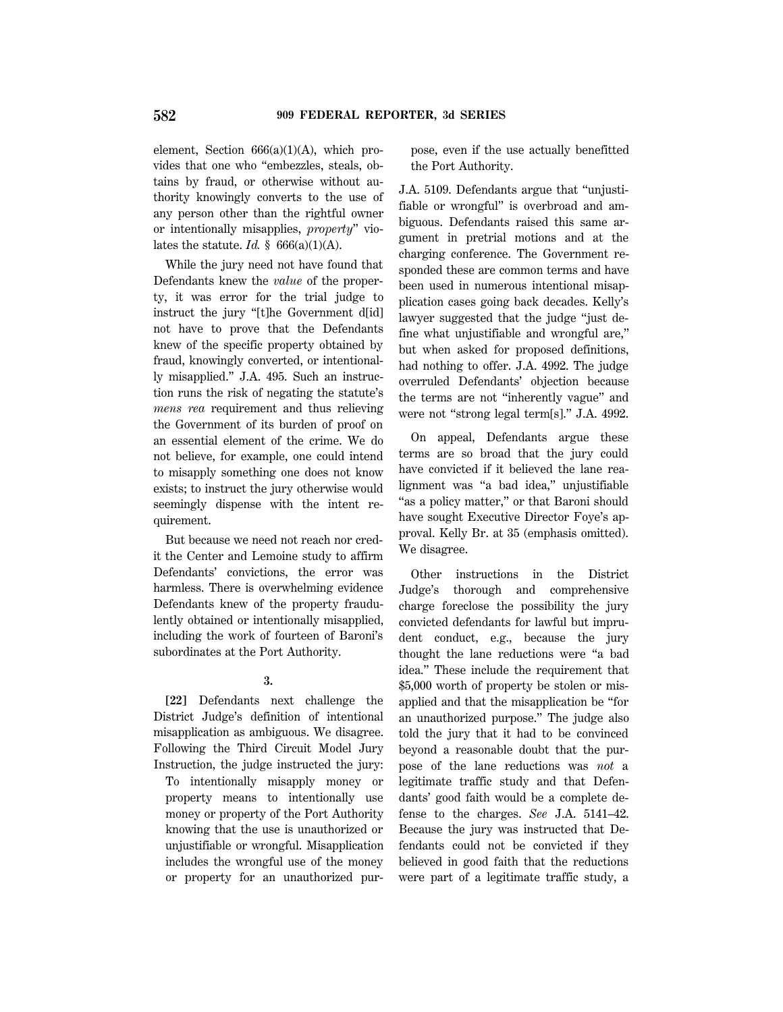element, Section  $666(a)(1)(A)$ , which provides that one who ''embezzles, steals, obtains by fraud, or otherwise without authority knowingly converts to the use of any person other than the rightful owner or intentionally misapplies, *property*'' violates the statute.  $Id. \S$  666(a)(1)(A).

While the jury need not have found that Defendants knew the *value* of the property, it was error for the trial judge to instruct the jury ''[t]he Government d[id] not have to prove that the Defendants knew of the specific property obtained by fraud, knowingly converted, or intentionally misapplied.'' J.A. 495. Such an instruction runs the risk of negating the statute's *mens rea* requirement and thus relieving the Government of its burden of proof on an essential element of the crime. We do not believe, for example, one could intend to misapply something one does not know exists; to instruct the jury otherwise would seemingly dispense with the intent requirement.

But because we need not reach nor credit the Center and Lemoine study to affirm Defendants' convictions, the error was harmless. There is overwhelming evidence Defendants knew of the property fraudulently obtained or intentionally misapplied, including the work of fourteen of Baroni's subordinates at the Port Authority.

# **3.**

**[22]** Defendants next challenge the District Judge's definition of intentional misapplication as ambiguous. We disagree. Following the Third Circuit Model Jury Instruction, the judge instructed the jury:

To intentionally misapply money or property means to intentionally use money or property of the Port Authority knowing that the use is unauthorized or unjustifiable or wrongful. Misapplication includes the wrongful use of the money or property for an unauthorized pur-

pose, even if the use actually benefitted the Port Authority.

J.A. 5109. Defendants argue that ''unjustifiable or wrongful'' is overbroad and ambiguous. Defendants raised this same argument in pretrial motions and at the charging conference. The Government responded these are common terms and have been used in numerous intentional misapplication cases going back decades. Kelly's lawyer suggested that the judge "just define what unjustifiable and wrongful are,'' but when asked for proposed definitions, had nothing to offer. J.A. 4992. The judge overruled Defendants' objection because the terms are not ''inherently vague'' and were not "strong legal term[s]." J.A. 4992.

On appeal, Defendants argue these terms are so broad that the jury could have convicted if it believed the lane realignment was ''a bad idea,'' unjustifiable "as a policy matter," or that Baroni should have sought Executive Director Foye's approval. Kelly Br. at 35 (emphasis omitted). We disagree.

Other instructions in the District Judge's thorough and comprehensive charge foreclose the possibility the jury convicted defendants for lawful but imprudent conduct, e.g., because the jury thought the lane reductions were ''a bad idea.'' These include the requirement that \$5,000 worth of property be stolen or misapplied and that the misapplication be ''for an unauthorized purpose.'' The judge also told the jury that it had to be convinced beyond a reasonable doubt that the purpose of the lane reductions was *not* a legitimate traffic study and that Defendants' good faith would be a complete defense to the charges. *See* J.A. 5141–42. Because the jury was instructed that Defendants could not be convicted if they believed in good faith that the reductions were part of a legitimate traffic study, a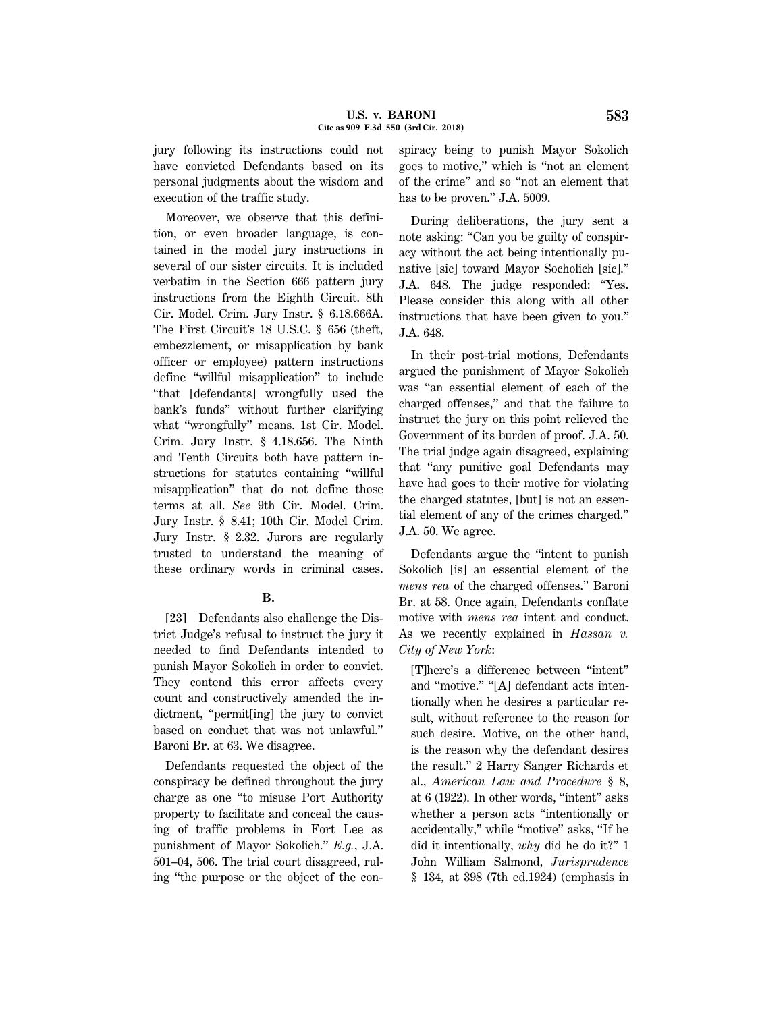jury following its instructions could not have convicted Defendants based on its personal judgments about the wisdom and execution of the traffic study.

Moreover, we observe that this definition, or even broader language, is contained in the model jury instructions in several of our sister circuits. It is included verbatim in the Section 666 pattern jury instructions from the Eighth Circuit. 8th Cir. Model. Crim. Jury Instr. § 6.18.666A. The First Circuit's 18 U.S.C. § 656 (theft, embezzlement, or misapplication by bank officer or employee) pattern instructions define ''willful misapplication'' to include ''that [defendants] wrongfully used the bank's funds'' without further clarifying what ''wrongfully'' means. 1st Cir. Model. Crim. Jury Instr. § 4.18.656. The Ninth and Tenth Circuits both have pattern instructions for statutes containing ''willful misapplication'' that do not define those terms at all. *See* 9th Cir. Model. Crim. Jury Instr. § 8.41; 10th Cir. Model Crim. Jury Instr. § 2.32. Jurors are regularly trusted to understand the meaning of these ordinary words in criminal cases.

# **B.**

**[23]** Defendants also challenge the District Judge's refusal to instruct the jury it needed to find Defendants intended to punish Mayor Sokolich in order to convict. They contend this error affects every count and constructively amended the indictment, ''permit[ing] the jury to convict based on conduct that was not unlawful.'' Baroni Br. at 63. We disagree.

Defendants requested the object of the conspiracy be defined throughout the jury charge as one ''to misuse Port Authority property to facilitate and conceal the causing of traffic problems in Fort Lee as punishment of Mayor Sokolich.'' *E.g.*, J.A. 501–04, 506. The trial court disagreed, ruling ''the purpose or the object of the conspiracy being to punish Mayor Sokolich goes to motive,'' which is ''not an element of the crime'' and so ''not an element that has to be proven." J.A. 5009.

During deliberations, the jury sent a note asking: ''Can you be guilty of conspiracy without the act being intentionally punative [sic] toward Mayor Socholich [sic].'' J.A. 648. The judge responded: ''Yes. Please consider this along with all other instructions that have been given to you.'' J.A. 648.

In their post-trial motions, Defendants argued the punishment of Mayor Sokolich was ''an essential element of each of the charged offenses,'' and that the failure to instruct the jury on this point relieved the Government of its burden of proof. J.A. 50. The trial judge again disagreed, explaining that ''any punitive goal Defendants may have had goes to their motive for violating the charged statutes, [but] is not an essential element of any of the crimes charged.'' J.A. 50. We agree.

Defendants argue the ''intent to punish Sokolich [is] an essential element of the *mens rea* of the charged offenses.'' Baroni Br. at 58. Once again, Defendants conflate motive with *mens rea* intent and conduct. As we recently explained in *Hassan v. City of New York*:

[T]here's a difference between ''intent'' and "motive." "[A] defendant acts intentionally when he desires a particular result, without reference to the reason for such desire. Motive, on the other hand, is the reason why the defendant desires the result.'' 2 Harry Sanger Richards et al., *American Law and Procedure* § 8, at 6 (1922). In other words, ''intent'' asks whether a person acts ''intentionally or accidentally," while "motive" asks, "If he did it intentionally, *why* did he do it?'' 1 John William Salmond, *Jurisprudence* § 134, at 398 (7th ed.1924) (emphasis in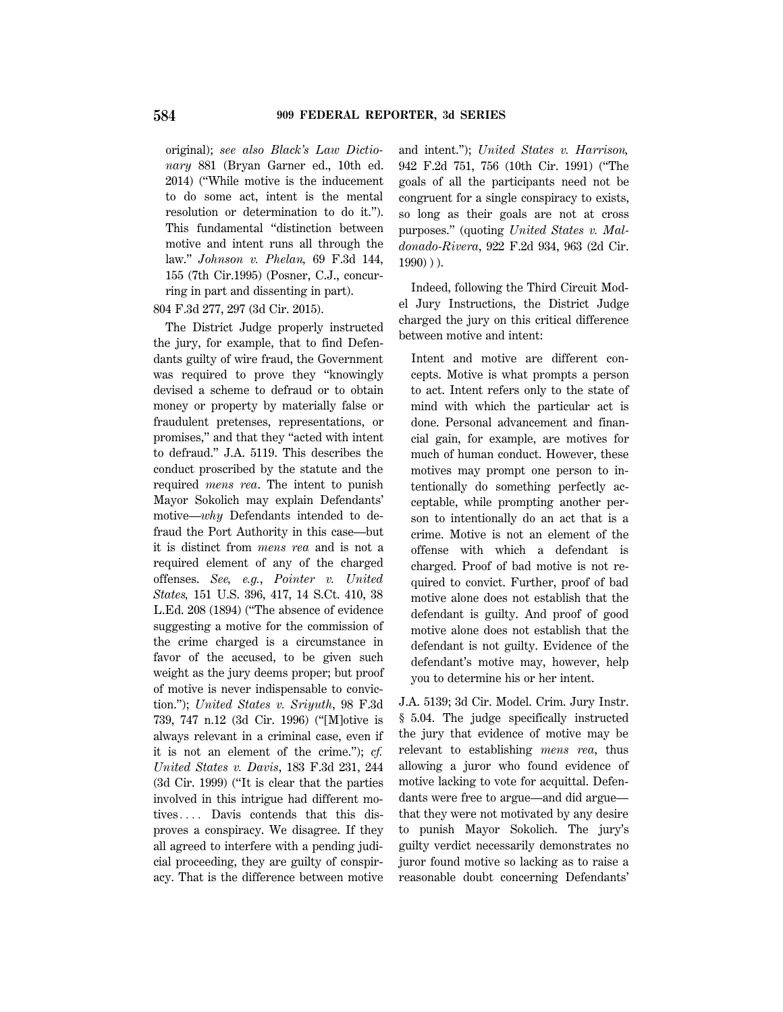original); *see also Black's Law Dictionary* 881 (Bryan Garner ed., 10th ed. 2014) (''While motive is the inducement to do some act, intent is the mental resolution or determination to do it.''). This fundamental ''distinction between motive and intent runs all through the law.'' *Johnson v. Phelan,* 69 F.3d 144, 155 (7th Cir.1995) (Posner, C.J., concurring in part and dissenting in part).

804 F.3d 277, 297 (3d Cir. 2015).

The District Judge properly instructed the jury, for example, that to find Defendants guilty of wire fraud, the Government was required to prove they ''knowingly devised a scheme to defraud or to obtain money or property by materially false or fraudulent pretenses, representations, or promises,'' and that they ''acted with intent to defraud.'' J.A. 5119. This describes the conduct proscribed by the statute and the required *mens rea*. The intent to punish Mayor Sokolich may explain Defendants' motive—*why* Defendants intended to defraud the Port Authority in this case—but it is distinct from *mens rea* and is not a required element of any of the charged offenses. *See, e.g.*, *Pointer v. United States,* 151 U.S. 396, 417, 14 S.Ct. 410, 38 L.Ed. 208 (1894) (''The absence of evidence suggesting a motive for the commission of the crime charged is a circumstance in favor of the accused, to be given such weight as the jury deems proper; but proof of motive is never indispensable to conviction.''); *United States v. Sriyuth*, 98 F.3d 739, 747 n.12 (3d Cir. 1996) (''[M]otive is always relevant in a criminal case, even if it is not an element of the crime.''); *cf. United States v. Davis*, 183 F.3d 231, 244 (3d Cir. 1999) (''It is clear that the parties involved in this intrigue had different motives.... Davis contends that this disproves a conspiracy. We disagree. If they all agreed to interfere with a pending judicial proceeding, they are guilty of conspiracy. That is the difference between motive

and intent.''); *United States v. Harrison,* 942 F.2d 751, 756 (10th Cir. 1991) (''The goals of all the participants need not be congruent for a single conspiracy to exists, so long as their goals are not at cross purposes.'' (quoting *United States v. Maldonado-Rivera*, 922 F.2d 934, 963 (2d Cir.  $1990)$ ).

Indeed, following the Third Circuit Model Jury Instructions, the District Judge charged the jury on this critical difference between motive and intent:

Intent and motive are different concepts. Motive is what prompts a person to act. Intent refers only to the state of mind with which the particular act is done. Personal advancement and financial gain, for example, are motives for much of human conduct. However, these motives may prompt one person to intentionally do something perfectly acceptable, while prompting another person to intentionally do an act that is a crime. Motive is not an element of the offense with which a defendant is charged. Proof of bad motive is not required to convict. Further, proof of bad motive alone does not establish that the defendant is guilty. And proof of good motive alone does not establish that the defendant is not guilty. Evidence of the defendant's motive may, however, help you to determine his or her intent.

J.A. 5139; 3d Cir. Model. Crim. Jury Instr. § 5.04. The judge specifically instructed the jury that evidence of motive may be relevant to establishing *mens rea*, thus allowing a juror who found evidence of motive lacking to vote for acquittal. Defendants were free to argue—and did argue that they were not motivated by any desire to punish Mayor Sokolich. The jury's guilty verdict necessarily demonstrates no juror found motive so lacking as to raise a reasonable doubt concerning Defendants'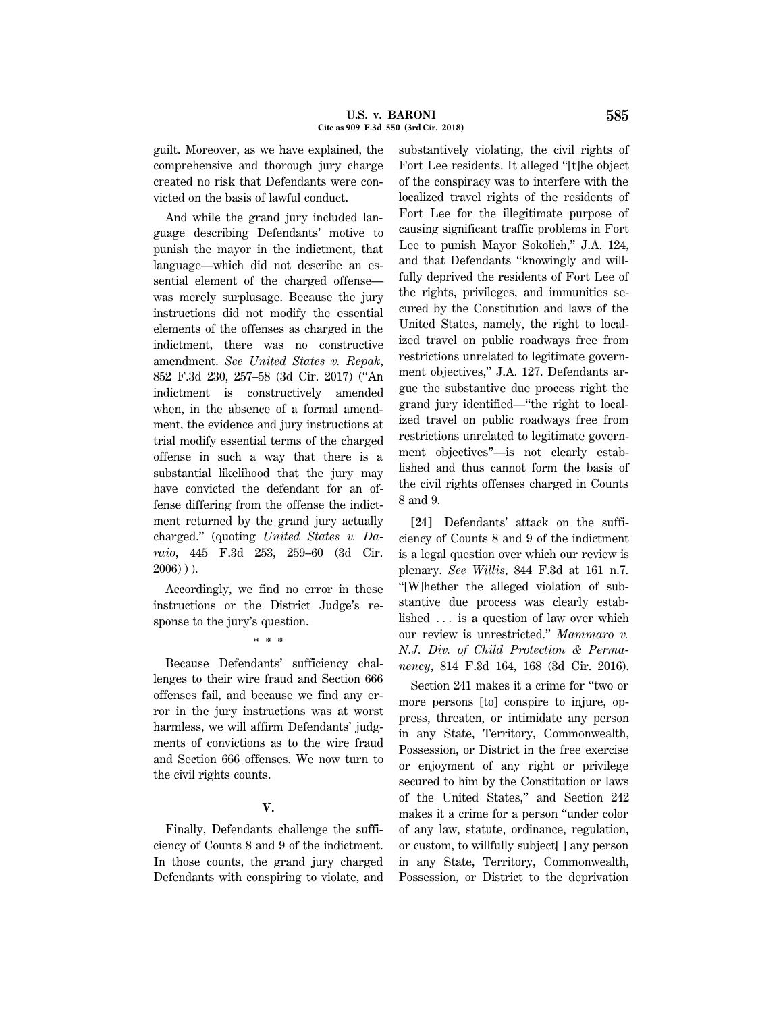guilt. Moreover, as we have explained, the comprehensive and thorough jury charge created no risk that Defendants were convicted on the basis of lawful conduct.

And while the grand jury included language describing Defendants' motive to punish the mayor in the indictment, that language—which did not describe an essential element of the charged offense was merely surplusage. Because the jury instructions did not modify the essential elements of the offenses as charged in the indictment, there was no constructive amendment. *See United States v. Repak*, 852 F.3d 230, 257–58 (3d Cir. 2017) (''An indictment is constructively amended when, in the absence of a formal amendment, the evidence and jury instructions at trial modify essential terms of the charged offense in such a way that there is a substantial likelihood that the jury may have convicted the defendant for an offense differing from the offense the indictment returned by the grand jury actually charged.'' (quoting *United States v. Daraio*, 445 F.3d 253, 259–60 (3d Cir. 2006) ) ).

Accordingly, we find no error in these instructions or the District Judge's response to the jury's question.

\* \* \*

Because Defendants' sufficiency challenges to their wire fraud and Section 666 offenses fail, and because we find any error in the jury instructions was at worst harmless, we will affirm Defendants' judgments of convictions as to the wire fraud and Section 666 offenses. We now turn to the civil rights counts.

# **V.**

Finally, Defendants challenge the sufficiency of Counts 8 and 9 of the indictment. In those counts, the grand jury charged Defendants with conspiring to violate, and substantively violating, the civil rights of Fort Lee residents. It alleged ''[t]he object of the conspiracy was to interfere with the localized travel rights of the residents of Fort Lee for the illegitimate purpose of causing significant traffic problems in Fort Lee to punish Mayor Sokolich,'' J.A. 124, and that Defendants ''knowingly and willfully deprived the residents of Fort Lee of the rights, privileges, and immunities secured by the Constitution and laws of the United States, namely, the right to localized travel on public roadways free from restrictions unrelated to legitimate government objectives,'' J.A. 127. Defendants argue the substantive due process right the grand jury identified—''the right to localized travel on public roadways free from restrictions unrelated to legitimate government objectives''—is not clearly established and thus cannot form the basis of the civil rights offenses charged in Counts 8 and 9.

**[24]** Defendants' attack on the sufficiency of Counts 8 and 9 of the indictment is a legal question over which our review is plenary. *See Willis*, 844 F.3d at 161 n.7. ''[W]hether the alleged violation of substantive due process was clearly established  $\ldots$  is a question of law over which our review is unrestricted.'' *Mammaro v. N.J. Div. of Child Protection & Permanency*, 814 F.3d 164, 168 (3d Cir. 2016).

Section 241 makes it a crime for ''two or more persons [to] conspire to injure, oppress, threaten, or intimidate any person in any State, Territory, Commonwealth, Possession, or District in the free exercise or enjoyment of any right or privilege secured to him by the Constitution or laws of the United States,'' and Section 242 makes it a crime for a person ''under color of any law, statute, ordinance, regulation, or custom, to willfully subject[ ] any person in any State, Territory, Commonwealth, Possession, or District to the deprivation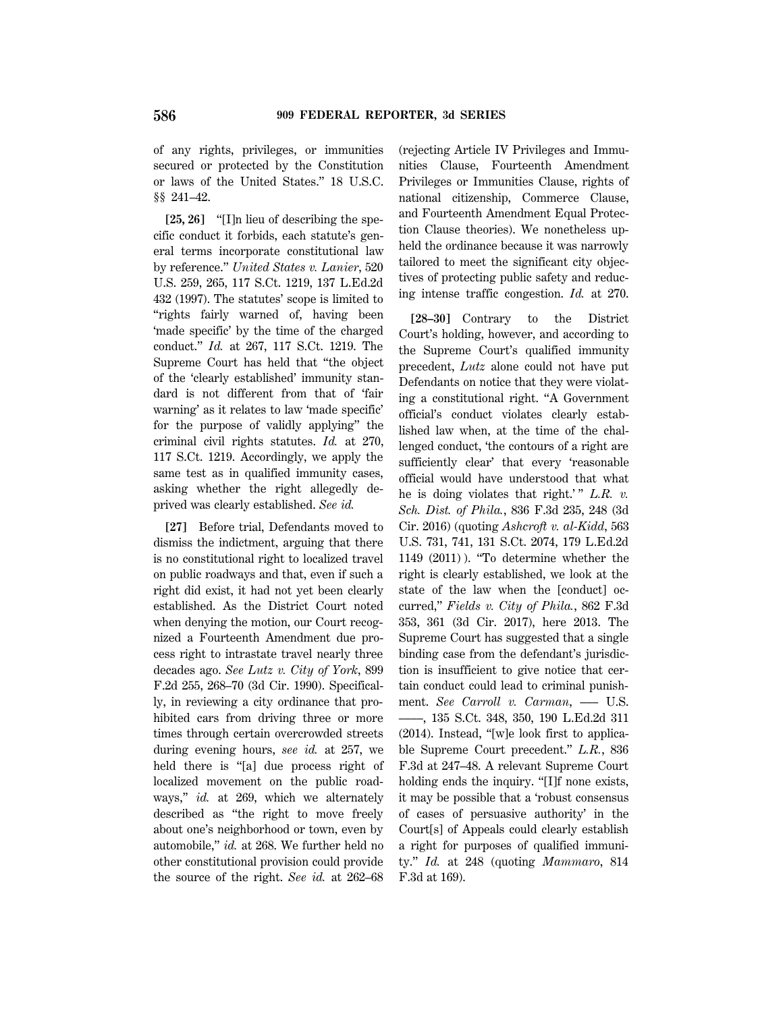of any rights, privileges, or immunities secured or protected by the Constitution or laws of the United States.'' 18 U.S.C. §§ 241–42.

**[25, 26]** ''[I]n lieu of describing the specific conduct it forbids, each statute's general terms incorporate constitutional law by reference.'' *United States v. Lanier*, 520 U.S. 259, 265, 117 S.Ct. 1219, 137 L.Ed.2d 432 (1997). The statutes' scope is limited to "rights fairly warned of, having been 'made specific' by the time of the charged conduct.'' *Id.* at 267, 117 S.Ct. 1219. The Supreme Court has held that ''the object of the 'clearly established' immunity standard is not different from that of 'fair warning' as it relates to law 'made specific' for the purpose of validly applying'' the criminal civil rights statutes. *Id.* at 270, 117 S.Ct. 1219. Accordingly, we apply the same test as in qualified immunity cases, asking whether the right allegedly deprived was clearly established. *See id.*

**[27]** Before trial, Defendants moved to dismiss the indictment, arguing that there is no constitutional right to localized travel on public roadways and that, even if such a right did exist, it had not yet been clearly established. As the District Court noted when denying the motion, our Court recognized a Fourteenth Amendment due process right to intrastate travel nearly three decades ago. *See Lutz v. City of York*, 899 F.2d 255, 268–70 (3d Cir. 1990). Specifically, in reviewing a city ordinance that prohibited cars from driving three or more times through certain overcrowded streets during evening hours, *see id.* at 257, we held there is "[a] due process right of localized movement on the public roadways,'' *id.* at 269, which we alternately described as ''the right to move freely about one's neighborhood or town, even by automobile,'' *id.* at 268. We further held no other constitutional provision could provide the source of the right. *See id.* at 262–68 (rejecting Article IV Privileges and Immunities Clause, Fourteenth Amendment Privileges or Immunities Clause, rights of national citizenship, Commerce Clause, and Fourteenth Amendment Equal Protection Clause theories). We nonetheless upheld the ordinance because it was narrowly tailored to meet the significant city objectives of protecting public safety and reducing intense traffic congestion. *Id.* at 270.

**[28–30]** Contrary to the District Court's holding, however, and according to the Supreme Court's qualified immunity precedent, *Lutz* alone could not have put Defendants on notice that they were violating a constitutional right. ''A Government official's conduct violates clearly established law when, at the time of the challenged conduct, 'the contours of a right are sufficiently clear' that every 'reasonable official would have understood that what he is doing violates that right.'"  $L.R.$  v. *Sch. Dist. of Phila.*, 836 F.3d 235, 248 (3d Cir. 2016) (quoting *Ashcroft v. al-Kidd*, 563 U.S. 731, 741, 131 S.Ct. 2074, 179 L.Ed.2d 1149 (2011) ). ''To determine whether the right is clearly established, we look at the state of the law when the [conduct] occurred,'' *Fields v. City of Phila.*, 862 F.3d 353, 361 (3d Cir. 2017), here 2013. The Supreme Court has suggested that a single binding case from the defendant's jurisdiction is insufficient to give notice that certain conduct could lead to criminal punishment. *See Carroll v. Carman*, - U.S. ––––, 135 S.Ct. 348, 350, 190 L.Ed.2d 311 (2014). Instead, ''[w]e look first to applicable Supreme Court precedent.'' *L.R.*, 836 F.3d at 247–48. A relevant Supreme Court holding ends the inquiry. "[I]f none exists, it may be possible that a 'robust consensus of cases of persuasive authority' in the Court[s] of Appeals could clearly establish a right for purposes of qualified immunity.'' *Id.* at 248 (quoting *Mammaro*, 814 F.3d at 169).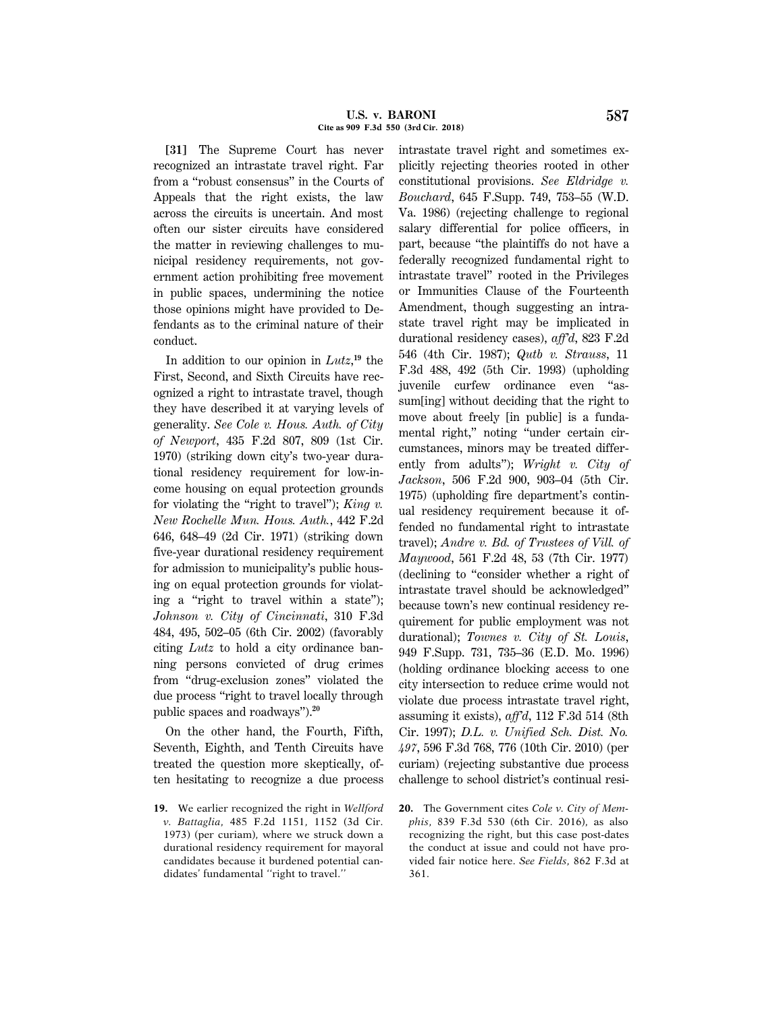**[31]** The Supreme Court has never recognized an intrastate travel right. Far from a ''robust consensus'' in the Courts of Appeals that the right exists, the law across the circuits is uncertain. And most often our sister circuits have considered the matter in reviewing challenges to municipal residency requirements, not government action prohibiting free movement in public spaces, undermining the notice those opinions might have provided to Defendants as to the criminal nature of their conduct.

In addition to our opinion in *Lutz*, **<sup>19</sup>** the First, Second, and Sixth Circuits have recognized a right to intrastate travel, though they have described it at varying levels of generality. *See Cole v. Hous. Auth. of City of Newport*, 435 F.2d 807, 809 (1st Cir. 1970) (striking down city's two-year durational residency requirement for low-income housing on equal protection grounds for violating the "right to travel"); *King v. New Rochelle Mun. Hous. Auth.*, 442 F.2d 646, 648–49 (2d Cir. 1971) (striking down five-year durational residency requirement for admission to municipality's public housing on equal protection grounds for violating a ''right to travel within a state''); *Johnson v. City of Cincinnati*, 310 F.3d 484, 495, 502–05 (6th Cir. 2002) (favorably citing *Lutz* to hold a city ordinance banning persons convicted of drug crimes from ''drug-exclusion zones'' violated the due process ''right to travel locally through public spaces and roadways'').**<sup>20</sup>**

On the other hand, the Fourth, Fifth, Seventh, Eighth, and Tenth Circuits have treated the question more skeptically, often hesitating to recognize a due process

**19.** We earlier recognized the right in *Wellford v. Battaglia*, 485 F.2d 1151, 1152 (3d Cir. 1973) (per curiam), where we struck down a durational residency requirement for mayoral candidates because it burdened potential candidates' fundamental ''right to travel.''

intrastate travel right and sometimes explicitly rejecting theories rooted in other constitutional provisions. *See Eldridge v. Bouchard*, 645 F.Supp. 749, 753–55 (W.D. Va. 1986) (rejecting challenge to regional salary differential for police officers, in part, because ''the plaintiffs do not have a federally recognized fundamental right to intrastate travel'' rooted in the Privileges or Immunities Clause of the Fourteenth Amendment, though suggesting an intrastate travel right may be implicated in durational residency cases), *aff'd*, 823 F.2d 546 (4th Cir. 1987); *Qutb v. Strauss*, 11 F.3d 488, 492 (5th Cir. 1993) (upholding juvenile curfew ordinance even "assum[ing] without deciding that the right to move about freely [in public] is a fundamental right,'' noting ''under certain circumstances, minors may be treated differently from adults''); *Wright v. City of Jackson*, 506 F.2d 900, 903–04 (5th Cir. 1975) (upholding fire department's continual residency requirement because it offended no fundamental right to intrastate travel); *Andre v. Bd. of Trustees of Vill. of Maywood*, 561 F.2d 48, 53 (7th Cir. 1977) (declining to ''consider whether a right of intrastate travel should be acknowledged'' because town's new continual residency requirement for public employment was not durational); *Townes v. City of St. Louis*, 949 F.Supp. 731, 735–36 (E.D. Mo. 1996) (holding ordinance blocking access to one city intersection to reduce crime would not violate due process intrastate travel right, assuming it exists), *aff'd*, 112 F.3d 514 (8th Cir. 1997); *D.L. v. Unified Sch. Dist. No. 497*, 596 F.3d 768, 776 (10th Cir. 2010) (per curiam) (rejecting substantive due process challenge to school district's continual resi-

**20.** The Government cites *Cole v. City of Memphis*, 839 F.3d 530 (6th Cir. 2016), as also recognizing the right, but this case post-dates the conduct at issue and could not have provided fair notice here. *See Fields*, 862 F.3d at 361.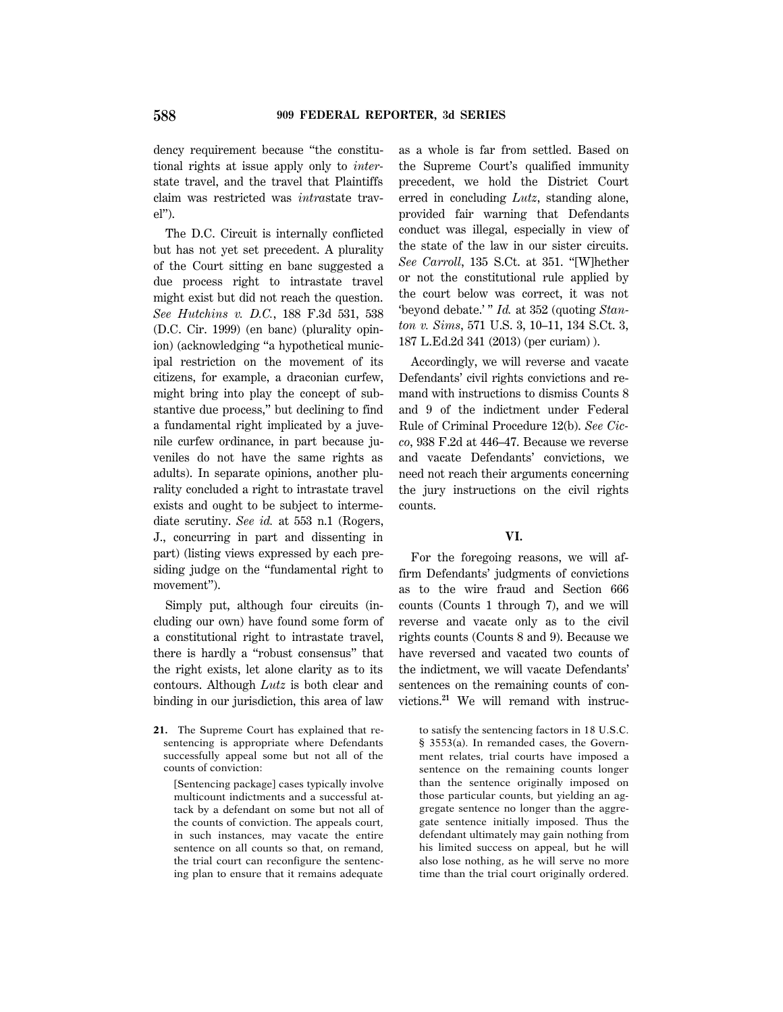dency requirement because ''the constitutional rights at issue apply only to *inter*state travel, and the travel that Plaintiffs claim was restricted was *intra*state travel'').

The D.C. Circuit is internally conflicted but has not yet set precedent. A plurality of the Court sitting en banc suggested a due process right to intrastate travel might exist but did not reach the question. *See Hutchins v. D.C.*, 188 F.3d 531, 538 (D.C. Cir. 1999) (en banc) (plurality opinion) (acknowledging ''a hypothetical municipal restriction on the movement of its citizens, for example, a draconian curfew, might bring into play the concept of substantive due process,'' but declining to find a fundamental right implicated by a juvenile curfew ordinance, in part because juveniles do not have the same rights as adults). In separate opinions, another plurality concluded a right to intrastate travel exists and ought to be subject to intermediate scrutiny. *See id.* at 553 n.1 (Rogers, J., concurring in part and dissenting in part) (listing views expressed by each presiding judge on the ''fundamental right to movement'').

Simply put, although four circuits (including our own) have found some form of a constitutional right to intrastate travel, there is hardly a ''robust consensus'' that the right exists, let alone clarity as to its contours. Although *Lutz* is both clear and binding in our jurisdiction, this area of law

**21.** The Supreme Court has explained that resentencing is appropriate where Defendants successfully appeal some but not all of the counts of conviction:

[Sentencing package] cases typically involve multicount indictments and a successful attack by a defendant on some but not all of the counts of conviction. The appeals court, in such instances, may vacate the entire sentence on all counts so that, on remand, the trial court can reconfigure the sentencing plan to ensure that it remains adequate as a whole is far from settled. Based on the Supreme Court's qualified immunity precedent, we hold the District Court erred in concluding *Lutz*, standing alone, provided fair warning that Defendants conduct was illegal, especially in view of the state of the law in our sister circuits. *See Carroll*, 135 S.Ct. at 351. ''[W]hether or not the constitutional rule applied by the court below was correct, it was not 'beyond debate.' '' *Id.* at 352 (quoting *Stanton v. Sims*, 571 U.S. 3, 10–11, 134 S.Ct. 3, 187 L.Ed.2d 341 (2013) (per curiam) ).

Accordingly, we will reverse and vacate Defendants' civil rights convictions and remand with instructions to dismiss Counts 8 and 9 of the indictment under Federal Rule of Criminal Procedure 12(b). *See Cicco*, 938 F.2d at 446–47. Because we reverse and vacate Defendants' convictions, we need not reach their arguments concerning the jury instructions on the civil rights counts.

## **VI.**

For the foregoing reasons, we will affirm Defendants' judgments of convictions as to the wire fraud and Section 666 counts (Counts 1 through 7), and we will reverse and vacate only as to the civil rights counts (Counts 8 and 9). Because we have reversed and vacated two counts of the indictment, we will vacate Defendants' sentences on the remaining counts of convictions.**21** We will remand with instruc-

to satisfy the sentencing factors in 18 U.S.C. § 3553(a). In remanded cases, the Government relates, trial courts have imposed a sentence on the remaining counts longer than the sentence originally imposed on those particular counts, but yielding an aggregate sentence no longer than the aggregate sentence initially imposed. Thus the defendant ultimately may gain nothing from his limited success on appeal, but he will also lose nothing, as he will serve no more time than the trial court originally ordered.